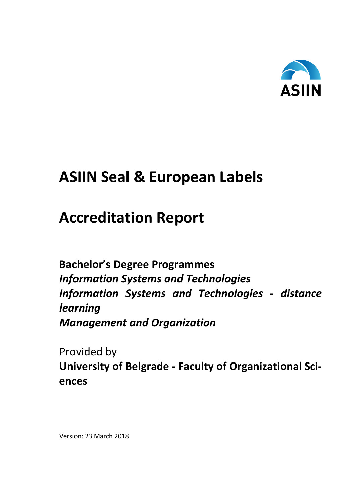

# **ASIIN Seal & European Labels**

# **Accreditation Report**

**Bachelor's Degree Programmes**  *Information Systems and Technologies Information Systems and Technologies - distance learning Management and Organization*

Provided by **University of Belgrade - Faculty of Organizational Sciences**

Version: 23 March 2018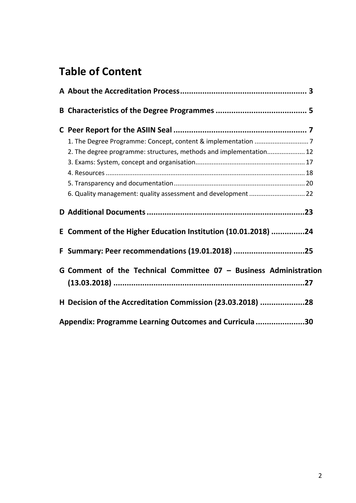## **Table of Content**

| 2. The degree programme: structures, methods and implementation 12  |  |
|---------------------------------------------------------------------|--|
|                                                                     |  |
|                                                                     |  |
|                                                                     |  |
| 6. Quality management: quality assessment and development  22       |  |
|                                                                     |  |
| E Comment of the Higher Education Institution (10.01.2018) 24       |  |
| F Summary: Peer recommendations (19.01.2018) 25                     |  |
| G Comment of the Technical Committee $07 -$ Business Administration |  |
| H Decision of the Accreditation Commission (23.03.2018) 28          |  |
| Appendix: Programme Learning Outcomes and Curricula 30              |  |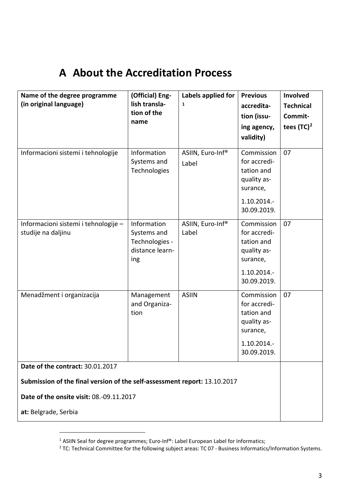### <span id="page-2-0"></span>**A About the Accreditation Process**

| Name of the degree programme<br>(in original language)                    | (Official) Eng-<br>lish transla-<br>tion of the<br>name                | Labels applied for<br>$\mathbf{1}$ | <b>Previous</b><br>accredita-<br>tion (issu-<br>ing agency,<br>validity)                          | Involved<br><b>Technical</b><br>Commit-<br>tees $(TC)^2$ |
|---------------------------------------------------------------------------|------------------------------------------------------------------------|------------------------------------|---------------------------------------------------------------------------------------------------|----------------------------------------------------------|
| Informacioni sistemi i tehnologije                                        | Information<br>Systems and<br>Technologies                             | ASIIN, Euro-Inf®<br>Label          | Commission<br>for accredi-<br>tation and<br>quality as-<br>surance,<br>1.10.2014.-<br>30.09.2019. | 07                                                       |
| Informacioni sistemi i tehnologije -<br>studije na daljinu                | Information<br>Systems and<br>Technologies -<br>distance learn-<br>ing | ASIIN, Euro-Inf®<br>Label          | Commission<br>for accredi-<br>tation and<br>quality as-<br>surance,<br>1.10.2014.-<br>30.09.2019. | 07                                                       |
| Menadžment i organizacija                                                 | Management<br>and Organiza-<br>tion                                    | <b>ASIIN</b>                       | Commission<br>for accredi-<br>tation and<br>quality as-<br>surance,<br>1.10.2014.-<br>30.09.2019. | 07                                                       |
| Date of the contract: 30.01.2017                                          |                                                                        |                                    |                                                                                                   |                                                          |
| Submission of the final version of the self-assessment report: 13.10.2017 |                                                                        |                                    |                                                                                                   |                                                          |
| Date of the onsite visit: 08.-09.11.2017                                  |                                                                        |                                    |                                                                                                   |                                                          |
| at: Belgrade, Serbia                                                      |                                                                        |                                    |                                                                                                   |                                                          |

 $\overline{a}$ 

<span id="page-2-2"></span><span id="page-2-1"></span><sup>&</sup>lt;sup>1</sup> ASIIN Seal for degree programmes; Euro-Inf®: Label European Label for Informatics;  $\frac{2}{100}$  TC: Technical Committee for the following subject areas: TC 07 - Business Informatics/Information Systems.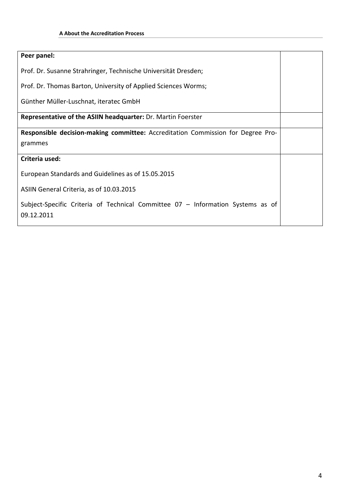| Peer panel:                                                                                   |  |  |  |  |  |
|-----------------------------------------------------------------------------------------------|--|--|--|--|--|
| Prof. Dr. Susanne Strahringer, Technische Universität Dresden;                                |  |  |  |  |  |
|                                                                                               |  |  |  |  |  |
| Prof. Dr. Thomas Barton, University of Applied Sciences Worms;                                |  |  |  |  |  |
| Günther Müller-Luschnat, iteratec GmbH                                                        |  |  |  |  |  |
|                                                                                               |  |  |  |  |  |
| Representative of the ASIIN headquarter: Dr. Martin Foerster                                  |  |  |  |  |  |
| Responsible decision-making committee: Accreditation Commission for Degree Pro-               |  |  |  |  |  |
| grammes                                                                                       |  |  |  |  |  |
| Criteria used:                                                                                |  |  |  |  |  |
| European Standards and Guidelines as of 15.05.2015                                            |  |  |  |  |  |
| ASIIN General Criteria, as of 10.03.2015                                                      |  |  |  |  |  |
| Subject-Specific Criteria of Technical Committee 07 - Information Systems as of<br>09.12.2011 |  |  |  |  |  |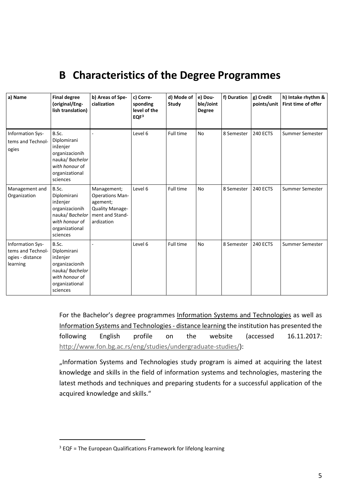## <span id="page-4-0"></span>**B Characteristics of the Degree Programmes**

| a) Name                                                               | <b>Final degree</b><br>(original/Eng-<br>lish translation)                                                           | b) Areas of Spe-<br>cialization                                                                       | c) Corre-<br>sponding<br>level of the<br>EQF <sup>3</sup> | d) Mode of<br>Study | e) Dou-<br>ble/Joint<br><b>Degree</b> | f) Duration | g) Credit<br>points/unit | h) Intake rhythm &<br>First time of offer |
|-----------------------------------------------------------------------|----------------------------------------------------------------------------------------------------------------------|-------------------------------------------------------------------------------------------------------|-----------------------------------------------------------|---------------------|---------------------------------------|-------------|--------------------------|-------------------------------------------|
| Information Sys-<br>tems and Technol-<br>ogies                        | B.Sc.<br>Diplomirani<br>inženjer<br>organizacionih<br>nauka/Bachelor<br>with honour of<br>organizational<br>sciences |                                                                                                       | Level 6                                                   | Full time           | <b>No</b>                             | 8 Semester  | <b>240 ECTS</b>          | Summer Semester                           |
| Management and<br>Organization                                        | B.Sc.<br>Diplomirani<br>inženjer<br>organizacionih<br>nauka/Bachelor<br>with honour of<br>organizational<br>sciences | Management;<br><b>Operations Man-</b><br>agement;<br>Quality Manage-<br>ment and Stand-<br>ardization | Level 6                                                   | Full time           | <b>No</b>                             | 8 Semester  | <b>240 ECTS</b>          | Summer Semester                           |
| Information Sys-<br>tems and Technol-<br>ogies - distance<br>learning | B.Sc.<br>Diplomirani<br>inženjer<br>organizacionih<br>nauka/Bachelor<br>with honour of<br>organizational<br>sciences |                                                                                                       | Level 6                                                   | Full time           | <b>No</b>                             | 8 Semester  | 240 ECTS                 | Summer Semester                           |

For the Bachelor's degree programmes Information Systems and Technologies as well as Information Systems and Technologies - distance learning the institution has presented the following English profile on the website (accessed 16.11.2017: [http://www.fon.bg.ac.rs/eng/studies/undergraduate-studies/\)](http://www.fon.bg.ac.rs/eng/studies/undergraduate-studies/):

"Information Systems and Technologies study program is aimed at acquiring the latest knowledge and skills in the field of information systems and technologies, mastering the latest methods and techniques and preparing students for a successful application of the acquired knowledge and skills."

 $\overline{a}$ 

<span id="page-4-1"></span> $3$  EQF = The European Qualifications Framework for lifelong learning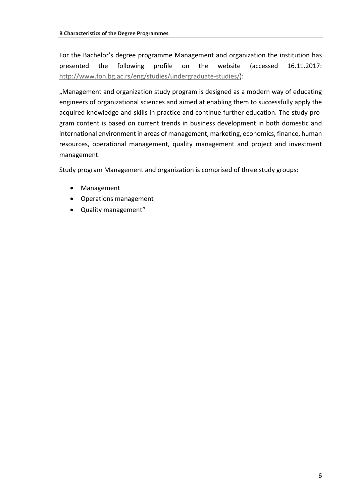For the Bachelor's degree programme Management and organization the institution has presented the following profile on the website (accessed 16.11.2017: [http://www.fon.bg.ac.rs/eng/studies/undergraduate-studies/\)](http://www.fon.bg.ac.rs/eng/studies/undergraduate-studies/):

"Management and organization study program is designed as a modern way of educating engineers of organizational sciences and aimed at enabling them to successfully apply the acquired knowledge and skills in practice and continue further education. The study program content is based on current trends in business development in both domestic and international environment in areas of management, marketing, economics, finance, human resources, operational management, quality management and project and investment management.

Study program Management and organization is comprised of three study groups:

- Management
- Operations management
- Quality management"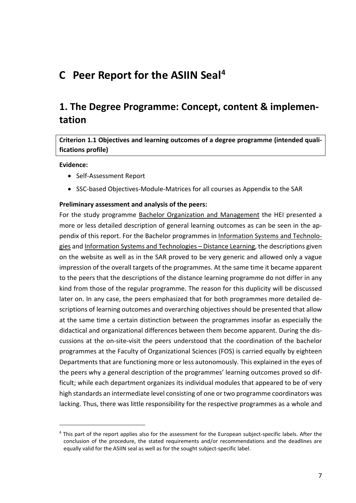### <span id="page-6-0"></span>**C Peer Report for the ASIIN Seal[4](#page-6-2)**

### <span id="page-6-1"></span>**1. The Degree Programme: Concept, content & implementation**

#### **Criterion 1.1 Objectives and learning outcomes of a degree programme (intended qualifications profile)**

#### **Evidence:**

 $\overline{a}$ 

- Self-Assessment Report
- SSC-based Objectives-Module-Matrices for all courses as Appendix to the SAR

#### **Preliminary assessment and analysis of the peers:**

For the study programme Bachelor Organization and Management the HEI presented a more or less detailed description of general learning outcomes as can be seen in the appendix of this report. For the Bachelor programmes in Information Systems and Technologies and Information Systems and Technologies – Distance Learning, the descriptions given on the website as well as in the SAR proved to be very generic and allowed only a vague impression of the overall targets of the programmes. At the same time it became apparent to the peers that the descriptions of the distance learning programme do not differ in any kind from those of the regular programme. The reason for this duplicity will be discussed later on. In any case, the peers emphasized that for both programmes more detailed descriptions of learning outcomes and overarching objectives should be presented that allow at the same time a certain distinction between the programmes insofar as especially the didactical and organizational differences between them become apparent. During the discussions at the on-site-visit the peers understood that the coordination of the bachelor programmes at the Faculty of Organizational Sciences (FOS) is carried equally by eighteen Departments that are functioning more or less autonomously. This explained in the eyes of the peers why a general description of the programmes' learning outcomes proved so difficult; while each department organizes its individual modules that appeared to be of very high standards an intermediate level consisting of one or two programme coordinators was lacking. Thus, there was little responsibility for the respective programmes as a whole and

<span id="page-6-2"></span><sup>4</sup> This part of the report applies also for the assessment for the European subject-specific labels. After the conclusion of the procedure, the stated requirements and/or recommendations and the deadlines are equally valid for the ASIIN seal as well as for the sought subject-specific label.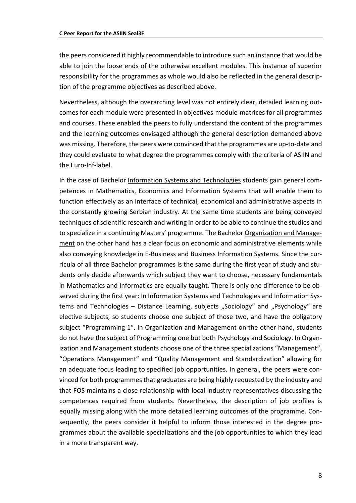the peers considered it highly recommendable to introduce such an instance that would be able to join the loose ends of the otherwise excellent modules. This instance of superior responsibility for the programmes as whole would also be reflected in the general description of the programme objectives as described above.

Nevertheless, although the overarching level was not entirely clear, detailed learning outcomes for each module were presented in objectives-module-matrices for all programmes and courses. These enabled the peers to fully understand the content of the programmes and the learning outcomes envisaged although the general description demanded above was missing. Therefore, the peers were convinced that the programmes are up-to-date and they could evaluate to what degree the programmes comply with the criteria of ASIIN and the Euro-Inf-label.

In the case of Bachelor Information Systems and Technologies students gain general competences in Mathematics, Economics and Information Systems that will enable them to function effectively as an interface of technical, economical and administrative aspects in the constantly growing Serbian industry. At the same time students are being conveyed techniques of scientific research and writing in order to be able to continue the studies and to specialize in a continuing Masters' programme. The Bachelor Organization and Management on the other hand has a clear focus on economic and administrative elements while also conveying knowledge in E-Business and Business Information Systems. Since the curricula of all three Bachelor programmes is the same during the first year of study and students only decide afterwards which subject they want to choose, necessary fundamentals in Mathematics and Informatics are equally taught. There is only one difference to be observed during the first year: In Information Systems and Technologies and Information Systems and Technologies – Distance Learning, subjects "Sociology" and "Psychology" are elective subjects, so students choose one subject of those two, and have the obligatory subject "Programming 1". In Organization and Management on the other hand, students do not have the subject of Programming one but both Psychology and Sociology. In Organization and Management students choose one of the three specializations "Management", "Operations Management" and "Quality Management and Standardization" allowing for an adequate focus leading to specified job opportunities. In general, the peers were convinced for both programmes that graduates are being highly requested by the industry and that FOS maintains a close relationship with local industry representatives discussing the competences required from students. Nevertheless, the description of job profiles is equally missing along with the more detailed learning outcomes of the programme. Consequently, the peers consider it helpful to inform those interested in the degree programmes about the available specializations and the job opportunities to which they lead in a more transparent way.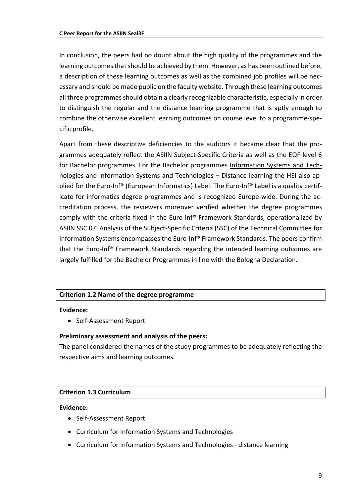In conclusion, the peers had no doubt about the high quality of the programmes and the learning outcomes that should be achieved by them. However, as has been outlined before, a description of these learning outcomes as well as the combined job profiles will be necessary and should be made public on the faculty website. Through these learning outcomes all three programmes should obtain a clearly recognizable characteristic, especially in order to distinguish the regular and the distance learning programme that is aptly enough to combine the otherwise excellent learning outcomes on course level to a programme-specific profile.

Apart from these descriptive deficiencies to the auditors it became clear that the programmes adequately reflect the ASIIN Subject-Specific Criteria as well as the EQF-level 6 for Bachelor programmes. For the Bachelor programmes Information Systems and Technologies and Information Systems and Technologies – Distance learning the HEI also applied for the Euro-Inf® (European Informatics) Label. The Euro-Inf® Label is a quality certificate for informatics degree programmes and is recognized Europe-wide. During the accreditation process, the reviewers moreover verified whether the degree programmes comply with the criteria fixed in the Euro-Inf® Framework Standards, operationalized by ASIIN SSC 07. Analysis of the Subject-Specific Criteria (SSC) of the Technical Committee for Information Systems encompasses the Euro-Inf® Framework Standards. The peers confirm that the Euro-Inf® Framework Standards regarding the intended learning outcomes are largely fulfilled for the Bachelor Programmes in line with the Bologna Declaration.

#### **Criterion 1.2 Name of the degree programme**

#### **Evidence:**

• Self-Assessment Report

#### **Preliminary assessment and analysis of the peers:**

The panel considered the names of the study programmes to be adequately reflecting the respective aims and learning outcomes.

#### **Criterion 1.3 Curriculum**

#### **Evidence:**

- Self-Assessment Report
- Curriculum for Information Systems and Technologies
- Curriculum for Information Systems and Technologies distance learning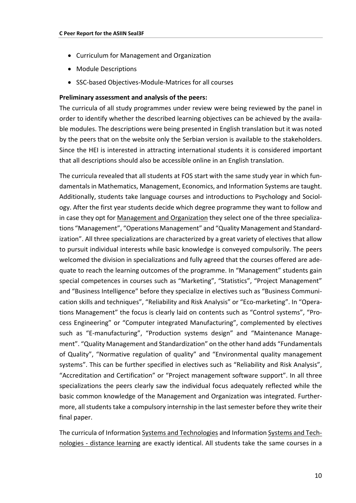- Curriculum for Management and Organization
- Module Descriptions
- SSC-based Objectives-Module-Matrices for all courses

#### **Preliminary assessment and analysis of the peers:**

The curricula of all study programmes under review were being reviewed by the panel in order to identify whether the described learning objectives can be achieved by the available modules. The descriptions were being presented in English translation but it was noted by the peers that on the website only the Serbian version is available to the stakeholders. Since the HEI is interested in attracting international students it is considered important that all descriptions should also be accessible online in an English translation.

The curricula revealed that all students at FOS start with the same study year in which fundamentals in Mathematics, Management, Economics, and Information Systems are taught. Additionally, students take language courses and introductions to Psychology and Sociology. After the first year students decide which degree programme they want to follow and in case they opt for Management and Organization they select one of the three specializations "Management", "Operations Management" and "Quality Management and Standardization". All three specializations are characterized by a great variety of electives that allow to pursuit individual interests while basic knowledge is conveyed compulsorily. The peers welcomed the division in specializations and fully agreed that the courses offered are adequate to reach the learning outcomes of the programme. In "Management" students gain special competences in courses such as "Marketing", "Statistics", "Project Management" and "Business Intelligence" before they specialize in electives such as "Business Communication skills and techniques", "Reliability and Risk Analysis" or "Eco-marketing". In "Operations Management" the focus is clearly laid on contents such as "Control systems", "Process Engineering" or "Computer integrated Manufacturing", complemented by electives such as "E-manufacturing", "Production systems design" and "Maintenance Management". "Quality Management and Standardization" on the other hand adds "Fundamentals of Quality", "Normative regulation of quality" and "Environmental quality management systems". This can be further specified in electives such as "Reliability and Risk Analysis", "Accreditation and Certification" or "Project management software support". In all three specializations the peers clearly saw the individual focus adequately reflected while the basic common knowledge of the Management and Organization was integrated. Furthermore, all students take a compulsory internship in the last semester before they write their final paper.

The curricula of Information Systems and Technologies and Information Systems and Technologies - distance learning are exactly identical. All students take the same courses in a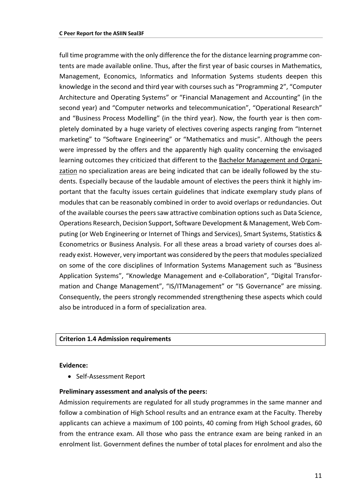full time programme with the only difference the for the distance learning programme contents are made available online. Thus, after the first year of basic courses in Mathematics, Management, Economics, Informatics and Information Systems students deepen this knowledge in the second and third year with courses such as "Programming 2", "Computer Architecture and Operating Systems" or "Financial Management and Accounting" (in the second year) and "Computer networks and telecommunication", "Operational Research" and "Business Process Modelling" (in the third year). Now, the fourth year is then completely dominated by a huge variety of electives covering aspects ranging from "Internet marketing" to "Software Engineering" or "Mathematics and music". Although the peers were impressed by the offers and the apparently high quality concerning the envisaged learning outcomes they criticized that different to the Bachelor Management and Organization no specialization areas are being indicated that can be ideally followed by the students. Especially because of the laudable amount of electives the peers think it highly important that the faculty issues certain guidelines that indicate exemplary study plans of modules that can be reasonably combined in order to avoid overlaps or redundancies. Out of the available courses the peers saw attractive combination options such as Data Science, Operations Research, Decision Support, Software Development & Management, Web Computing (or Web Engineering or Internet of Things and Services), Smart Systems, Statistics & Econometrics or Business Analysis. For all these areas a broad variety of courses does already exist. However, very important was considered by the peers that modules specialized on some of the core disciplines of Information Systems Management such as "Business Application Systems", "Knowledge Management and e-Collaboration", "Digital Transformation and Change Management", "IS/ITManagement" or "IS Governance" are missing. Consequently, the peers strongly recommended strengthening these aspects which could also be introduced in a form of specialization area.

#### **Criterion 1.4 Admission requirements**

#### **Evidence:**

• Self-Assessment Report

#### **Preliminary assessment and analysis of the peers:**

Admission requirements are regulated for all study programmes in the same manner and follow a combination of High School results and an entrance exam at the Faculty. Thereby applicants can achieve a maximum of 100 points, 40 coming from High School grades, 60 from the entrance exam. All those who pass the entrance exam are being ranked in an enrolment list. Government defines the number of total places for enrolment and also the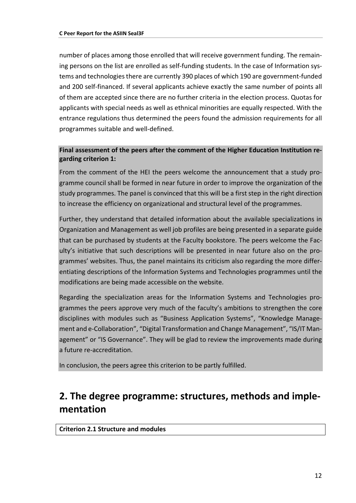number of places among those enrolled that will receive government funding. The remaining persons on the list are enrolled as self-funding students. In the case of Information systems and technologies there are currently 390 places of which 190 are government-funded and 200 self-financed. If several applicants achieve exactly the same number of points all of them are accepted since there are no further criteria in the election process. Quotas for applicants with special needs as well as ethnical minorities are equally respected. With the entrance regulations thus determined the peers found the admission requirements for all programmes suitable and well-defined.

#### **Final assessment of the peers after the comment of the Higher Education Institution regarding criterion 1:**

From the comment of the HEI the peers welcome the announcement that a study programme council shall be formed in near future in order to improve the organization of the study programmes. The panel is convinced that this will be a first step in the right direction to increase the efficiency on organizational and structural level of the programmes.

Further, they understand that detailed information about the available specializations in Organization and Management as well job profiles are being presented in a separate guide that can be purchased by students at the Faculty bookstore. The peers welcome the Faculty's initiative that such descriptions will be presented in near future also on the programmes' websites. Thus, the panel maintains its criticism also regarding the more differentiating descriptions of the Information Systems and Technologies programmes until the modifications are being made accessible on the website.

Regarding the specialization areas for the Information Systems and Technologies programmes the peers approve very much of the faculty's ambitions to strengthen the core disciplines with modules such as "Business Application Systems", "Knowledge Management and e-Collaboration", "Digital Transformation and Change Management", "IS/IT Management" or "IS Governance". They will be glad to review the improvements made during a future re-accreditation.

<span id="page-11-0"></span>In conclusion, the peers agree this criterion to be partly fulfilled.

### **2. The degree programme: structures, methods and implementation**

**Criterion 2.1 Structure and modules**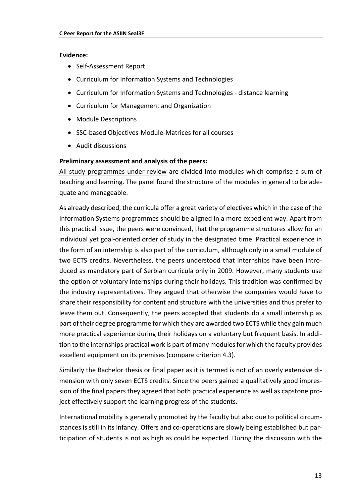#### **Evidence:**

- Self-Assessment Report
- Curriculum for Information Systems and Technologies
- Curriculum for Information Systems and Technologies distance learning
- Curriculum for Management and Organization
- Module Descriptions
- SSC-based Objectives-Module-Matrices for all courses
- Audit discussions

#### **Preliminary assessment and analysis of the peers:**

All study programmes under review are divided into modules which comprise a sum of teaching and learning. The panel found the structure of the modules in general to be adequate and manageable.

As already described, the curricula offer a great variety of electives which in the case of the Information Systems programmes should be aligned in a more expedient way. Apart from this practical issue, the peers were convinced, that the programme structures allow for an individual yet goal-oriented order of study in the designated time. Practical experience in the form of an internship is also part of the curriculum, although only in a small module of two ECTS credits. Nevertheless, the peers understood that internships have been introduced as mandatory part of Serbian curricula only in 2009. However, many students use the option of voluntary internships during their holidays. This tradition was confirmed by the industry representatives. They argued that otherwise the companies would have to share their responsibility for content and structure with the universities and thus prefer to leave them out. Consequently, the peers accepted that students do a small internship as part of their degree programme for which they are awarded two ECTS while they gain much more practical experience during their holidays on a voluntary but frequent basis. In addition to the internships practical work is part of many modules for which the faculty provides excellent equipment on its premises (compare criterion 4.3).

Similarly the Bachelor thesis or final paper as it is termed is not of an overly extensive dimension with only seven ECTS credits. Since the peers gained a qualitatively good impression of the final papers they agreed that both practical experience as well as capstone project effectively support the learning progress of the students.

International mobility is generally promoted by the faculty but also due to political circumstances is still in its infancy. Offers and co-operations are slowly being established but participation of students is not as high as could be expected. During the discussion with the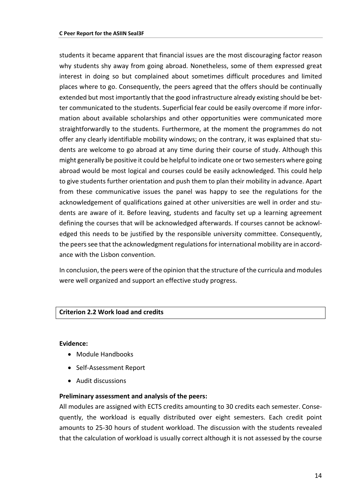students it became apparent that financial issues are the most discouraging factor reason why students shy away from going abroad. Nonetheless, some of them expressed great interest in doing so but complained about sometimes difficult procedures and limited places where to go. Consequently, the peers agreed that the offers should be continually extended but most importantly that the good infrastructure already existing should be better communicated to the students. Superficial fear could be easily overcome if more information about available scholarships and other opportunities were communicated more straightforwardly to the students. Furthermore, at the moment the programmes do not offer any clearly identifiable mobility windows; on the contrary, it was explained that students are welcome to go abroad at any time during their course of study. Although this might generally be positive it could be helpful to indicate one or two semesters where going abroad would be most logical and courses could be easily acknowledged. This could help to give students further orientation and push them to plan their mobility in advance. Apart from these communicative issues the panel was happy to see the regulations for the acknowledgement of qualifications gained at other universities are well in order and students are aware of it. Before leaving, students and faculty set up a learning agreement defining the courses that will be acknowledged afterwards. If courses cannot be acknowledged this needs to be justified by the responsible university committee. Consequently, the peers see that the acknowledgment regulations for international mobility are in accordance with the Lisbon convention.

In conclusion, the peers were of the opinion that the structure of the curricula and modules were well organized and support an effective study progress.

#### **Criterion 2.2 Work load and credits**

#### **Evidence:**

- Module Handbooks
- Self-Assessment Report
- Audit discussions

#### **Preliminary assessment and analysis of the peers:**

All modules are assigned with ECTS credits amounting to 30 credits each semester. Consequently, the workload is equally distributed over eight semesters. Each credit point amounts to 25-30 hours of student workload. The discussion with the students revealed that the calculation of workload is usually correct although it is not assessed by the course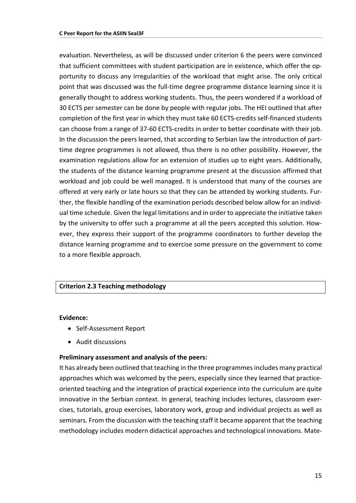evaluation. Nevertheless, as will be discussed under criterion 6 the peers were convinced that sufficient committees with student participation are in existence, which offer the opportunity to discuss any irregularities of the workload that might arise. The only critical point that was discussed was the full-time degree programme distance learning since it is generally thought to address working students. Thus, the peers wondered if a workload of 30 ECTS per semester can be done by people with regular jobs. The HEI outlined that after completion of the first year in which they must take 60 ECTS-credits self-financed students can choose from a range of 37-60 ECTS-credits in order to better coordinate with their job. In the discussion the peers learned, that according to Serbian law the introduction of parttime degree programmes is not allowed, thus there is no other possibility. However, the examination regulations allow for an extension of studies up to eight years. Additionally, the students of the distance learning programme present at the discussion affirmed that workload and job could be well managed. It is understood that many of the courses are offered at very early or late hours so that they can be attended by working students. Further, the flexible handling of the examination periods described below allow for an individual time schedule. Given the legal limitations and in order to appreciate the initiative taken by the university to offer such a programme at all the peers accepted this solution. However, they express their support of the programme coordinators to further develop the distance learning programme and to exercise some pressure on the government to come to a more flexible approach.

#### **Criterion 2.3 Teaching methodology**

#### **Evidence:**

- Self-Assessment Report
- Audit discussions

#### **Preliminary assessment and analysis of the peers:**

It has already been outlined that teaching in the three programmes includes many practical approaches which was welcomed by the peers, especially since they learned that practiceoriented teaching and the integration of practical experience into the curriculum are quite innovative in the Serbian context. In general, teaching includes lectures, classroom exercises, tutorials, group exercises, laboratory work, group and individual projects as well as seminars. From the discussion with the teaching staff it became apparent that the teaching methodology includes modern didactical approaches and technological innovations. Mate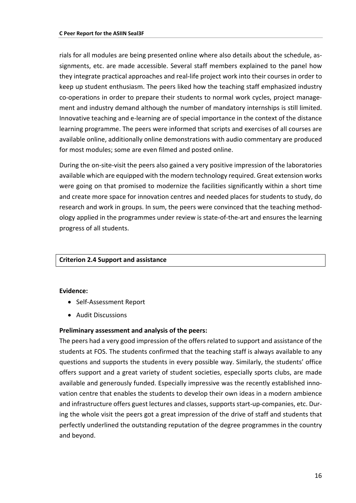rials for all modules are being presented online where also details about the schedule, assignments, etc. are made accessible. Several staff members explained to the panel how they integrate practical approaches and real-life project work into their courses in order to keep up student enthusiasm. The peers liked how the teaching staff emphasized industry co-operations in order to prepare their students to normal work cycles, project management and industry demand although the number of mandatory internships is still limited. Innovative teaching and e-learning are of special importance in the context of the distance learning programme. The peers were informed that scripts and exercises of all courses are available online, additionally online demonstrations with audio commentary are produced for most modules; some are even filmed and posted online.

During the on-site-visit the peers also gained a very positive impression of the laboratories available which are equipped with the modern technology required. Great extension works were going on that promised to modernize the facilities significantly within a short time and create more space for innovation centres and needed places for students to study, do research and work in groups. In sum, the peers were convinced that the teaching methodology applied in the programmes under review is state-of-the-art and ensures the learning progress of all students.

#### **Criterion 2.4 Support and assistance**

#### **Evidence:**

- Self-Assessment Report
- Audit Discussions

#### **Preliminary assessment and analysis of the peers:**

The peers had a very good impression of the offers related to support and assistance of the students at FOS. The students confirmed that the teaching staff is always available to any questions and supports the students in every possible way. Similarly, the students' office offers support and a great variety of student societies, especially sports clubs, are made available and generously funded. Especially impressive was the recently established innovation centre that enables the students to develop their own ideas in a modern ambience and infrastructure offers guest lectures and classes, supports start-up-companies, etc. During the whole visit the peers got a great impression of the drive of staff and students that perfectly underlined the outstanding reputation of the degree programmes in the country and beyond.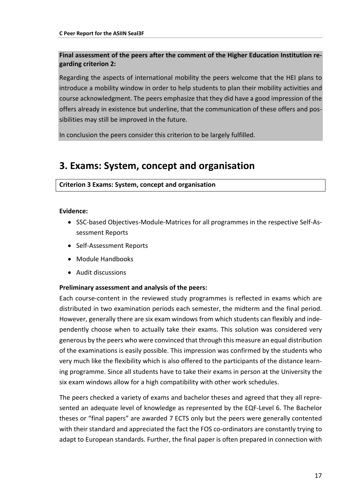#### **Final assessment of the peers after the comment of the Higher Education Institution regarding criterion 2:**

Regarding the aspects of international mobility the peers welcome that the HEI plans to introduce a mobility window in order to help students to plan their mobility activities and course acknowledgment. The peers emphasize that they did have a good impression of the offers already in existence but underline, that the communication of these offers and possibilities may still be improved in the future.

In conclusion the peers consider this criterion to be largely fulfilled.

### <span id="page-16-0"></span>**3. Exams: System, concept and organisation**

#### **Criterion 3 Exams: System, concept and organisation**

#### **Evidence:**

- SSC-based Objectives-Module-Matrices for all programmes in the respective Self-Assessment Reports
- Self-Assessment Reports
- Module Handbooks
- Audit discussions

#### **Preliminary assessment and analysis of the peers:**

Each course-content in the reviewed study programmes is reflected in exams which are distributed in two examination periods each semester, the midterm and the final period. However, generally there are six exam windows from which students can flexibly and independently choose when to actually take their exams. This solution was considered very generous by the peers who were convinced that through this measure an equal distribution of the examinations is easily possible. This impression was confirmed by the students who very much like the flexibility which is also offered to the participants of the distance learning programme. Since all students have to take their exams in person at the University the six exam windows allow for a high compatibility with other work schedules.

The peers checked a variety of exams and bachelor theses and agreed that they all represented an adequate level of knowledge as represented by the EQF-Level 6. The Bachelor theses or "final papers" are awarded 7 ECTS only but the peers were generally contented with their standard and appreciated the fact the FOS co-ordinators are constantly trying to adapt to European standards. Further, the final paper is often prepared in connection with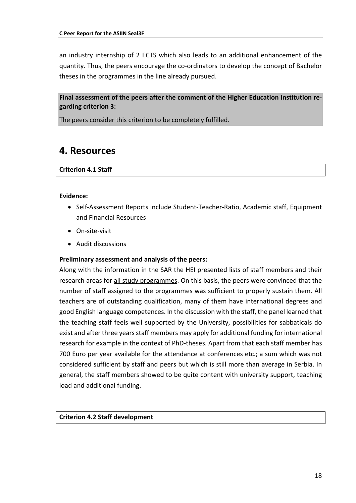an industry internship of 2 ECTS which also leads to an additional enhancement of the quantity. Thus, the peers encourage the co-ordinators to develop the concept of Bachelor theses in the programmes in the line already pursued.

**Final assessment of the peers after the comment of the Higher Education Institution regarding criterion 3:**

<span id="page-17-0"></span>The peers consider this criterion to be completely fulfilled.

### **4. Resources**

#### **Criterion 4.1 Staff**

#### **Evidence:**

- Self-Assessment Reports include Student-Teacher-Ratio, Academic staff, Equipment and Financial Resources
- On-site-visit
- Audit discussions

#### **Preliminary assessment and analysis of the peers:**

Along with the information in the SAR the HEI presented lists of staff members and their research areas for all study programmes. On this basis, the peers were convinced that the number of staff assigned to the programmes was sufficient to properly sustain them. All teachers are of outstanding qualification, many of them have international degrees and good English language competences. In the discussion with the staff, the panel learned that the teaching staff feels well supported by the University, possibilities for sabbaticals do exist and after three years staff members may apply for additional funding for international research for example in the context of PhD-theses. Apart from that each staff member has 700 Euro per year available for the attendance at conferences etc.; a sum which was not considered sufficient by staff and peers but which is still more than average in Serbia. In general, the staff members showed to be quite content with university support, teaching load and additional funding.

#### **Criterion 4.2 Staff development**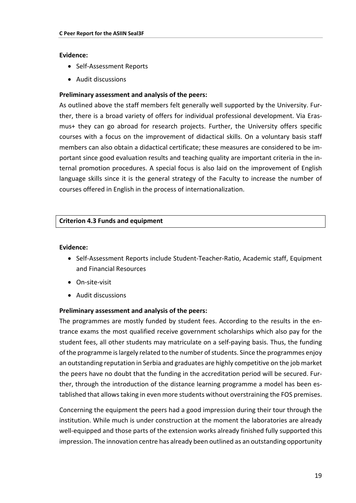#### **Evidence:**

- Self-Assessment Reports
- Audit discussions

#### **Preliminary assessment and analysis of the peers:**

As outlined above the staff members felt generally well supported by the University. Further, there is a broad variety of offers for individual professional development. Via Erasmus+ they can go abroad for research projects. Further, the University offers specific courses with a focus on the improvement of didactical skills. On a voluntary basis staff members can also obtain a didactical certificate; these measures are considered to be important since good evaluation results and teaching quality are important criteria in the internal promotion procedures. A special focus is also laid on the improvement of English language skills since it is the general strategy of the Faculty to increase the number of courses offered in English in the process of internationalization.

#### **Criterion 4.3 Funds and equipment**

#### **Evidence:**

- Self-Assessment Reports include Student-Teacher-Ratio, Academic staff, Equipment and Financial Resources
- On-site-visit
- Audit discussions

#### **Preliminary assessment and analysis of the peers:**

The programmes are mostly funded by student fees. According to the results in the entrance exams the most qualified receive government scholarships which also pay for the student fees, all other students may matriculate on a self-paying basis. Thus, the funding of the programme is largely related to the number of students. Since the programmes enjoy an outstanding reputation in Serbia and graduates are highly competitive on the job market the peers have no doubt that the funding in the accreditation period will be secured. Further, through the introduction of the distance learning programme a model has been established that allows taking in even more students without overstraining the FOS premises.

Concerning the equipment the peers had a good impression during their tour through the institution. While much is under construction at the moment the laboratories are already well-equipped and those parts of the extension works already finished fully supported this impression. The innovation centre has already been outlined as an outstanding opportunity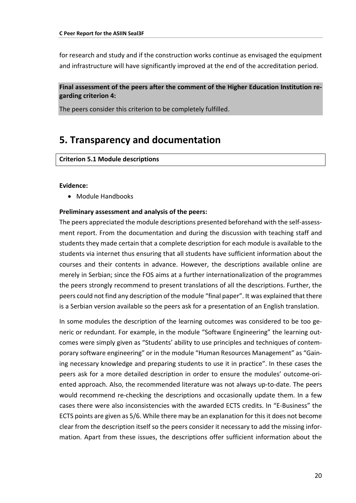for research and study and if the construction works continue as envisaged the equipment and infrastructure will have significantly improved at the end of the accreditation period.

#### **Final assessment of the peers after the comment of the Higher Education Institution regarding criterion 4:**

<span id="page-19-0"></span>The peers consider this criterion to be completely fulfilled.

### **5. Transparency and documentation**

#### **Criterion 5.1 Module descriptions**

#### **Evidence:**

• Module Handbooks

#### **Preliminary assessment and analysis of the peers:**

The peers appreciated the module descriptions presented beforehand with the self-assessment report. From the documentation and during the discussion with teaching staff and students they made certain that a complete description for each module is available to the students via internet thus ensuring that all students have sufficient information about the courses and their contents in advance. However, the descriptions available online are merely in Serbian; since the FOS aims at a further internationalization of the programmes the peers strongly recommend to present translations of all the descriptions. Further, the peers could not find any description of the module "final paper". It was explained that there is a Serbian version available so the peers ask for a presentation of an English translation.

In some modules the description of the learning outcomes was considered to be too generic or redundant. For example, in the module "Software Engineering" the learning outcomes were simply given as "Students' ability to use principles and techniques of contemporary software engineering" or in the module "Human Resources Management" as "Gaining necessary knowledge and preparing students to use it in practice". In these cases the peers ask for a more detailed description in order to ensure the modules' outcome-oriented approach. Also, the recommended literature was not always up-to-date. The peers would recommend re-checking the descriptions and occasionally update them. In a few cases there were also inconsistencies with the awarded ECTS credits. In "E-Business" the ECTS points are given as 5/6. While there may be an explanation for this it does not become clear from the description itself so the peers consider it necessary to add the missing information. Apart from these issues, the descriptions offer sufficient information about the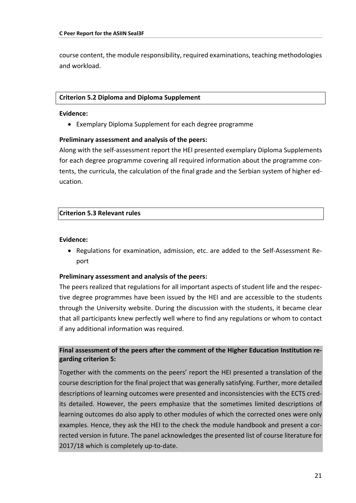course content, the module responsibility, required examinations, teaching methodologies and workload.

#### **Criterion 5.2 Diploma and Diploma Supplement**

#### **Evidence:**

• Exemplary Diploma Supplement for each degree programme

#### **Preliminary assessment and analysis of the peers:**

Along with the self-assessment report the HEI presented exemplary Diploma Supplements for each degree programme covering all required information about the programme contents, the curricula, the calculation of the final grade and the Serbian system of higher education.

#### **Criterion 5.3 Relevant rules**

#### **Evidence:**

• Regulations for examination, admission, etc. are added to the Self-Assessment Report

#### **Preliminary assessment and analysis of the peers:**

The peers realized that regulations for all important aspects of student life and the respective degree programmes have been issued by the HEI and are accessible to the students through the University website. During the discussion with the students, it became clear that all participants knew perfectly well where to find any regulations or whom to contact if any additional information was required.

#### **Final assessment of the peers after the comment of the Higher Education Institution regarding criterion 5:**

Together with the comments on the peers' report the HEI presented a translation of the course description for the final project that was generally satisfying. Further, more detailed descriptions of learning outcomes were presented and inconsistencies with the ECTS credits detailed. However, the peers emphasize that the sometimes limited descriptions of learning outcomes do also apply to other modules of which the corrected ones were only examples. Hence, they ask the HEI to the check the module handbook and present a corrected version in future. The panel acknowledges the presented list of course literature for 2017/18 which is completely up-to-date.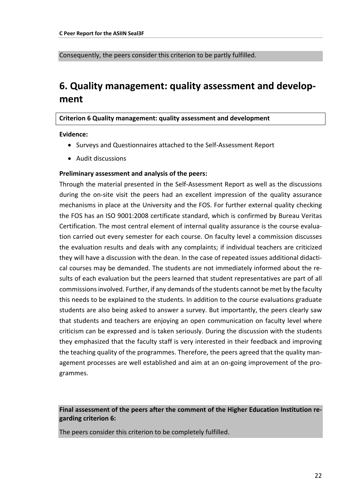<span id="page-21-0"></span>Consequently, the peers consider this criterion to be partly fulfilled.

### **6. Quality management: quality assessment and development**

#### **Criterion 6 Quality management: quality assessment and development**

**Evidence:** 

- Surveys and Questionnaires attached to the Self-Assessment Report
- Audit discussions

#### **Preliminary assessment and analysis of the peers:**

Through the material presented in the Self-Assessment Report as well as the discussions during the on-site visit the peers had an excellent impression of the quality assurance mechanisms in place at the University and the FOS. For further external quality checking the FOS has an ISO 9001:2008 certificate standard, which is confirmed by Bureau Veritas Certification. The most central element of internal quality assurance is the course evaluation carried out every semester for each course. On faculty level a commission discusses the evaluation results and deals with any complaints; if individual teachers are criticized they will have a discussion with the dean. In the case of repeated issues additional didactical courses may be demanded. The students are not immediately informed about the results of each evaluation but the peers learned that student representatives are part of all commissions involved. Further, if any demands of the students cannot be met by the faculty this needs to be explained to the students. In addition to the course evaluations graduate students are also being asked to answer a survey. But importantly, the peers clearly saw that students and teachers are enjoying an open communication on faculty level where criticism can be expressed and is taken seriously. During the discussion with the students they emphasized that the faculty staff is very interested in their feedback and improving the teaching quality of the programmes. Therefore, the peers agreed that the quality management processes are well established and aim at an on-going improvement of the programmes.

**Final assessment of the peers after the comment of the Higher Education Institution regarding criterion 6:**

The peers consider this criterion to be completely fulfilled.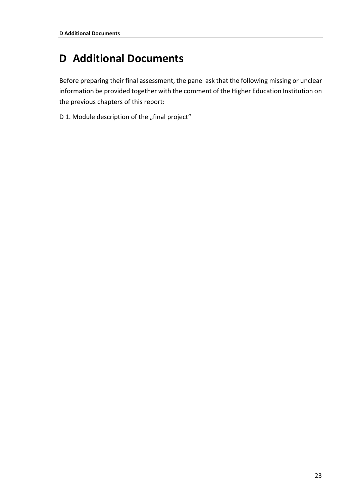## <span id="page-22-0"></span>**D Additional Documents**

Before preparing their final assessment, the panel ask that the following missing or unclear information be provided together with the comment of the Higher Education Institution on the previous chapters of this report:

D 1. Module description of the "final project"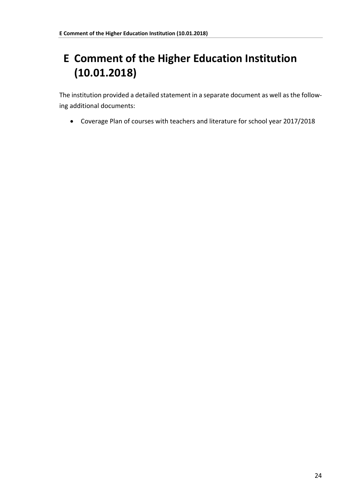## <span id="page-23-0"></span>**E Comment of the Higher Education Institution (10.01.2018)**

The institution provided a detailed statement in a separate document as well as the following additional documents:

• Coverage Plan of courses with teachers and literature for school year 2017/2018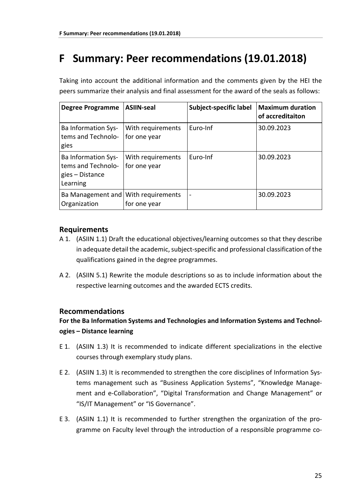## <span id="page-24-0"></span>**F Summary: Peer recommendations (19.01.2018)**

| <b>Degree Programme</b>                                                         | <b>ASIIN-seal</b>                 | Subject-specific label | <b>Maximum duration</b><br>of accreditaiton |
|---------------------------------------------------------------------------------|-----------------------------------|------------------------|---------------------------------------------|
| <b>Ba Information Sys-</b><br>tems and Technolo-<br>gies                        | With requirements<br>for one year | Euro-Inf               | 30.09.2023                                  |
| <b>Ba Information Sys-</b><br>tems and Technolo-<br>gies – Distance<br>Learning | With requirements<br>for one year | Euro-Inf               | 30.09.2023                                  |
| Ba Management and   With requirements<br>Organization                           | for one year                      |                        | 30.09.2023                                  |

Taking into account the additional information and the comments given by the HEI the peers summarize their analysis and final assessment for the award of the seals as follows:

#### **Requirements**

- A 1. (ASIIN 1.1) Draft the educational objectives/learning outcomes so that they describe in adequate detail the academic, subject-specific and professional classification of the qualifications gained in the degree programmes.
- A 2. (ASIIN 5.1) Rewrite the module descriptions so as to include information about the respective learning outcomes and the awarded ECTS credits.

#### **Recommendations**

#### **For the Ba Information Systems and Technologies and Information Systems and Technologies – Distance learning**

- E 1. (ASIIN 1.3) It is recommended to indicate different specializations in the elective courses through exemplary study plans.
- E 2. (ASIIN 1.3) It is recommended to strengthen the core disciplines of Information Systems management such as "Business Application Systems", "Knowledge Management and e-Collaboration", "Digital Transformation and Change Management" or "IS/IT Management" or "IS Governance".
- E 3. (ASIIN 1.1) It is recommended to further strengthen the organization of the programme on Faculty level through the introduction of a responsible programme co-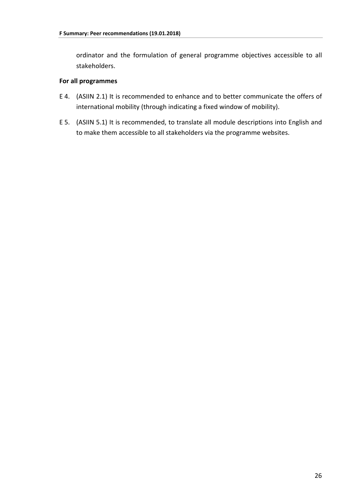ordinator and the formulation of general programme objectives accessible to all stakeholders.

#### **For all programmes**

- E 4. (ASIIN 2.1) It is recommended to enhance and to better communicate the offers of international mobility (through indicating a fixed window of mobility).
- E 5. (ASIIN 5.1) It is recommended, to translate all module descriptions into English and to make them accessible to all stakeholders via the programme websites.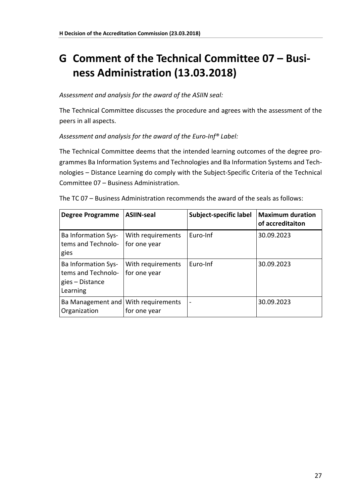## <span id="page-26-0"></span>**G Comment of the Technical Committee 07 – Business Administration (13.03.2018)**

#### *Assessment and analysis for the award of the ASIIN seal:*

The Technical Committee discusses the procedure and agrees with the assessment of the peers in all aspects.

#### *Assessment and analysis for the award of the Euro-Inf® Label:*

The Technical Committee deems that the intended learning outcomes of the degree programmes Ba Information Systems and Technologies and Ba Information Systems and Technologies – Distance Learning do comply with the Subject-Specific Criteria of the Technical Committee 07 – Business Administration.

| <b>Degree Programme</b>                                                         | <b>ASIIN-seal</b>                 | Subject-specific label       | <b>Maximum duration</b><br>of accreditaiton |
|---------------------------------------------------------------------------------|-----------------------------------|------------------------------|---------------------------------------------|
| <b>Ba Information Sys-</b><br>tems and Technolo-<br>gies                        | With requirements<br>for one year | Euro-Inf                     | 30.09.2023                                  |
| <b>Ba Information Sys-</b><br>tems and Technolo-<br>gies – Distance<br>Learning | With requirements<br>for one year | Euro-Inf                     | 30.09.2023                                  |
| Ba Management and<br>Organization                                               | With requirements<br>for one year | $\qquad \qquad \blacksquare$ | 30.09.2023                                  |

| The TC 07 - Business Administration recommends the award of the seals as follows: |
|-----------------------------------------------------------------------------------|
|-----------------------------------------------------------------------------------|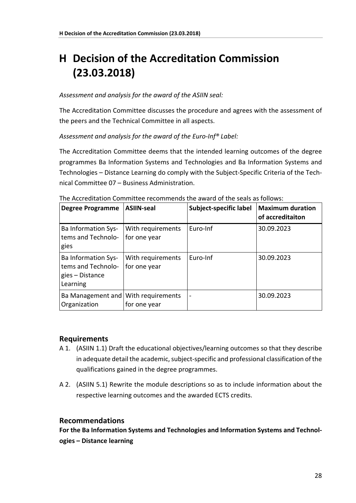## <span id="page-27-0"></span>**H Decision of the Accreditation Commission (23.03.2018)**

#### *Assessment and analysis for the award of the ASIIN seal:*

The Accreditation Committee discusses the procedure and agrees with the assessment of the peers and the Technical Committee in all aspects.

*Assessment and analysis for the award of the Euro-Inf® Label:*

The Accreditation Committee deems that the intended learning outcomes of the degree programmes Ba Information Systems and Technologies and Ba Information Systems and Technologies – Distance Learning do comply with the Subject-Specific Criteria of the Technical Committee 07 – Business Administration.

| <b>Degree Programme</b>                                                         | <b>ASIIN-seal</b>                 | Subject-specific label | <b>Maximum duration</b><br>of accreditaiton |
|---------------------------------------------------------------------------------|-----------------------------------|------------------------|---------------------------------------------|
| <b>Ba Information Sys-</b><br>tems and Technolo-<br>gies                        | With requirements<br>for one year | Euro-Inf               | 30.09.2023                                  |
| <b>Ba Information Sys-</b><br>tems and Technolo-<br>gies – Distance<br>Learning | With requirements<br>for one year | Euro-Inf               | 30.09.2023                                  |
| Ba Management and<br>Organization                                               | With requirements<br>for one year | -                      | 30.09.2023                                  |

The Accreditation Committee recommends the award of the seals as follows:

#### **Requirements**

- A 1. (ASIIN 1.1) Draft the educational objectives/learning outcomes so that they describe in adequate detail the academic, subject-specific and professional classification of the qualifications gained in the degree programmes.
- A 2. (ASIIN 5.1) Rewrite the module descriptions so as to include information about the respective learning outcomes and the awarded ECTS credits.

#### **Recommendations**

**For the Ba Information Systems and Technologies and Information Systems and Technologies – Distance learning**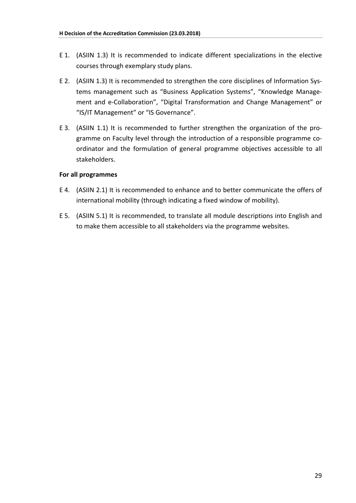- E 1. (ASIIN 1.3) It is recommended to indicate different specializations in the elective courses through exemplary study plans.
- E 2. (ASIIN 1.3) It is recommended to strengthen the core disciplines of Information Systems management such as "Business Application Systems", "Knowledge Management and e-Collaboration", "Digital Transformation and Change Management" or "IS/IT Management" or "IS Governance".
- E 3. (ASIIN 1.1) It is recommended to further strengthen the organization of the programme on Faculty level through the introduction of a responsible programme coordinator and the formulation of general programme objectives accessible to all stakeholders.

#### **For all programmes**

- E 4. (ASIIN 2.1) It is recommended to enhance and to better communicate the offers of international mobility (through indicating a fixed window of mobility).
- E 5. (ASIIN 5.1) It is recommended, to translate all module descriptions into English and to make them accessible to all stakeholders via the programme websites.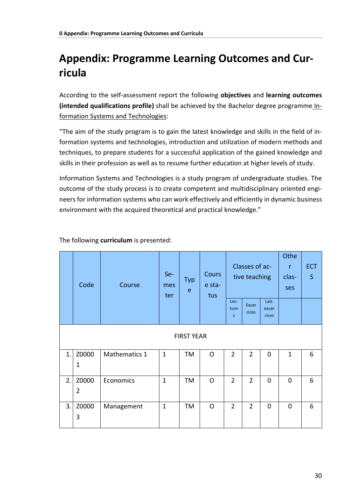## <span id="page-29-0"></span>**Appendix: Programme Learning Outcomes and Curricula**

According to the self-assessment report the following **objectives** and **learning outcomes (intended qualifications profile)** shall be achieved by the Bachelor degree programme Information Systems and Technologies:

"The aim of the study program is to gain the latest knowledge and skills in the field of information systems and technologies, introduction and utilization of modern methods and techniques, to prepare students for a successful application of the gained knowledge and skills in their profession as well as to resume further education at higher levels of study.

Information Systems and Technologies is a study program of undergraduate studies. The outcome of the study process is to create competent and multidisciplinary oriented engineers for information systems who can work effectively and efficiently in dynamic business environment with the acquired theoretical and practical knowledge."

|    | Code                    | Course        | Se-<br>mes<br>ter | <b>Typ</b><br>e | <b>Cours</b><br>e sta-<br>tus | Lec-           | Classes of ac-<br>tive teaching | Lab.           | Othe<br>$\mathsf{r}$<br>clas-<br>ses | <b>ECT</b><br>S |  |
|----|-------------------------|---------------|-------------------|-----------------|-------------------------------|----------------|---------------------------------|----------------|--------------------------------------|-----------------|--|
|    |                         |               |                   |                 |                               | ture<br>s.     | <b>Excer</b><br>cices           | excer<br>cices |                                      |                 |  |
|    | <b>FIRST YEAR</b>       |               |                   |                 |                               |                |                                 |                |                                      |                 |  |
| 1. | Z0000<br>$\mathbf 1$    | Mathematics 1 | $\mathbf{1}$      | TM              | $\mathsf{O}$                  | $\overline{2}$ | $\overline{2}$                  | 0              | $\mathbf{1}$                         | 6               |  |
| 2. | Z0000<br>$\overline{2}$ | Economics     | $\mathbf{1}$      | TM              | $\Omega$                      | $\overline{2}$ | $\overline{2}$                  | $\mathbf 0$    | $\mathbf 0$                          | 6               |  |
| 3. | Z0000<br>3              | Management    | $\mathbf{1}$      | <b>TM</b>       | $\mathsf{O}$                  | $\overline{2}$ | $\overline{2}$                  | $\mathbf 0$    | $\mathbf 0$                          | 6               |  |

The following **curriculum** is presented: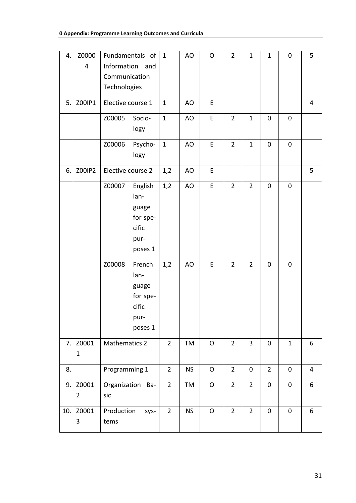| 4.  | Z0000          |                                  | Fundamentals of  | $\mathbf{1}$   | AO        | $\mathsf{O}$ | $\overline{2}$ | $\mathbf{1}$        | $\mathbf{1}$   | $\pmb{0}$   | 5              |
|-----|----------------|----------------------------------|------------------|----------------|-----------|--------------|----------------|---------------------|----------------|-------------|----------------|
|     | $\overline{4}$ | Information and<br>Communication |                  |                |           |              |                |                     |                |             |                |
|     |                | Technologies                     |                  |                |           |              |                |                     |                |             |                |
| 5.  | Z00IP1         | Elective course 1                |                  | $\mathbf{1}$   | AO        | E            |                |                     |                |             | $\overline{4}$ |
|     |                |                                  |                  |                |           |              |                |                     |                |             |                |
|     |                | Z00005                           | Socio-           | $\mathbf{1}$   | AO        | E            | $\overline{2}$ | $\mathbf{1}$        | 0              | 0           |                |
|     |                |                                  | logy             |                |           |              |                |                     |                |             |                |
|     |                | Z00006                           | Psycho-          | $\mathbf{1}$   | AO        | E            | $\overline{2}$ | $\mathbf{1}$        | $\mathbf 0$    | $\mathbf 0$ |                |
|     |                |                                  | logy             |                |           |              |                |                     |                |             |                |
| 6.  | Z00IP2         | Elective course 2                |                  | 1,2            | AO        | E            |                |                     |                |             | 5              |
|     |                | Z00007                           | English          | 1,2            | AO        | E            | $\overline{2}$ | $\overline{2}$      | 0              | 0           |                |
|     |                |                                  | lan-             |                |           |              |                |                     |                |             |                |
|     |                | guage<br>for spe-                |                  |                |           |              |                |                     |                |             |                |
|     |                |                                  |                  |                |           |              |                |                     |                |             |                |
|     |                |                                  | cific            |                |           |              |                |                     |                |             |                |
|     |                | pur-                             |                  |                |           |              |                |                     |                |             |                |
|     |                | poses 1                          |                  |                |           |              |                |                     |                |             |                |
|     |                | Z00008                           | French           | 1,2            | AO        | E            | $\overline{2}$ | $\overline{2}$      | 0              | 0           |                |
|     |                |                                  | lan-             |                |           |              |                |                     |                |             |                |
|     |                |                                  | guage            |                |           |              |                |                     |                |             |                |
|     |                |                                  | for spe-         |                |           |              |                |                     |                |             |                |
|     |                |                                  | cific            |                |           |              |                |                     |                |             |                |
|     |                |                                  | pur-             |                |           |              |                |                     |                |             |                |
|     |                |                                  | poses 1          |                |           |              |                |                     |                |             |                |
| 7.  | Z0001          | <b>Mathematics 2</b>             |                  | $\overline{2}$ | TM        | $\mathsf O$  | $\overline{2}$ | $\overline{3}$      | $\pmb{0}$      | $\mathbf 1$ | 6              |
|     | $\mathbf{1}$   |                                  |                  |                |           |              |                |                     |                |             |                |
| 8.  |                | Programming 1                    |                  | $\overline{2}$ | <b>NS</b> | $\mathsf O$  | $\overline{2}$ | $\mathsf{O}\xspace$ | $\overline{2}$ | $\pmb{0}$   | $\overline{4}$ |
| 9.  | Z0001          |                                  | Organization Ba- | $2^{\circ}$    | TM        | $\mathsf O$  | $\overline{2}$ | $\overline{2}$      | $\pmb{0}$      | $\pmb{0}$   | 6              |
|     | $\overline{2}$ | sic                              |                  |                |           |              |                |                     |                |             |                |
| 10. | Z0001          | Production                       | sys-             | $\overline{2}$ | <b>NS</b> | $\mathsf O$  | $\overline{2}$ | $\overline{2}$      | $\pmb{0}$      | $\pmb{0}$   | 6              |
|     | 3              | tems                             |                  |                |           |              |                |                     |                |             |                |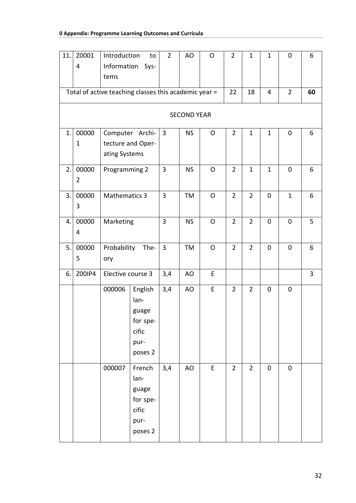| 11. | Z0001<br>4              | Introduction<br>Information<br>tems | to<br>Sys-                                                       | $2^{\circ}$    | AO        | $\mathsf{O}$ | $\overline{2}$ | $\mathbf{1}$   | $\mathbf{1}$ | 0            | 6 |  |
|-----|-------------------------|-------------------------------------|------------------------------------------------------------------|----------------|-----------|--------------|----------------|----------------|--------------|--------------|---|--|
|     |                         |                                     | Total of active teaching classes this academic year =            |                | 22        | 18           | $\overline{4}$ | $\overline{2}$ | 60           |              |   |  |
|     | <b>SECOND YEAR</b>      |                                     |                                                                  |                |           |              |                |                |              |              |   |  |
| 1.  | 00000<br>$\mathbf{1}$   | ating Systems                       | Computer Archi-<br>tecture and Oper-                             | $\overline{3}$ | <b>NS</b> | O            | $\overline{2}$ | $\mathbf{1}$   | $\mathbf{1}$ | 0            | 6 |  |
| 2.  | 00000<br>$\overline{2}$ | Programming 2                       |                                                                  | $\overline{3}$ | <b>NS</b> | O            | $\overline{2}$ | $\mathbf{1}$   | $\mathbf{1}$ | $\mathbf 0$  | 6 |  |
| 3.  | 00000<br>3              | Mathematics 3                       |                                                                  | $\overline{3}$ | TM        | $\mathsf{O}$ | $\overline{2}$ | $\overline{2}$ | $\mathbf 0$  | $\mathbf{1}$ | 6 |  |
| 4.  | 00000<br>4              | Marketing                           |                                                                  | $\overline{3}$ | <b>NS</b> | $\mathsf{O}$ | $\overline{2}$ | $\overline{2}$ | $\mathbf 0$  | 0            | 5 |  |
| 5.  | 00000<br>5              | Probability<br>The-<br>ory          |                                                                  | $\overline{3}$ | TM        | O            | $\overline{2}$ | $\overline{2}$ | $\mathbf 0$  | 0            | 6 |  |
| 6.  | Z00IP4                  | Elective course 3                   |                                                                  | 3,4            | AO        | E            |                |                |              |              | 3 |  |
|     |                         | 000006                              | English<br>lan-<br>guage<br>for spe-<br>cific<br>pur-<br>poses 2 | 3,4            | AO        | E            | $\overline{2}$ | $\overline{2}$ | $\mathbf 0$  | 0            |   |  |
|     |                         | 000007                              | French<br>lan-<br>guage<br>for spe-<br>cific<br>pur-<br>poses 2  | 3,4            | AO        | E            | $\overline{2}$ | $\overline{2}$ | $\pmb{0}$    | $\pmb{0}$    |   |  |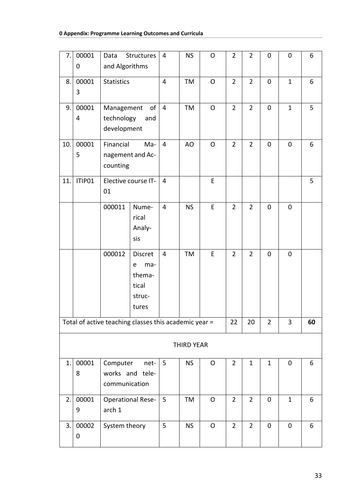| 7.  | 00001<br>0         | Data<br>and Algorithms                  | Structures                                                       | 4               | <b>NS</b>         | $\mathsf{O}$ | $\overline{2}$ | $\overline{2}$ | $\mathbf 0$    | 0            | 6  |
|-----|--------------------|-----------------------------------------|------------------------------------------------------------------|-----------------|-------------------|--------------|----------------|----------------|----------------|--------------|----|
| 8.  | 00001<br>3         | <b>Statistics</b>                       |                                                                  | $\overline{4}$  | TM                | $\mathsf O$  | $\overline{2}$ | $\overline{2}$ | $\mathbf 0$    | $\mathbf{1}$ | 6  |
| 9.  | 00001<br>4         | Management<br>technology<br>development | of<br>and                                                        | 4               | TM                | O            | $\overline{2}$ | $\overline{2}$ | $\mathbf 0$    | $\mathbf{1}$ | 5  |
| 10. | 00001<br>5         | Financial<br>counting                   | Ma-<br>nagement and Ac-                                          | $\overline{4}$  | AO                | $\mathsf{O}$ | $\overline{2}$ | $\overline{2}$ | $\mathbf 0$    | $\mathbf 0$  | 6  |
| 11. | ITIP01             | 01                                      | Elective course IT-                                              | $\overline{4}$  |                   | E            |                |                |                |              | 5  |
|     |                    | 000011                                  | Nume-<br>rical<br>Analy-<br>sis                                  | $\overline{4}$  | <b>NS</b>         | E            | $\overline{2}$ | $\overline{2}$ | $\mathbf 0$    | $\mathbf 0$  |    |
|     |                    | 000012                                  | <b>Discret</b><br>ma-<br>e<br>thema-<br>tical<br>struc-<br>tures | $\overline{4}$  | TM                | E            | $\overline{2}$ | $\overline{2}$ | $\pmb{0}$      | 0            |    |
|     |                    |                                         | Total of active teaching classes this academic year =            |                 |                   |              | 22             | 20             | $\overline{2}$ | 3            | 60 |
|     |                    |                                         |                                                                  |                 | <b>THIRD YEAR</b> |              |                |                |                |              |    |
| 1.  | 00001<br>8         | Computer<br>communication               | net-<br>works and tele-                                          | $5\overline{)}$ | <b>NS</b>         | $\mathsf{O}$ | $\overline{2}$ | $\mathbf{1}$   | $\mathbf{1}$   | 0            | 6  |
| 2.1 | 00001<br>9         | arch 1                                  | <b>Operational Rese-</b>                                         | 5               | TM                | O            | $\overline{2}$ | $\overline{2}$ | $\pmb{0}$      | $\mathbf{1}$ | 6  |
| 3.  | 00002<br>$\pmb{0}$ | System theory                           |                                                                  | 5               | <b>NS</b>         | $\mathsf{O}$ | $\overline{2}$ | $\overline{2}$ | $\mathbf 0$    | $\mathbf 0$  | 6  |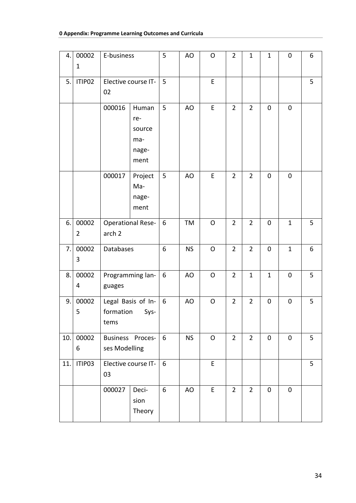#### **0 Appendix: Programme Learning Outcomes and Curricula**

| 4.  | 00002<br>$\mathbf{1}$   | E-business                                      |                                                | 5     | AO        | O            | $\overline{2}$ | $\mathbf{1}$   | $\mathbf{1}$ | $\mathbf 0$  | 6 |
|-----|-------------------------|-------------------------------------------------|------------------------------------------------|-------|-----------|--------------|----------------|----------------|--------------|--------------|---|
| 5.  | ITIP02                  | Elective course IT-<br>02                       |                                                | 5     |           | E            |                |                |              |              | 5 |
|     |                         | 000016                                          | Human<br>re-<br>source<br>ma-<br>nage-<br>ment | 5     | AO        | E            | $\overline{2}$ | $\overline{2}$ | 0            | $\pmb{0}$    |   |
|     |                         | 000017                                          | Project<br>Ma-<br>nage-<br>ment                | 5     | AO        | E            | $\overline{2}$ | $\overline{2}$ | 0            | $\pmb{0}$    |   |
| 6.  | 00002<br>$\overline{2}$ | <b>Operational Rese-</b><br>arch <sub>2</sub>   |                                                | 6     | TM        | $\mathsf{O}$ | $\overline{2}$ | $\overline{2}$ | $\mathbf 0$  | $\mathbf{1}$ | 5 |
| 7.1 | 00002<br>3              | Databases                                       |                                                | 6     | <b>NS</b> | $\mathsf O$  | $\overline{2}$ | $\overline{2}$ | $\pmb{0}$    | $\mathbf{1}$ | 6 |
| 8.  | 00002<br>4              | Programming lan-<br>guages                      |                                                | 6     | AO        | O            | $\overline{2}$ | $\mathbf{1}$   | $\mathbf{1}$ | $\pmb{0}$    | 5 |
| 9.  | 00002<br>5              | Legal Basis of In-<br>formation<br>Sys-<br>tems |                                                | $6\,$ | AO        | O            | $\overline{2}$ | $\overline{2}$ | 0            | $\pmb{0}$    | 5 |
| 10. | 00002<br>6              | Business Proces-<br>ses Modelling               |                                                | 6     | <b>NS</b> | $\mathsf{O}$ | $\overline{2}$ | $\overline{2}$ | $\pmb{0}$    | $\pmb{0}$    | 5 |
| 11. | ITIP03                  | Elective course IT-<br>03                       |                                                | 6     |           | E            |                |                |              |              | 5 |
|     |                         | 000027                                          | Deci-<br>sion<br>Theory                        | $6\,$ | AO        | E            | $\overline{2}$ | $\overline{2}$ | $\pmb{0}$    | $\mathbf 0$  |   |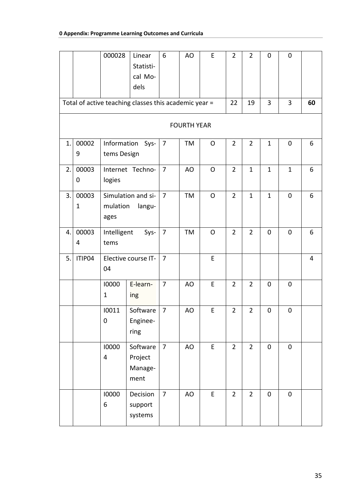|    |                                                       | 000028                     | Linear<br>Statisti-<br>cal Mo-<br>dels | 6              | AO        | E            | $\overline{2}$ | $\overline{2}$ | $\pmb{0}$           | $\mathbf 0$  |    |
|----|-------------------------------------------------------|----------------------------|----------------------------------------|----------------|-----------|--------------|----------------|----------------|---------------------|--------------|----|
|    | Total of active teaching classes this academic year = |                            |                                        |                |           |              |                | 19             | 3                   | 3            | 60 |
|    | <b>FOURTH YEAR</b>                                    |                            |                                        |                |           |              |                |                |                     |              |    |
| 1. | 00002<br>9                                            | Information<br>tems Design | Sys-                                   | 7              | TM        | $\mathsf{O}$ | $\overline{2}$ | 2              | $\mathbf{1}$        | $\mathbf 0$  | 6  |
| 2. | 00003<br>0                                            | logies                     | Internet Techno-                       | $\overline{7}$ | AO        | $\circ$      | $\overline{2}$ | $\mathbf{1}$   | $\mathbf{1}$        | $\mathbf{1}$ | 6  |
| 3. | 00003<br>$\mathbf{1}$                                 | mulation<br>ages           | Simulation and si-<br>langu-           | $\overline{7}$ | <b>TM</b> | $\mathsf{O}$ | $\overline{2}$ | $\mathbf{1}$   | $\mathbf{1}$        | $\mathbf 0$  | 6  |
| 4. | 00003<br>4                                            | Intelligent<br>tems        | Sys-                                   | $\overline{7}$ | TM        | $\mathsf{O}$ | $\overline{2}$ | $\overline{2}$ | $\mathbf 0$         | $\mathbf 0$  | 6  |
| 5. | ITIP04                                                | 04                         | Elective course IT-                    | 7              |           | E            |                |                |                     |              | 4  |
|    |                                                       | 10000<br>$\mathbf 1$       | E-learn-<br>ing                        | $\overline{7}$ | AO        | E            | $\overline{2}$ | $\overline{2}$ | $\pmb{0}$           | $\mathbf 0$  |    |
|    |                                                       | 10011<br>$\mathbf 0$       | Software<br>Enginee-<br>ring           | $\overline{7}$ | AO        | E            | $\overline{2}$ | $\overline{2}$ | $\mathbf 0$         | $\pmb{0}$    |    |
|    |                                                       | 10000<br>4                 | Software<br>Project<br>Manage-<br>ment | $\overline{7}$ | AO        | $\mathsf E$  | $\overline{2}$ | $\overline{2}$ | $\mathsf{O}\xspace$ | $\pmb{0}$    |    |
|    |                                                       | 10000<br>6                 | Decision<br>support<br>systems         | $\overline{7}$ | AO        | E            | $\overline{2}$ | $\overline{2}$ | $\pmb{0}$           | $\pmb{0}$    |    |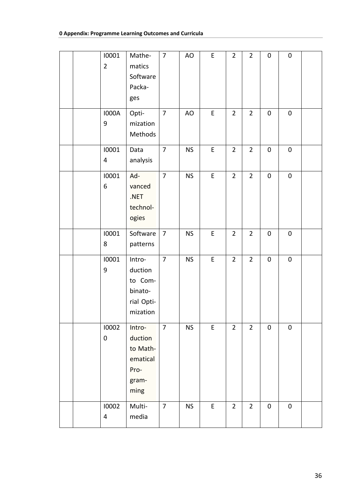|  | 10001<br>$\overline{2}$   | Mathe-<br>matics<br>Software<br>Packa-<br>ges                      | $\overline{7}$ | AO        | $\mathsf E$ | $\overline{2}$ | $\overline{2}$ | $\pmb{0}$   | $\mathbf 0$ |  |
|--|---------------------------|--------------------------------------------------------------------|----------------|-----------|-------------|----------------|----------------|-------------|-------------|--|
|  | <b>I000A</b><br>9         | Opti-<br>mization<br>Methods                                       | $\overline{7}$ | AO        | $\mathsf E$ | $\overline{2}$ | $\overline{2}$ | $\pmb{0}$   | $\pmb{0}$   |  |
|  | 10001<br>4                | Data<br>analysis                                                   | $\overline{7}$ | <b>NS</b> | $\mathsf E$ | $\overline{2}$ | $\overline{2}$ | $\pmb{0}$   | $\pmb{0}$   |  |
|  | 10001<br>6                | Ad-<br>vanced<br>.NET<br>technol-<br>ogies                         | $\overline{7}$ | <b>NS</b> | $\sf E$     | $\overline{2}$ | $\overline{2}$ | $\pmb{0}$   | $\pmb{0}$   |  |
|  | 10001<br>8                | Software<br>patterns                                               | $\overline{7}$ | <b>NS</b> | $\mathsf E$ | $\overline{2}$ | $\overline{2}$ | $\pmb{0}$   | $\pmb{0}$   |  |
|  | 10001<br>9                | Intro-<br>duction<br>to Com-<br>binato-<br>rial Opti-<br>mization  | $\overline{7}$ | <b>NS</b> | E           | $\overline{2}$ | $\overline{2}$ | $\pmb{0}$   | $\pmb{0}$   |  |
|  | 10002<br>$\boldsymbol{0}$ | Intro-<br>duction<br>to Math-<br>ematical<br>Pro-<br>gram-<br>ming | $\overline{7}$ | <b>NS</b> | E           | $\overline{2}$ | $\overline{2}$ | $\mathbf 0$ | $\mathbf 0$ |  |
|  | 10002<br>4                | Multi-<br>media                                                    | $\overline{7}$ | <b>NS</b> | E           | $\overline{2}$ | $\overline{2}$ | $\mathbf 0$ | $\pmb{0}$   |  |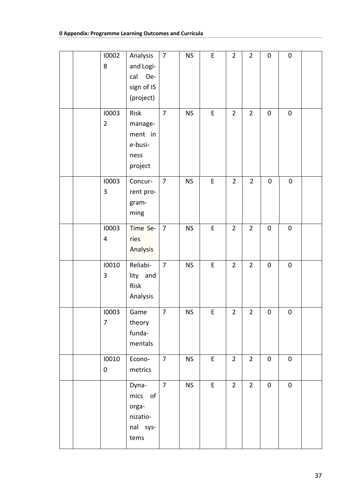|  | 10002<br>8              | Analysis<br>and Logi-<br>cal<br>De-<br>sign of IS<br>(project) | $\overline{7}$ | <b>NS</b> | E           | $\overline{2}$ | $\overline{2}$ | $\mathbf 0$      | $\pmb{0}$ |  |
|--|-------------------------|----------------------------------------------------------------|----------------|-----------|-------------|----------------|----------------|------------------|-----------|--|
|  | 10003<br>$\overline{2}$ | Risk<br>manage-<br>ment in<br>e-busi-<br>ness<br>project       | $\overline{7}$ | <b>NS</b> | $\mathsf E$ | $\overline{2}$ | $\overline{2}$ | $\mathbf 0$      | $\pmb{0}$ |  |
|  | 10003<br>3              | Concur-<br>rent pro-<br>gram-<br>ming                          | $\overline{7}$ | <b>NS</b> | $\mathsf E$ | $\overline{2}$ | $\overline{2}$ | $\pmb{0}$        | $\pmb{0}$ |  |
|  | 10003<br>4              | Time Se-<br>ries<br>Analysis                                   | $\overline{7}$ | <b>NS</b> | $\mathsf E$ | $\overline{2}$ | $\overline{2}$ | $\pmb{0}$        | $\pmb{0}$ |  |
|  | 10010<br>3              | Reliabi-<br>lity and<br>Risk<br>Analysis                       | 7              | <b>NS</b> | E           | $\overline{2}$ | $\overline{2}$ | 0                | 0         |  |
|  | 10003<br>$\overline{7}$ | Game<br>theory<br>funda-<br>mentals                            | $\overline{7}$ | <b>NS</b> | E           | $\overline{2}$ | $\overline{2}$ | $\boldsymbol{0}$ | $\pmb{0}$ |  |
|  | 10010<br>$\pmb{0}$      | Econo-<br>metrics                                              | $\overline{7}$ | <b>NS</b> | $\mathsf E$ | $\overline{2}$ | $2^{\circ}$    | $\pmb{0}$        | $\pmb{0}$ |  |
|  |                         | Dyna-<br>mics<br>of<br>orga-<br>nizatio-<br>nal sys-<br>tems   | $\overline{7}$ | <b>NS</b> | E           | $\overline{2}$ | $2^{\circ}$    | $\pmb{0}$        | $\pmb{0}$ |  |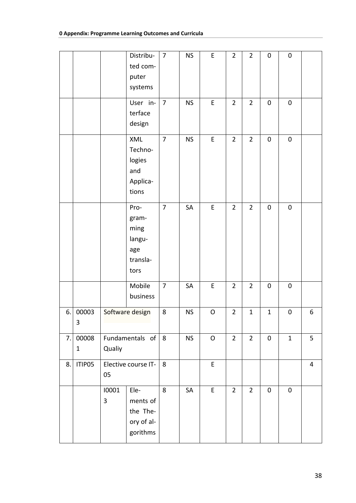|    |                |                         | Distribu-<br>ted com-<br>puter<br>systems                  | $\overline{7}$ | <b>NS</b> | E           | $\overline{2}$ | $\overline{2}$ | $\pmb{0}$           | $\pmb{0}$    |                |
|----|----------------|-------------------------|------------------------------------------------------------|----------------|-----------|-------------|----------------|----------------|---------------------|--------------|----------------|
|    |                |                         | User in-<br>terface<br>design                              | $\overline{7}$ | <b>NS</b> | $\mathsf E$ | $\overline{2}$ | $\overline{2}$ | $\pmb{0}$           | $\pmb{0}$    |                |
|    |                |                         | XML<br>Techno-<br>logies<br>and<br>Applica-<br>tions       | $\overline{7}$ | <b>NS</b> | E           | $\overline{2}$ | $\overline{2}$ | $\pmb{0}$           | $\pmb{0}$    |                |
|    |                |                         | Pro-<br>gram-<br>ming<br>langu-<br>age<br>transla-<br>tors | $\overline{7}$ | SA        | E           | $\overline{2}$ | $\overline{2}$ | $\mathbf 0$         | $\pmb{0}$    |                |
|    |                |                         | Mobile<br>business                                         | $\overline{7}$ | SA        | E           | $\overline{2}$ | $\overline{2}$ | $\pmb{0}$           | $\pmb{0}$    |                |
| 6. | 00003<br>3     |                         | Software design                                            | 8              | <b>NS</b> | $\mathsf O$ | $\overline{2}$ | $\mathbf 1$    | $\mathbf 1$         | $\pmb{0}$    | 6              |
| 7. | 00008<br>$1\,$ | Qualiy                  | Fundamentals of $\vert$                                    | 8              | <b>NS</b> | $\mathsf O$ | $\overline{2}$ | $\overline{2}$ | $\mathsf{O}\xspace$ | $\mathbf{1}$ | 5              |
| 8. | ITIP05         | 05                      | Elective course IT-                                        | 8              |           | E           |                |                |                     |              | $\overline{4}$ |
|    |                | 10001<br>$\overline{3}$ | Ele-<br>ments of<br>the The-<br>ory of al-<br>gorithms     | 8              | SA        | E           | $\overline{2}$ | $\overline{2}$ | $\mathbf 0$         | $\pmb{0}$    |                |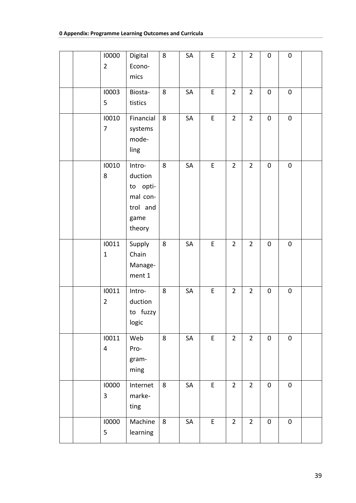|  | 10000<br>$\overline{2}$ | Digital<br>Econo-<br>mics                                               | 8              | SA        | $\mathsf E$ | $\overline{2}$ | $\overline{2}$ | $\pmb{0}$   | $\pmb{0}$ |  |
|--|-------------------------|-------------------------------------------------------------------------|----------------|-----------|-------------|----------------|----------------|-------------|-----------|--|
|  | 10003<br>5              | Biosta-<br>tistics                                                      | $\bf 8$        | SA        | E           | $\overline{2}$ | $\overline{2}$ | $\pmb{0}$   | $\pmb{0}$ |  |
|  | 10010<br>7              | Financial<br>systems<br>mode-<br>ling                                   | 8              | SA        | E           | $\overline{2}$ | $\overline{2}$ | $\pmb{0}$   | $\pmb{0}$ |  |
|  | 10010<br>8              | Intro-<br>duction<br>to opti-<br>mal con-<br>trol and<br>game<br>theory | 8              | SA        | $\mathsf E$ | $\overline{2}$ | $\overline{2}$ | $\pmb{0}$   | $\pmb{0}$ |  |
|  | 10011<br>$\mathbf{1}$   | Supply<br>Chain<br>Manage-<br>ment 1                                    | 8              | <b>SA</b> | E           | $\overline{2}$ | $\overline{2}$ | $\mathbf 0$ | $\pmb{0}$ |  |
|  | 10011<br>$\overline{2}$ | Intro-<br>duction<br>to fuzzy<br>logic                                  | 8              | SA        | E           | $\overline{2}$ | $\overline{2}$ | $\pmb{0}$   | $\pmb{0}$ |  |
|  | 10011<br>4              | Web<br>Pro-<br>gram-<br>ming                                            | 8              | SA        | $\mathsf E$ | $\overline{2}$ | $\overline{2}$ | $\pmb{0}$   | $\pmb{0}$ |  |
|  | 10000<br>3              | Internet<br>marke-<br>ting                                              | 8              | SA        | $\mathsf E$ | $\overline{2}$ | $\overline{2}$ | $\pmb{0}$   | $\pmb{0}$ |  |
|  | 10000<br>5              | Machine<br>learning                                                     | $8\phantom{1}$ | SA        | E           | $\overline{2}$ | $\overline{2}$ | $\pmb{0}$   | $\pmb{0}$ |  |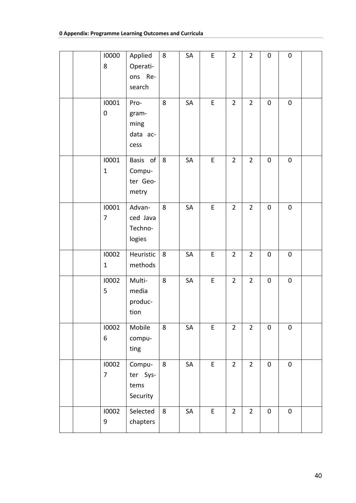| 10000<br>8            | Applied<br>Operati-<br>ons Re-<br>search  | 8 | SA | $\mathsf E$ | $\overline{2}$ | $\overline{2}$ | $\mathbf 0$ | $\pmb{0}$   |  |
|-----------------------|-------------------------------------------|---|----|-------------|----------------|----------------|-------------|-------------|--|
| 10001<br>$\pmb{0}$    | Pro-<br>gram-<br>ming<br>data ac-<br>cess | 8 | SA | $\mathsf E$ | $\overline{2}$ | $\overline{2}$ | $\pmb{0}$   | $\pmb{0}$   |  |
| 10001<br>$\mathbf{1}$ | Basis of<br>Compu-<br>ter Geo-<br>metry   | 8 | SA | $\sf E$     | $\overline{2}$ | $\overline{2}$ | $\pmb{0}$   | $\pmb{0}$   |  |
| 10001<br>7            | Advan-<br>ced Java<br>Techno-<br>logies   | 8 | SA | $\mathsf E$ | $\overline{2}$ | $\overline{2}$ | $\pmb{0}$   | $\pmb{0}$   |  |
| 10002<br>$\mathbf 1$  | Heuristic<br>methods                      | 8 | SA | $\sf E$     | $\overline{2}$ | $\overline{2}$ | $\pmb{0}$   | $\pmb{0}$   |  |
| 10002<br>5            | Multi-<br>media<br>produc-<br>tion        | 8 | SA | $\mathsf E$ | $\overline{2}$ | $\overline{2}$ | $\pmb{0}$   | $\pmb{0}$   |  |
| 10002<br>6            | Mobile<br>compu-<br>ting                  | 8 | SA | E           | $\overline{2}$ | $\overline{2}$ | $\mathbf 0$ | $\mathbf 0$ |  |
| 10002<br>7            | Compu-<br>ter Sys-<br>tems<br>Security    | 8 | SA | E           | $\overline{2}$ | $\overline{2}$ | $\pmb{0}$   | $\pmb{0}$   |  |
| 10002<br>9            | Selected<br>chapters                      | 8 | SA | $\mathsf E$ | $\overline{2}$ | $\overline{2}$ | $\mathbf 0$ | $\pmb{0}$   |  |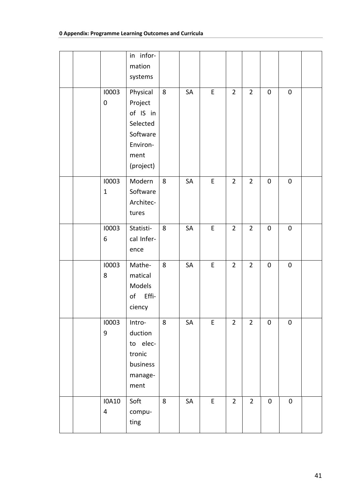|  |                   | in infor-         |         |    |             |                |                |             |           |  |
|--|-------------------|-------------------|---------|----|-------------|----------------|----------------|-------------|-----------|--|
|  |                   | mation<br>systems |         |    |             |                |                |             |           |  |
|  | 10003             | Physical          | $\bf 8$ | SA | E           | $\overline{2}$ | $\overline{2}$ | $\mathbf 0$ | $\pmb{0}$ |  |
|  | $\pmb{0}$         | Project           |         |    |             |                |                |             |           |  |
|  |                   | of IS in          |         |    |             |                |                |             |           |  |
|  |                   | Selected          |         |    |             |                |                |             |           |  |
|  |                   | Software          |         |    |             |                |                |             |           |  |
|  |                   | Environ-          |         |    |             |                |                |             |           |  |
|  |                   | ment              |         |    |             |                |                |             |           |  |
|  |                   | (project)         |         |    |             |                |                |             |           |  |
|  | 10003             | Modern            | $\bf 8$ | SA | $\mathsf E$ | $\overline{2}$ | $\overline{2}$ | $\mathbf 0$ | $\pmb{0}$ |  |
|  | $\mathbf{1}$      | Software          |         |    |             |                |                |             |           |  |
|  |                   | Architec-         |         |    |             |                |                |             |           |  |
|  |                   | tures             |         |    |             |                |                |             |           |  |
|  | 10003             | Statisti-         | 8       | SA | E           | $\overline{2}$ | $\overline{2}$ | $\mathbf 0$ | $\pmb{0}$ |  |
|  | 6                 | cal Infer-        |         |    |             |                |                |             |           |  |
|  |                   | ence              |         |    |             |                |                |             |           |  |
|  | 10003             | Mathe-            | 8       | SA | E           | $\overline{2}$ | $\overline{2}$ | $\mathbf 0$ | $\pmb{0}$ |  |
|  | 8                 | matical           |         |    |             |                |                |             |           |  |
|  |                   | Models            |         |    |             |                |                |             |           |  |
|  |                   | of Effi-          |         |    |             |                |                |             |           |  |
|  |                   | ciency            |         |    |             |                |                |             |           |  |
|  | 10003             | Intro-            | $\,8\,$ | SA | $\sf E$     | $\overline{2}$ | $\overline{2}$ | $\pmb{0}$   | $\pmb{0}$ |  |
|  | 9                 | duction           |         |    |             |                |                |             |           |  |
|  |                   | to elec-          |         |    |             |                |                |             |           |  |
|  |                   | tronic            |         |    |             |                |                |             |           |  |
|  |                   | business          |         |    |             |                |                |             |           |  |
|  |                   | manage-<br>ment   |         |    |             |                |                |             |           |  |
|  |                   |                   |         |    |             |                |                |             |           |  |
|  | <b>IOA10</b><br>4 | Soft              | 8       | SA | $\mathsf E$ | $\overline{2}$ | $\overline{2}$ | $\pmb{0}$   | $\pmb{0}$ |  |
|  |                   | compu-<br>ting    |         |    |             |                |                |             |           |  |
|  |                   |                   |         |    |             |                |                |             |           |  |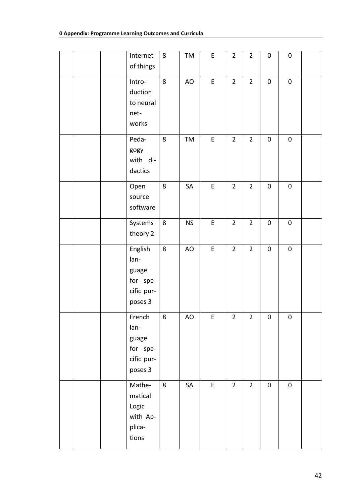|  | Internet<br>of things                                         | 8       | TM        | $\mathsf E$ | $\overline{2}$ | $\overline{2}$ | $\pmb{0}$   | $\pmb{0}$ |  |
|--|---------------------------------------------------------------|---------|-----------|-------------|----------------|----------------|-------------|-----------|--|
|  | Intro-<br>duction<br>to neural<br>net-<br>works               | 8       | AO        | $\mathsf E$ | $\overline{2}$ | $\overline{2}$ | $\pmb{0}$   | $\pmb{0}$ |  |
|  | Peda-<br>gogy<br>with di-<br>dactics                          | $\bf 8$ | TM        | $\mathsf E$ | $\overline{2}$ | $\overline{2}$ | $\pmb{0}$   | $\pmb{0}$ |  |
|  | Open<br>source<br>software                                    | 8       | SA        | $\mathsf E$ | $\overline{2}$ | $\overline{2}$ | $\pmb{0}$   | $\pmb{0}$ |  |
|  | Systems<br>theory 2                                           | 8       | <b>NS</b> | $\mathsf E$ | $\overline{2}$ | $\overline{2}$ | $\pmb{0}$   | $\pmb{0}$ |  |
|  | English<br>lan-<br>guage<br>for spe-<br>cific pur-<br>poses 3 | 8       | AO        | $\mathsf E$ | $\overline{2}$ | $\overline{2}$ | $\pmb{0}$   | $\pmb{0}$ |  |
|  | French<br>lan-<br>guage<br>for spe-<br>cific pur-<br>poses 3  | $\bf 8$ | AO        | E,          | $\overline{2}$ | $2^{1}$        | $\mathbf 0$ | $\pmb{0}$ |  |
|  | Mathe-<br>matical<br>Logic<br>with Ap-<br>plica-<br>tions     | 8       | SA        | $\mathsf E$ | $\overline{2}$ | $\overline{2}$ | $\pmb{0}$   | $\pmb{0}$ |  |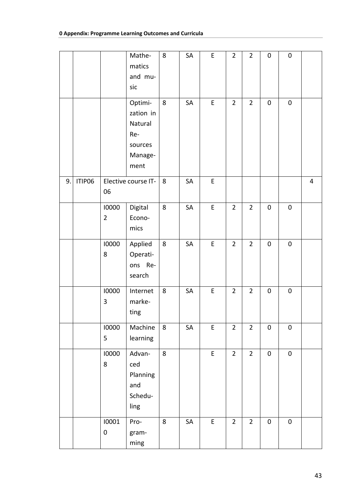|    |        |                         | Mathe-<br>matics<br>and mu-<br>sic                                   | 8              | SA | E           | $\overline{2}$ | $\overline{2}$ | $\pmb{0}$ | $\pmb{0}$ |                |
|----|--------|-------------------------|----------------------------------------------------------------------|----------------|----|-------------|----------------|----------------|-----------|-----------|----------------|
|    |        |                         | Optimi-<br>zation in<br>Natural<br>Re-<br>sources<br>Manage-<br>ment | $8\phantom{1}$ | SA | E           | $\overline{2}$ | $\overline{2}$ | $\pmb{0}$ | $\pmb{0}$ |                |
| 9. | ITIP06 | 06                      | Elective course IT-                                                  | 8              | SA | E           |                |                |           |           | $\overline{4}$ |
|    |        | 10000<br>$\overline{2}$ | Digital<br>Econo-<br>mics                                            | 8              | SA | $\mathsf E$ | $\overline{2}$ | $\overline{2}$ | $\pmb{0}$ | $\pmb{0}$ |                |
|    |        | 10000<br>8              | Applied<br>Operati-<br>ons Re-<br>search                             | 8              | SA | E           | $\overline{2}$ | $\overline{2}$ | $\pmb{0}$ | $\pmb{0}$ |                |
|    |        | 10000<br>3              | Internet<br>marke-<br>ting                                           | 8              | SA | E           | $\overline{2}$ | $\overline{2}$ | $\pmb{0}$ | $\pmb{0}$ |                |
|    |        | 10000<br>5              | Machine<br>learning                                                  | 8              | SA | E           | $\overline{2}$ | $\overline{2}$ | $\pmb{0}$ | $\pmb{0}$ |                |
|    |        | 10000<br>8              | Advan-<br>ced<br>Planning<br>and<br>Schedu-<br>ling                  | 8              |    | $\mathsf E$ | $\overline{2}$ | $\overline{2}$ | $\pmb{0}$ | $\pmb{0}$ |                |
|    |        | 10001<br>$\pmb{0}$      | Pro-<br>gram-<br>ming                                                | 8              | SA | E           | $\overline{2}$ | $\overline{2}$ | $\pmb{0}$ | 0         |                |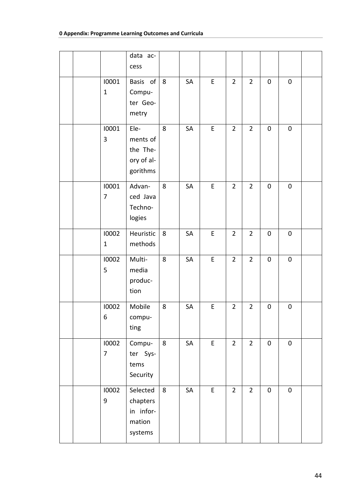|  |                         | data ac-<br>cess                                       |   |    |             |                |                |             |           |  |
|--|-------------------------|--------------------------------------------------------|---|----|-------------|----------------|----------------|-------------|-----------|--|
|  | 10001<br>$\mathbf{1}$   | Basis of<br>Compu-<br>ter Geo-<br>metry                | 8 | SA | E           | $\overline{2}$ | $\overline{2}$ | $\pmb{0}$   | $\pmb{0}$ |  |
|  | 10001<br>3              | Ele-<br>ments of<br>the The-<br>ory of al-<br>gorithms | 8 | SA | $\mathsf E$ | $\overline{2}$ | $\overline{2}$ | $\pmb{0}$   | $\pmb{0}$ |  |
|  | 10001<br>7              | Advan-<br>ced Java<br>Techno-<br>logies                | 8 | SA | $\mathsf E$ | $\overline{2}$ | $\overline{2}$ | $\mathbf 0$ | $\pmb{0}$ |  |
|  | 10002<br>$\mathbf{1}$   | Heuristic<br>methods                                   | 8 | SA | E           | $\overline{2}$ | $\overline{2}$ | $\pmb{0}$   | $\pmb{0}$ |  |
|  | 10002<br>5              | Multi-<br>media<br>produc-<br>tion                     | 8 | SA | E           | $\overline{2}$ | $\overline{2}$ | $\pmb{0}$   | $\pmb{0}$ |  |
|  | 10002<br>6              | Mobile<br>compu-<br>ting                               | 8 | SA | E           | $\overline{2}$ | $\overline{2}$ | $\pmb{0}$   | $\pmb{0}$ |  |
|  | 10002<br>$\overline{7}$ | Compu-<br>ter Sys-<br>tems<br>Security                 | 8 | SA | E           | $\overline{2}$ | $\overline{2}$ | $\pmb{0}$   | $\pmb{0}$ |  |
|  | 10002<br>9              | Selected<br>chapters<br>in infor-<br>mation<br>systems | 8 | SA | E           | $\overline{2}$ | $\overline{2}$ | $\pmb{0}$   | $\pmb{0}$ |  |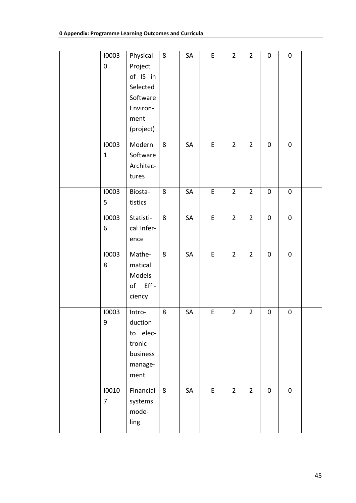|  | 10003            | Physical   | 8 | SA | $\mathsf E$ | $\overline{2}$ | $\overline{2}$ | $\mathbf 0$ | $\pmb{0}$ |  |
|--|------------------|------------|---|----|-------------|----------------|----------------|-------------|-----------|--|
|  | $\mathbf 0$      | Project    |   |    |             |                |                |             |           |  |
|  |                  | of IS in   |   |    |             |                |                |             |           |  |
|  |                  | Selected   |   |    |             |                |                |             |           |  |
|  |                  | Software   |   |    |             |                |                |             |           |  |
|  |                  | Environ-   |   |    |             |                |                |             |           |  |
|  |                  | ment       |   |    |             |                |                |             |           |  |
|  |                  | (project)  |   |    |             |                |                |             |           |  |
|  | 10003            | Modern     | 8 | SA | $\mathsf E$ | $\overline{2}$ | $\overline{2}$ | $\mathbf 0$ | $\pmb{0}$ |  |
|  | $\mathbf{1}$     | Software   |   |    |             |                |                |             |           |  |
|  |                  | Architec-  |   |    |             |                |                |             |           |  |
|  |                  | tures      |   |    |             |                |                |             |           |  |
|  | 10003            | Biosta-    | 8 | SA | $\mathsf E$ | $\overline{2}$ | $\overline{2}$ | $\pmb{0}$   | $\pmb{0}$ |  |
|  | 5                | tistics    |   |    |             |                |                |             |           |  |
|  | 10003            | Statisti-  | 8 | SA | $\sf E$     | $\overline{2}$ | $\overline{2}$ | $\pmb{0}$   | $\pmb{0}$ |  |
|  | 6                | cal Infer- |   |    |             |                |                |             |           |  |
|  |                  | ence       |   |    |             |                |                |             |           |  |
|  | 10003            | Mathe-     | 8 | SA | $\sf E$     | $\overline{2}$ | $\overline{2}$ | $\pmb{0}$   | $\pmb{0}$ |  |
|  | 8                | matical    |   |    |             |                |                |             |           |  |
|  |                  | Models     |   |    |             |                |                |             |           |  |
|  |                  | of Effi-   |   |    |             |                |                |             |           |  |
|  |                  | ciency     |   |    |             |                |                |             |           |  |
|  | 10003            | Intro-     | 8 | SA | $\mathsf E$ | $\overline{2}$ | $\overline{2}$ | $\pmb{0}$   | $\pmb{0}$ |  |
|  | $\boldsymbol{9}$ | duction    |   |    |             |                |                |             |           |  |
|  |                  | to elec-   |   |    |             |                |                |             |           |  |
|  |                  | tronic     |   |    |             |                |                |             |           |  |
|  |                  | business   |   |    |             |                |                |             |           |  |
|  |                  | manage-    |   |    |             |                |                |             |           |  |
|  |                  | ment       |   |    |             |                |                |             |           |  |
|  | 10010            | Financial  | 8 | SA | $\mathsf E$ | $\overline{2}$ | $\overline{2}$ | $\pmb{0}$   | $\pmb{0}$ |  |
|  | 7                | systems    |   |    |             |                |                |             |           |  |
|  |                  | mode-      |   |    |             |                |                |             |           |  |
|  |                  | ling       |   |    |             |                |                |             |           |  |
|  |                  |            |   |    |             |                |                |             |           |  |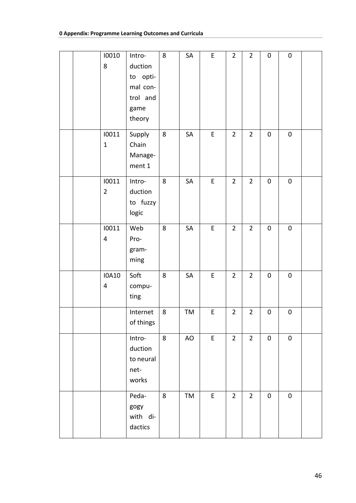|  | 10010          | Intro-    | 8 | SA        | $\mathsf E$ | $\overline{2}$ | $\overline{2}$ | $\pmb{0}$ | $\pmb{0}$ |  |
|--|----------------|-----------|---|-----------|-------------|----------------|----------------|-----------|-----------|--|
|  | 8              | duction   |   |           |             |                |                |           |           |  |
|  |                |           |   |           |             |                |                |           |           |  |
|  |                | to opti-  |   |           |             |                |                |           |           |  |
|  |                | mal con-  |   |           |             |                |                |           |           |  |
|  |                | trol and  |   |           |             |                |                |           |           |  |
|  |                | game      |   |           |             |                |                |           |           |  |
|  |                | theory    |   |           |             |                |                |           |           |  |
|  | 10011          | Supply    | 8 | SA        | $\mathsf E$ | $\overline{2}$ | $\overline{2}$ | $\pmb{0}$ | $\pmb{0}$ |  |
|  | $\mathbf{1}$   | Chain     |   |           |             |                |                |           |           |  |
|  |                | Manage-   |   |           |             |                |                |           |           |  |
|  |                | ment 1    |   |           |             |                |                |           |           |  |
|  | 10011          | Intro-    | 8 | SA        | E           | $\overline{2}$ | $\overline{2}$ | $\pmb{0}$ | $\pmb{0}$ |  |
|  | $\overline{2}$ | duction   |   |           |             |                |                |           |           |  |
|  |                |           |   |           |             |                |                |           |           |  |
|  |                | to fuzzy  |   |           |             |                |                |           |           |  |
|  |                | logic     |   |           |             |                |                |           |           |  |
|  | 10011          | Web       | 8 | SA        | $\mathsf E$ | $\overline{2}$ | $\overline{2}$ | $\pmb{0}$ | $\pmb{0}$ |  |
|  | $\overline{4}$ | Pro-      |   |           |             |                |                |           |           |  |
|  |                | gram-     |   |           |             |                |                |           |           |  |
|  |                | ming      |   |           |             |                |                |           |           |  |
|  |                |           |   |           |             |                |                |           |           |  |
|  | <b>IOA10</b>   | Soft      | 8 | SA        | $\sf E$     | $\overline{2}$ | $\overline{2}$ | $\pmb{0}$ | $\pmb{0}$ |  |
|  | $\overline{4}$ | compu-    |   |           |             |                |                |           |           |  |
|  |                | ting      |   |           |             |                |                |           |           |  |
|  |                | Internet  | 8 | TM        | $\mathsf E$ | $\overline{2}$ | $\overline{2}$ | $\pmb{0}$ | $\pmb{0}$ |  |
|  |                | of things |   |           |             |                |                |           |           |  |
|  |                | Intro-    | 8 | <b>AO</b> | $\mathsf E$ | $\overline{2}$ | $\overline{2}$ | $\pmb{0}$ | $\pmb{0}$ |  |
|  |                | duction   |   |           |             |                |                |           |           |  |
|  |                | to neural |   |           |             |                |                |           |           |  |
|  |                |           |   |           |             |                |                |           |           |  |
|  |                | net-      |   |           |             |                |                |           |           |  |
|  |                | works     |   |           |             |                |                |           |           |  |
|  |                | Peda-     | 8 | TM        | E           | $\overline{2}$ | $\overline{2}$ | $\pmb{0}$ | $\pmb{0}$ |  |
|  |                | gogy      |   |           |             |                |                |           |           |  |
|  |                | with di-  |   |           |             |                |                |           |           |  |
|  |                | dactics   |   |           |             |                |                |           |           |  |
|  |                |           |   |           |             |                |                |           |           |  |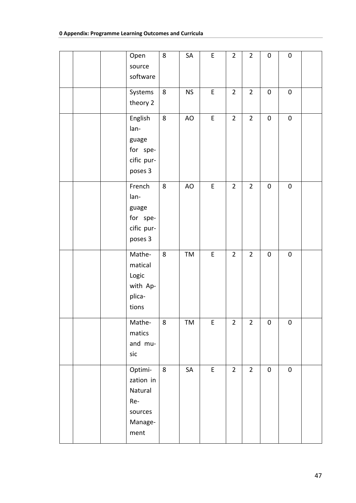|  | Open                                                                 | 8       | SA        | $\mathsf E$ | $\overline{2}$ | $\overline{2}$ | $\pmb{0}$ | $\pmb{0}$ |  |
|--|----------------------------------------------------------------------|---------|-----------|-------------|----------------|----------------|-----------|-----------|--|
|  | source<br>software                                                   |         |           |             |                |                |           |           |  |
|  | Systems<br>theory 2                                                  | 8       | <b>NS</b> | E           | $\overline{2}$ | $\overline{2}$ | $\pmb{0}$ | $\pmb{0}$ |  |
|  | English<br>lan-<br>guage<br>for spe-<br>cific pur-<br>poses 3        | 8       | AO        | $\mathsf E$ | $\overline{2}$ | $\overline{2}$ | $\pmb{0}$ | $\pmb{0}$ |  |
|  | French<br>lan-<br>guage<br>for spe-<br>cific pur-<br>poses 3         | 8       | AO        | $\mathsf E$ | $\overline{2}$ | $\overline{2}$ | $\pmb{0}$ | $\pmb{0}$ |  |
|  | Mathe-<br>matical<br>Logic<br>with Ap-<br>plica-<br>tions            | 8       | TM        | $\mathsf E$ | $\overline{2}$ | $\overline{2}$ | $\pmb{0}$ | $\pmb{0}$ |  |
|  | Mathe-<br>matics<br>and mu-<br>sic                                   | 8       | TM        | E           | $\overline{2}$ | $\overline{2}$ | $\pmb{0}$ | $\pmb{0}$ |  |
|  | Optimi-<br>zation in<br>Natural<br>Re-<br>sources<br>Manage-<br>ment | $\bf 8$ | SA        | $\mathsf E$ | $\overline{2}$ | $\overline{2}$ | $\pmb{0}$ | $\pmb{0}$ |  |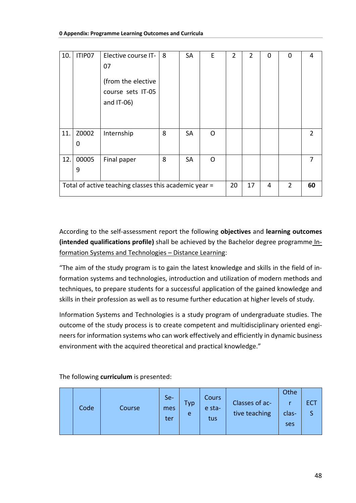| 10. | ITIP07                                                | Elective course IT- | 8  | SA        | E        | 2              | $\overline{2}$ | 0 | 0 | 4              |
|-----|-------------------------------------------------------|---------------------|----|-----------|----------|----------------|----------------|---|---|----------------|
|     |                                                       | 07                  |    |           |          |                |                |   |   |                |
|     |                                                       |                     |    |           |          |                |                |   |   |                |
|     |                                                       | (from the elective  |    |           |          |                |                |   |   |                |
|     |                                                       | course sets IT-05   |    |           |          |                |                |   |   |                |
|     |                                                       | and $IT-06$ )       |    |           |          |                |                |   |   |                |
|     |                                                       |                     |    |           |          |                |                |   |   |                |
|     |                                                       |                     |    |           |          |                |                |   |   |                |
| 11. | Z0002                                                 |                     | 8  | SA        | $\Omega$ |                |                |   |   | $\overline{2}$ |
|     |                                                       | Internship          |    |           |          |                |                |   |   |                |
|     | 0                                                     |                     |    |           |          |                |                |   |   |                |
|     |                                                       |                     | 8  |           |          |                |                |   |   | 7              |
| 12. | 00005                                                 | Final paper         |    | <b>SA</b> | $\Omega$ |                |                |   |   |                |
|     | 9                                                     |                     |    |           |          |                |                |   |   |                |
|     |                                                       |                     |    |           |          |                |                |   |   |                |
|     | Total of active teaching classes this academic year = |                     | 20 | 17        | 4        | $\overline{2}$ | 60             |   |   |                |
|     |                                                       |                     |    |           |          |                |                |   |   |                |

According to the self-assessment report the following objectives and learning outcomes (intended qualifications profile) shall be achieved by the Bachelor degree programme Information Systems and Technologies - Distance Learning:

"The aim of the study program is to gain the latest knowledge and skills in the field of information systems and technologies, introduction and utilization of modern methods and techniques, to prepare students for a successful application of the gained knowledge and skills in their profession as well as to resume further education at higher levels of study.

Information Systems and Technologies is a study program of undergraduate studies. The outcome of the study process is to create competent and multidisciplinary oriented engineers for information systems who can work effectively and efficiently in dynamic business environment with the acquired theoretical and practical knowledge."

The following curriculum is presented:

|  | Code | Course | Se-<br>mes<br>ter | Typ<br>e | Cours<br>e sta-<br>tus | Classes of ac-<br>tive teaching | Othe<br>clas-<br>ses | <b>ECT</b> |
|--|------|--------|-------------------|----------|------------------------|---------------------------------|----------------------|------------|
|--|------|--------|-------------------|----------|------------------------|---------------------------------|----------------------|------------|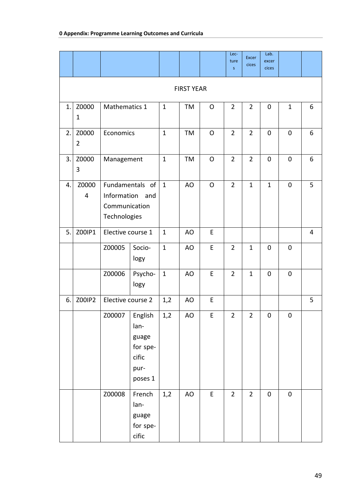|    |                         |                                       |                                                                  |              |                   |              | Lec-<br>ture<br>S | <b>Excer</b><br>cices | Lab.<br>excer<br><b>cices</b> |              |   |
|----|-------------------------|---------------------------------------|------------------------------------------------------------------|--------------|-------------------|--------------|-------------------|-----------------------|-------------------------------|--------------|---|
|    |                         |                                       |                                                                  |              |                   |              |                   |                       |                               |              |   |
|    |                         |                                       |                                                                  |              | <b>FIRST YEAR</b> |              |                   |                       |                               |              |   |
| 1. | Z0000<br>$\mathbf{1}$   |                                       | Mathematics 1<br>Economics                                       |              | TM                | O            | $\overline{2}$    | $\overline{2}$        | $\pmb{0}$                     | $\mathbf{1}$ | 6 |
|    |                         |                                       |                                                                  |              |                   |              |                   |                       |                               |              |   |
| 2. | Z0000<br>$\overline{2}$ | Management                            |                                                                  | $\mathbf{1}$ | TM                | $\mathsf O$  | $\overline{2}$    | $\overline{2}$        | $\mathbf 0$                   | $\mathbf 0$  | 6 |
| 3. | Z0000<br>3              | Fundamentals of<br>Information<br>and |                                                                  | $\mathbf{1}$ | TM                | $\mathsf{O}$ | $\overline{2}$    | $\overline{2}$        | $\mathbf 0$                   | $\mathbf 0$  | 6 |
| 4. | Z0000<br>4              | Communication<br>Technologies         |                                                                  | $\mathbf{1}$ | AO                | O            | $\overline{2}$    | $\mathbf{1}$          | $\mathbf{1}$                  | $\pmb{0}$    | 5 |
| 5. | Z00IP1                  | Elective course 1                     |                                                                  | $\mathbf{1}$ | AO                | E            |                   |                       |                               |              | 4 |
|    |                         | Z00005                                | Socio-<br>logy                                                   | $\mathbf{1}$ | AO                | $\mathsf E$  | $\overline{2}$    | $\mathbf{1}$          | $\mathbf 0$                   | $\mathbf 0$  |   |
|    |                         | Z00006                                | Psycho-<br>logy                                                  | $\mathbf{1}$ | AO                | $\mathsf E$  | $\overline{2}$    | $\mathbf{1}$          | $\mathbf 0$                   | $\mathbf 0$  |   |
| 6. | Z00IP2                  | Elective course 2                     |                                                                  | 1,2          | AO                | E            |                   |                       |                               |              | 5 |
|    |                         | Z00007                                | English<br>lan-<br>guage<br>for spe-<br>cific<br>pur-<br>poses 1 | 1,2          | AO                | E            | $\overline{2}$    | $\overline{2}$        | 0                             | $\pmb{0}$    |   |
|    |                         | Z00008                                | French<br>lan-<br>guage<br>for spe-<br>cific                     | 1,2          | AO                | E            | $\overline{2}$    | $\overline{2}$        | $\pmb{0}$                     | $\pmb{0}$    |   |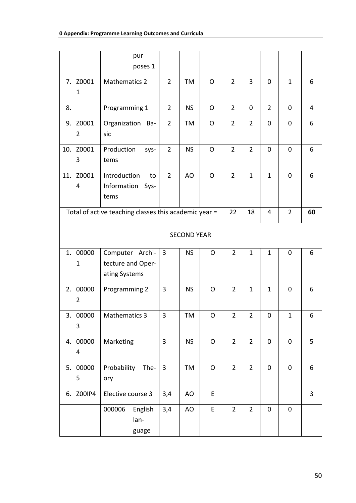|     |                         |                                                       | pur-<br>poses 1   |                |                    |              |                |                |                |                |    |
|-----|-------------------------|-------------------------------------------------------|-------------------|----------------|--------------------|--------------|----------------|----------------|----------------|----------------|----|
|     |                         |                                                       |                   |                |                    |              |                |                |                |                |    |
| 7.  | Z0001                   | <b>Mathematics 2</b>                                  |                   | $\overline{2}$ | TM                 | $\mathsf{O}$ | $\overline{2}$ | 3              | $\mathbf 0$    | $\mathbf{1}$   | 6  |
|     | 1                       |                                                       |                   |                |                    |              |                |                |                |                |    |
| 8.  |                         | Programming 1                                         |                   | $\overline{2}$ | <b>NS</b>          | O            | $\overline{2}$ | 0              | $\overline{2}$ | 0              | 4  |
| 9.  | Z0001                   |                                                       | Organization Ba-  | $\overline{2}$ | TM                 | $\mathsf{O}$ | $\overline{2}$ | $\overline{2}$ | $\mathbf 0$    | $\mathbf 0$    | 6  |
|     | $\overline{2}$          | sic                                                   |                   |                |                    |              |                |                |                |                |    |
| 10. | Z0001                   | Production                                            | sys-              | $\overline{2}$ | <b>NS</b>          | $\mathsf{O}$ | $\overline{2}$ | $\overline{2}$ | $\mathbf 0$    | $\mathbf 0$    | 6  |
|     | 3                       | tems                                                  |                   |                |                    |              |                |                |                |                |    |
| 11. | Z0001                   | Introduction                                          | to                | $\overline{2}$ | AO                 | $\mathsf{O}$ | $\overline{2}$ | $\mathbf{1}$   | $\mathbf{1}$   | $\mathbf 0$    | 6  |
|     | 4                       | Information                                           | Sys-              |                |                    |              |                |                |                |                |    |
|     |                         | tems                                                  |                   |                |                    |              |                |                |                |                |    |
|     |                         |                                                       |                   |                |                    |              |                |                |                |                |    |
|     |                         | Total of active teaching classes this academic year = |                   |                |                    |              | 22             | 18             | $\overline{4}$ | $\overline{2}$ | 60 |
|     |                         |                                                       |                   |                | <b>SECOND YEAR</b> |              |                |                |                |                |    |
|     |                         |                                                       |                   |                |                    |              |                |                |                |                |    |
| 1.  | 00000                   |                                                       | Computer Archi-   | 3              | <b>NS</b>          | $\mathsf{O}$ | $\overline{2}$ | $\mathbf{1}$   | $\mathbf{1}$   | $\mathbf 0$    | 6  |
|     | 1                       |                                                       | tecture and Oper- |                |                    |              |                |                |                |                |    |
|     |                         | ating Systems                                         |                   |                |                    |              |                |                |                |                |    |
| 2.  | 00000                   | Programming 2                                         |                   | $\overline{3}$ | <b>NS</b>          | O            | $\overline{2}$ | $\mathbf{1}$   | $\mathbf{1}$   | 0              | 6  |
|     | $\overline{2}$          |                                                       |                   |                |                    |              |                |                |                |                |    |
|     |                         |                                                       |                   |                |                    |              |                |                |                |                |    |
| 3.  | 00000                   | <b>Mathematics 3</b>                                  |                   | $\mathbf{3}$   | TM                 | $\mathsf O$  | $\overline{2}$ | $\overline{2}$ | $\pmb{0}$      | $\mathbf{1}$   | 6  |
|     | 3                       |                                                       |                   |                |                    |              |                |                |                |                |    |
| 4.1 | 00000                   | Marketing                                             |                   | $\overline{3}$ | <b>NS</b>          | $\mathsf O$  | $\overline{2}$ | $\overline{2}$ | $\mathbf 0$    | $\mathbf 0$    | 5  |
|     | $\overline{\mathbf{4}}$ |                                                       |                   |                |                    |              |                |                |                |                |    |
| 5.1 | 00000                   |                                                       | Probability The-  | $\overline{3}$ | TM                 | O            | $\overline{2}$ | $\overline{2}$ | $\mathbf 0$    | $\pmb{0}$      | 6  |
|     | 5                       | ory                                                   |                   |                |                    |              |                |                |                |                |    |
|     |                         |                                                       |                   |                |                    |              |                |                |                |                |    |
| 6.  | Z00IP4                  | Elective course 3                                     |                   | 3,4            | AO                 | E            |                |                |                |                | 3  |
|     |                         | 000006                                                | English           | 3,4            | AO                 | E            | $\overline{2}$ | $\overline{2}$ | $\mathbf 0$    | $\mathbf 0$    |    |
|     |                         |                                                       | lan-              |                |                    |              |                |                |                |                |    |
|     |                         |                                                       | guage             |                |                    |              |                |                |                |                |    |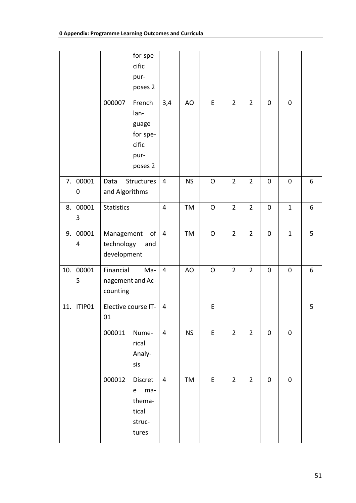|     |        |                   | for spe-<br>cific            |                |           |              |                |                |             |              |   |
|-----|--------|-------------------|------------------------------|----------------|-----------|--------------|----------------|----------------|-------------|--------------|---|
|     |        |                   | pur-<br>poses 2              |                |           |              |                |                |             |              |   |
|     |        | 000007            | French                       | 3,4            | AO        | E            | $\overline{2}$ | $\overline{2}$ | $\mathbf 0$ | $\mathbf 0$  |   |
|     |        |                   | lan-                         |                |           |              |                |                |             |              |   |
|     |        |                   | guage                        |                |           |              |                |                |             |              |   |
|     |        |                   | for spe-<br>cific            |                |           |              |                |                |             |              |   |
|     |        |                   | pur-                         |                |           |              |                |                |             |              |   |
|     |        |                   | poses 2                      |                |           |              |                |                |             |              |   |
| 7.  | 00001  | Data              | Structures                   | $\overline{4}$ | <b>NS</b> | $\mathsf{O}$ | $\overline{2}$ | $\overline{2}$ | $\pmb{0}$   | $\mathbf 0$  | 6 |
|     | 0      | and Algorithms    |                              |                |           |              |                |                |             |              |   |
| 8.  | 00001  | <b>Statistics</b> |                              | 4              | TM        | O            | $\overline{2}$ | $\overline{2}$ | 0           | $\mathbf{1}$ | 6 |
|     | 3      |                   |                              |                |           |              |                |                |             |              |   |
| 9.  | 00001  | Management        | o <sub>f</sub>               | $\overline{4}$ | TM        | $\mathsf O$  | $\overline{2}$ | $\overline{2}$ | $\pmb{0}$   | $\mathbf{1}$ | 5 |
|     | 4      | technology        | and                          |                |           |              |                |                |             |              |   |
|     |        | development       |                              |                |           |              |                |                |             |              |   |
| 10. | 00001  | Financial         | Ma-                          | $\overline{4}$ | AO        | O            | $\overline{2}$ | $\overline{2}$ | $\pmb{0}$   | $\mathbf 0$  | 6 |
|     | 5      |                   | nagement and Ac-             |                |           |              |                |                |             |              |   |
|     |        | counting          |                              |                |           |              |                |                |             |              |   |
| 11. | ITIP01 |                   | Elective course IT-          | $\overline{4}$ |           | E            |                |                |             |              | 5 |
|     |        | $01\,$            |                              |                |           |              |                |                |             |              |   |
|     |        | 000011            | Nume-                        | $\overline{4}$ | <b>NS</b> | E            | $\overline{2}$ | $\overline{2}$ | $\pmb{0}$   | $\pmb{0}$    |   |
|     |        |                   | rical                        |                |           |              |                |                |             |              |   |
|     |        |                   | Analy-<br>sis                |                |           |              |                |                |             |              |   |
|     |        |                   |                              |                |           |              |                |                |             |              |   |
|     |        | 000012            | Discret                      | $\overline{4}$ | TM        | E            | $\overline{2}$ | $\overline{2}$ | $\pmb{0}$   | $\pmb{0}$    |   |
|     |        |                   | ma-<br>$\mathsf e$<br>thema- |                |           |              |                |                |             |              |   |
|     |        |                   | tical                        |                |           |              |                |                |             |              |   |
|     |        |                   | struc-                       |                |           |              |                |                |             |              |   |
|     |        |                   | tures                        |                |           |              |                |                |             |              |   |
|     |        |                   |                              |                |           |              |                |                |             |              |   |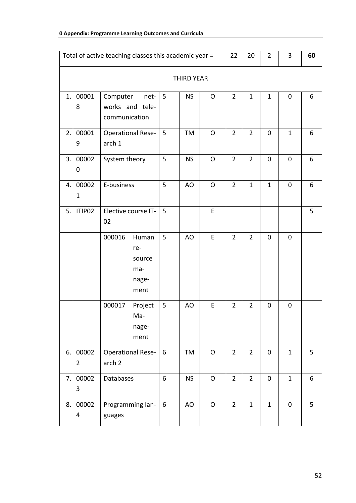| Total of active teaching classes this academic year = |                                                                                                                                                                |                                                          |                          |   |           |              | 22             | 20             | $\overline{2}$ | 3            | 60 |  |
|-------------------------------------------------------|----------------------------------------------------------------------------------------------------------------------------------------------------------------|----------------------------------------------------------|--------------------------|---|-----------|--------------|----------------|----------------|----------------|--------------|----|--|
|                                                       | <b>THIRD YEAR</b><br>00001<br>Computer<br>5 <sup>5</sup><br><b>NS</b><br>$\overline{2}$<br>$\mathbf{1}$<br>$\mathbf{1}$<br>1.<br>net-<br>O<br>$\mathbf 0$<br>6 |                                                          |                          |   |           |              |                |                |                |              |    |  |
|                                                       | 8                                                                                                                                                              | communication                                            | works and tele-          |   |           |              |                |                |                |              |    |  |
| 2.                                                    | 00001<br>9                                                                                                                                                     | arch 1                                                   | <b>Operational Rese-</b> | 5 | TM        | O            | $\overline{2}$ | $\overline{2}$ | 0              | $\mathbf{1}$ | 6  |  |
| 3.                                                    | 00002<br>0                                                                                                                                                     | System theory<br>E-business                              |                          | 5 | <b>NS</b> | O            | $\overline{2}$ | $\overline{2}$ | $\pmb{0}$      | $\mathbf 0$  | 6  |  |
| 4.                                                    | 00002<br>$\mathbf{1}$                                                                                                                                          |                                                          |                          | 5 | AO        | $\mathsf{O}$ | $\overline{2}$ | $\mathbf{1}$   | $\mathbf{1}$   | $\mathbf 0$  | 6  |  |
| 5.                                                    | ITIP02                                                                                                                                                         | Elective course IT-<br>02                                |                          | 5 |           | E            |                |                |                |              | 5  |  |
|                                                       |                                                                                                                                                                | 000016<br>Human<br>re-<br>source<br>ma-<br>nage-<br>ment |                          | 5 | AO        | E            | $\overline{2}$ | $\overline{2}$ | 0              | $\mathbf 0$  |    |  |
|                                                       |                                                                                                                                                                | 000017<br>Project<br>Ma-<br>nage-<br>ment                |                          | 5 | AO        | E            | $\overline{2}$ | $\overline{2}$ | 0              | 0            |    |  |
| 6.                                                    | 00002<br>$\overline{2}$                                                                                                                                        | <b>Operational Rese-</b><br>arch <sub>2</sub>            |                          | 6 | TM        | $\mathsf O$  | $\overline{2}$ | $\overline{2}$ | $\pmb{0}$      | $\mathbf 1$  | 5  |  |
| 7.                                                    | 00002<br>$\mathbf{3}$                                                                                                                                          | Databases                                                |                          | 6 | <b>NS</b> | $\mathsf O$  | $\overline{2}$ | $\overline{2}$ | $\pmb{0}$      | $\mathbf{1}$ | 6  |  |
| 8.                                                    | 00002<br>4                                                                                                                                                     | Programming lan-<br>guages                               |                          | 6 | AO        | $\mathsf{O}$ | $\overline{2}$ | $\mathbf{1}$   | $\mathbf{1}$   | $\mathbf 0$  | 5  |  |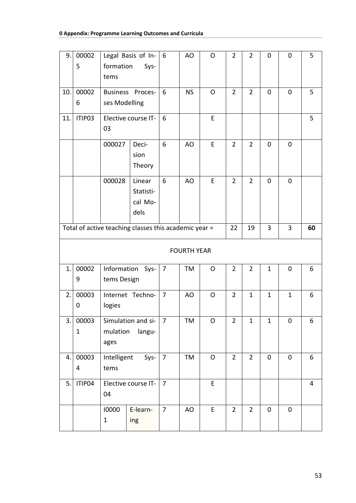| 9.  | 00002<br>5            | formation<br>tems                                     | Legal Basis of In-<br>Sys-             | 6              | AO                 | $\mathsf{O}$ | $\overline{2}$ | $\overline{2}$ | 0            | $\mathbf 0$  | 5              |
|-----|-----------------------|-------------------------------------------------------|----------------------------------------|----------------|--------------------|--------------|----------------|----------------|--------------|--------------|----------------|
| 10. | 00002<br>6            | ses Modelling                                         | Business Proces-                       | 6              | <b>NS</b>          | $\mathsf{O}$ | $\overline{2}$ | $\overline{2}$ | 0            | $\mathbf 0$  | 5              |
| 11. | ITIP03                | 03                                                    | Elective course IT-                    | 6              |                    | E            |                |                |              |              | 5              |
|     |                       | 000027                                                | Deci-<br>sion<br>Theory                | 6              | AO                 | E            | $\overline{2}$ | $\overline{2}$ | $\mathbf 0$  | $\mathbf 0$  |                |
|     |                       | 000028                                                | Linear<br>Statisti-<br>cal Mo-<br>dels | 6              | AO                 | E            | $\overline{2}$ | $\overline{2}$ | 0            | 0            |                |
|     |                       | Total of active teaching classes this academic year = |                                        |                |                    |              | 22             | 19             | 3            | 3            | 60             |
|     |                       |                                                       |                                        |                | <b>FOURTH YEAR</b> |              |                |                |              |              |                |
| 1.  | 00002<br>9            | Information<br>tems Design                            | Sys-                                   | 7              | TM                 | O            | $\overline{2}$ | $\overline{2}$ | $\mathbf{1}$ | 0            | 6              |
| 2.  | 00003<br>0            | logies                                                | Internet Techno-                       | $\overline{7}$ | AO                 | $\mathsf{O}$ | $\overline{2}$ | $\mathbf{1}$   | $\mathbf{1}$ | $\mathbf{1}$ | 6              |
| 3.  | 00003<br>$\mathbf{1}$ | mulation<br>ages                                      | Simulation and si-<br>langu-           | $\overline{7}$ | TM                 | O            | $\overline{2}$ | $\mathbf{1}$   | $\mathbf{1}$ | $\pmb{0}$    | 6              |
| 4.  | 00003<br>4            | Intelligent<br>Sys-<br>tems                           |                                        | $\overline{7}$ | TM                 | O            | $\overline{2}$ | $\overline{2}$ | 0            | $\mathbf 0$  | 6              |
| 5.  | ITIP04                | Elective course IT-<br>04                             |                                        | $\overline{7}$ |                    | $\mathsf E$  |                |                |              |              | $\overline{4}$ |
|     |                       | 10000<br>1                                            | E-learn-<br>ing                        | $\overline{7}$ | AO                 | E            | $\overline{2}$ | $\overline{2}$ | $\pmb{0}$    | $\pmb{0}$    |                |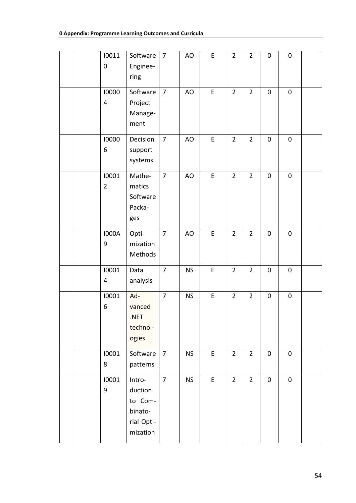| 10011<br>$\mathbf 0$    | Software<br>Enginee-<br>ring                                      | $\overline{7}$ | AO        | $\mathsf E$ | $\overline{2}$ | $\overline{2}$ | $\pmb{0}$ | $\pmb{0}$ |  |
|-------------------------|-------------------------------------------------------------------|----------------|-----------|-------------|----------------|----------------|-----------|-----------|--|
| 10000<br>4              | Software<br>Project<br>Manage-<br>ment                            | $\overline{7}$ | AO        | $\mathsf E$ | $\overline{2}$ | $\overline{2}$ | $\pmb{0}$ | $\pmb{0}$ |  |
| 10000<br>6              | Decision<br>support<br>systems                                    | $\overline{7}$ | AO        | E           | $\overline{2}$ | $\overline{2}$ | $\pmb{0}$ | $\pmb{0}$ |  |
| 10001<br>$\overline{2}$ | Mathe-<br>matics<br>Software<br>Packa-<br>ges                     | $\overline{7}$ | AO        | E           | $\overline{2}$ | $\overline{2}$ | $\pmb{0}$ | $\pmb{0}$ |  |
| <b>I000A</b><br>9       | Opti-<br>mization<br>Methods                                      | $\overline{7}$ | AO        | $\sf E$     | $\overline{2}$ | $\overline{2}$ | $\pmb{0}$ | $\pmb{0}$ |  |
| 10001<br>4              | Data<br>analysis                                                  | $\overline{7}$ | <b>NS</b> | $\mathsf E$ | $\overline{2}$ | $\overline{2}$ | $\pmb{0}$ | $\pmb{0}$ |  |
| 10001<br>6              | Ad-<br>vanced<br>.NET<br>technol-<br>ogies                        | $\overline{7}$ | <b>NS</b> | E           | $\overline{2}$ | $\overline{2}$ | $\pmb{0}$ | $\pmb{0}$ |  |
| 10001<br>8              | Software<br>patterns                                              | $\overline{7}$ | <b>NS</b> | $\mathsf E$ | $\overline{2}$ | $\overline{2}$ | $\pmb{0}$ | $\pmb{0}$ |  |
| 10001<br>9              | Intro-<br>duction<br>to Com-<br>binato-<br>rial Opti-<br>mization | $\overline{7}$ | <b>NS</b> | $\mathsf E$ | $\overline{2}$ | $\overline{2}$ | $\pmb{0}$ | $\pmb{0}$ |  |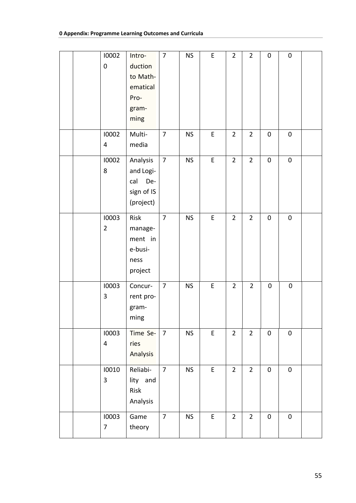| 10002<br>$\mathbf 0$             | Intro-<br>duction<br>to Math-<br>ematical<br>Pro-<br>gram-<br>ming | $\overline{7}$ | <b>NS</b> | E           | $\overline{2}$ | $\overline{2}$ | $\pmb{0}$ | $\pmb{0}$   |  |
|----------------------------------|--------------------------------------------------------------------|----------------|-----------|-------------|----------------|----------------|-----------|-------------|--|
| 10002<br>4                       | Multi-<br>media                                                    | $\overline{7}$ | <b>NS</b> | $\mathsf E$ | $\overline{2}$ | $\overline{2}$ | $\pmb{0}$ | $\pmb{0}$   |  |
| 10002<br>8                       | Analysis<br>and Logi-<br>De-<br>cal<br>sign of IS<br>(project)     | $\overline{7}$ | <b>NS</b> | $\sf E$     | $\overline{2}$ | $\overline{2}$ | $\pmb{0}$ | $\pmb{0}$   |  |
| 10003<br>$\overline{2}$          | Risk<br>manage-<br>ment in<br>e-busi-<br>ness<br>project           | $\overline{7}$ | <b>NS</b> | E           | $\overline{2}$ | $\overline{2}$ | $\pmb{0}$ | $\pmb{0}$   |  |
| 10003<br>3                       | Concur-<br>rent pro-<br>gram-<br>ming                              | $\overline{7}$ | <b>NS</b> | E           | $\overline{2}$ | $\overline{2}$ | $\pmb{0}$ | $\mathbf 0$ |  |
| 10003<br>$\overline{\mathbf{4}}$ | Time Se-<br>ries<br>Analysis                                       | $\overline{7}$ | <b>NS</b> | $\mathsf E$ | $\overline{2}$ | $\overline{2}$ | $\pmb{0}$ | $\pmb{0}$   |  |
| 10010<br>$\overline{3}$          | Reliabi-<br>lity and<br>Risk<br>Analysis                           | $\overline{7}$ | <b>NS</b> | $\mathsf E$ | $\overline{2}$ | $\overline{2}$ | $\pmb{0}$ | $\pmb{0}$   |  |
| 10003<br>7                       | Game<br>theory                                                     | $\overline{7}$ | <b>NS</b> | $\mathsf E$ | $\overline{2}$ | $\overline{2}$ | $\pmb{0}$ | $\pmb{0}$   |  |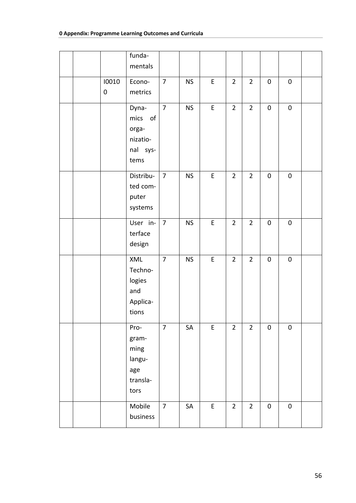|  |                    | funda-<br>mentals                                          |                |            |             |                |                |             |           |  |
|--|--------------------|------------------------------------------------------------|----------------|------------|-------------|----------------|----------------|-------------|-----------|--|
|  | 10010<br>$\pmb{0}$ | Econo-<br>metrics                                          | $\overline{7}$ | <b>NS</b>  | E           | $\overline{2}$ | $\overline{2}$ | $\pmb{0}$   | $\pmb{0}$ |  |
|  |                    | Dyna-<br>mics of<br>orga-<br>nizatio-<br>nal sys-<br>tems  | $\overline{7}$ | <b>NS</b>  | $\mathsf E$ | $\overline{2}$ | $\overline{2}$ | $\pmb{0}$   | $\pmb{0}$ |  |
|  |                    | Distribu-<br>ted com-<br>puter<br>systems                  | $\overline{7}$ | <b>NS</b>  | $\mathsf E$ | $\overline{2}$ | $\overline{2}$ | $\pmb{0}$   | $\pmb{0}$ |  |
|  |                    | User in-<br>terface<br>design                              | $\overline{7}$ | <b>NS</b>  | $\mathsf E$ | $\overline{2}$ | $\overline{2}$ | $\mathbf 0$ | $\pmb{0}$ |  |
|  |                    | XML<br>Techno-<br>logies<br>and<br>Applica-<br>tions       | $\overline{7}$ | <b>NS</b>  | E           | $\overline{2}$ | $\overline{2}$ | $\pmb{0}$   | $\pmb{0}$ |  |
|  |                    | Pro-<br>gram-<br>ming<br>langu-<br>age<br>transla-<br>tors | $\overline{7}$ | SA         | $\mathsf E$ | $\overline{2}$ | $\overline{2}$ | $\mathbf 0$ | $\pmb{0}$ |  |
|  |                    | Mobile<br>business                                         | $\overline{7}$ | ${\sf SA}$ | $\mathsf E$ | $\overline{2}$ | $\overline{2}$ | $\pmb{0}$   | $\pmb{0}$ |  |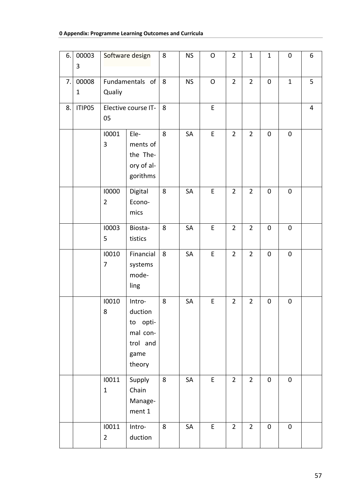## **0 Appendix: Programme Learning Outcomes and Curricula**

| 6. | 00003<br>3           |                         | Software design                                                            | 8 | <b>NS</b> | O            | $\overline{2}$ | $\mathbf{1}$   | $\mathbf{1}$ | $\pmb{0}$    | 6              |
|----|----------------------|-------------------------|----------------------------------------------------------------------------|---|-----------|--------------|----------------|----------------|--------------|--------------|----------------|
| 7. | 00008<br>$\mathbf 1$ | Qualiy                  | Fundamentals of                                                            | 8 | <b>NS</b> | $\mathsf{O}$ | $\overline{2}$ | $\overline{2}$ | $\pmb{0}$    | $\mathbf{1}$ | 5              |
| 8. | ITIP05               | 05                      | Elective course IT-                                                        | 8 |           | E            |                |                |              |              | $\overline{4}$ |
|    |                      | 10001<br>3              | Ele-<br>ments of<br>the The-<br>ory of al-<br>gorithms                     | 8 | SA        | E            | $\overline{2}$ | $\overline{2}$ | $\pmb{0}$    | $\pmb{0}$    |                |
|    |                      | 10000<br>$\overline{2}$ | Digital<br>Econo-<br>mics                                                  | 8 | SA        | E            | $\overline{2}$ | $\overline{2}$ | $\pmb{0}$    | $\pmb{0}$    |                |
|    |                      | 10003<br>5              | Biosta-<br>tistics                                                         | 8 | SA        | E            | $\overline{2}$ | $\overline{2}$ | $\pmb{0}$    | $\pmb{0}$    |                |
|    |                      | 10010<br>7              | Financial<br>systems<br>mode-<br>ling                                      | 8 | SA        | E            | $\overline{2}$ | $\overline{2}$ | $\pmb{0}$    | $\pmb{0}$    |                |
|    |                      | 10010<br>8              | Intro-<br>duction<br>opti-<br>to<br>mal con-<br>trol and<br>game<br>theory | 8 | SA        | E            | $\overline{2}$ | $\overline{2}$ | 0            | $\pmb{0}$    |                |
|    |                      | 10011<br>$\mathbf{1}$   | Supply<br>Chain<br>Manage-<br>ment 1                                       | 8 | SA        | $\mathsf E$  | $\overline{2}$ | $\overline{2}$ | $\pmb{0}$    | $\pmb{0}$    |                |
|    |                      | 10011<br>$\overline{2}$ | Intro-<br>duction                                                          | 8 | SA        | E            | $\overline{2}$ | $\overline{2}$ | $\pmb{0}$    | $\pmb{0}$    |                |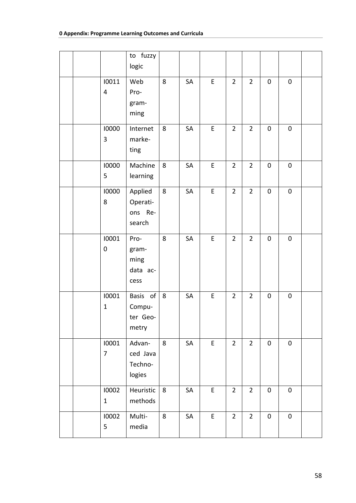|                         | to fuzzy<br>logic                         |         |    |             |                |                |             |           |  |
|-------------------------|-------------------------------------------|---------|----|-------------|----------------|----------------|-------------|-----------|--|
| 10011<br>4              | Web<br>Pro-<br>gram-<br>ming              | 8       | SA | $\mathsf E$ | $\overline{2}$ | $\overline{2}$ | $\pmb{0}$   | $\pmb{0}$ |  |
| 10000<br>3              | Internet<br>marke-<br>ting                | 8       | SA | $\mathsf E$ | $\overline{2}$ | $\overline{2}$ | $\pmb{0}$   | $\pmb{0}$ |  |
| 10000<br>5              | Machine<br>learning                       | 8       | SA | E           | $\overline{2}$ | $\overline{2}$ | $\pmb{0}$   | $\pmb{0}$ |  |
| 10000<br>8              | Applied<br>Operati-<br>ons Re-<br>search  | 8       | SA | $\mathsf E$ | $\overline{2}$ | $\overline{2}$ | $\pmb{0}$   | $\pmb{0}$ |  |
| 10001<br>$\pmb{0}$      | Pro-<br>gram-<br>ming<br>data ac-<br>cess | 8       | SA | $\mathsf E$ | $\overline{2}$ | $\overline{2}$ | $\mathbf 0$ | $\pmb{0}$ |  |
| 10001<br>$\mathbf{1}$   | Basis of<br>Compu-<br>ter Geo-<br>metry   | $\,8\,$ | SA | E           | $\overline{2}$ | $\overline{2}$ | $\pmb{0}$   | $\pmb{0}$ |  |
| 10001<br>$\overline{7}$ | Advan-<br>ced Java<br>Techno-<br>logies   | 8       | SA | $\mathsf E$ | $\overline{2}$ | $\overline{2}$ | $\pmb{0}$   | $\pmb{0}$ |  |
| 10002<br>$\mathbf 1$    | Heuristic<br>methods                      | 8       | SA | $\mathsf E$ | $\overline{2}$ | $\overline{2}$ | $\pmb{0}$   | $\pmb{0}$ |  |
| 10002<br>5              | Multi-<br>media                           | 8       | SA | E           | $\overline{2}$ | $\overline{2}$ | $\pmb{0}$   | $\pmb{0}$ |  |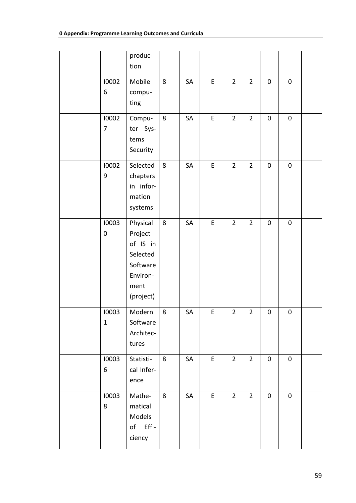|  |                         | produc-<br>tion                                                                          |         |    |             |                |                |             |           |  |
|--|-------------------------|------------------------------------------------------------------------------------------|---------|----|-------------|----------------|----------------|-------------|-----------|--|
|  | 10002<br>6              | Mobile<br>compu-<br>ting                                                                 | 8       | SA | $\mathsf E$ | $\overline{2}$ | $\overline{2}$ | $\pmb{0}$   | $\pmb{0}$ |  |
|  | 10002<br>$\overline{7}$ | Compu-<br>ter Sys-<br>tems<br>Security                                                   | $\,8\,$ | SA | E           | $\overline{2}$ | $\overline{2}$ | $\pmb{0}$   | $\pmb{0}$ |  |
|  | 10002<br>9              | Selected<br>chapters<br>in infor-<br>mation<br>systems                                   | 8       | SA | $\mathsf E$ | $\overline{2}$ | $\overline{2}$ | $\pmb{0}$   | $\pmb{0}$ |  |
|  | 10003<br>$\pmb{0}$      | Physical<br>Project<br>of IS in<br>Selected<br>Software<br>Environ-<br>ment<br>(project) | $\bf 8$ | SA | E           | $\overline{2}$ | $\overline{2}$ | $\mathbf 0$ | $\pmb{0}$ |  |
|  | 10003<br>$\mathbf 1$    | Modern<br>Software<br>Architec-<br>tures                                                 | 8       | SA | E           | $\overline{2}$ | $\overline{2}$ | $\pmb{0}$   | $\pmb{0}$ |  |
|  | 10003<br>6              | Statisti-<br>cal Infer-<br>ence                                                          | 8       | SA | $\mathsf E$ | $\overline{2}$ | $2^{\circ}$    | $\pmb{0}$   | $\pmb{0}$ |  |
|  | 10003<br>8              | Mathe-<br>matical<br>Models<br>of Effi-<br>ciency                                        | 8       | SA | $\mathsf E$ | $\overline{2}$ | $\overline{2}$ | $\pmb{0}$   | $\pmb{0}$ |  |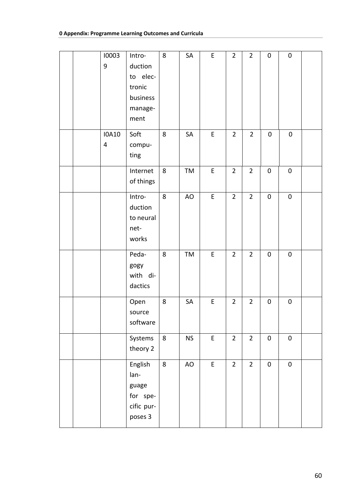|  | 10003<br>$\boldsymbol{9}$ | Intro-<br>duction<br>to elec-<br>tronic<br>business<br>manage-<br>ment | 8       | SA        | $\mathsf E$ | $\overline{2}$ | $\overline{2}$ | $\mathbf 0$ | $\mathbf 0$ |  |
|--|---------------------------|------------------------------------------------------------------------|---------|-----------|-------------|----------------|----------------|-------------|-------------|--|
|  | <b>IOA10</b><br>4         | Soft<br>compu-<br>ting                                                 | 8       | SA        | $\mathsf E$ | $\overline{2}$ | $\overline{2}$ | $\pmb{0}$   | $\pmb{0}$   |  |
|  |                           | Internet<br>of things                                                  | 8       | TM        | $\mathsf E$ | $\overline{2}$ | $\overline{2}$ | $\pmb{0}$   | $\pmb{0}$   |  |
|  |                           | Intro-<br>duction<br>to neural<br>net-<br>works                        | 8       | AO        | E           | $\overline{2}$ | $\overline{2}$ | $\pmb{0}$   | $\pmb{0}$   |  |
|  |                           | Peda-<br>gogy<br>with di-<br>dactics                                   | 8       | TM        | E           | $\overline{2}$ | $\overline{2}$ | $\pmb{0}$   | $\pmb{0}$   |  |
|  |                           | Open<br>source<br>software                                             | 8       | SA        | $\mathsf E$ | $\overline{2}$ | $\overline{2}$ | $\pmb{0}$   | $\pmb{0}$   |  |
|  |                           | Systems<br>theory 2                                                    | $\bf 8$ | <b>NS</b> | $\mathsf E$ | $\overline{2}$ | $\overline{2}$ | $\pmb{0}$   | $\pmb{0}$   |  |
|  |                           | English<br>lan-<br>guage<br>for spe-<br>cific pur-<br>poses 3          | $\bf 8$ | AO        | E           | $\overline{2}$ | $\overline{2}$ | $\pmb{0}$   | $\pmb{0}$   |  |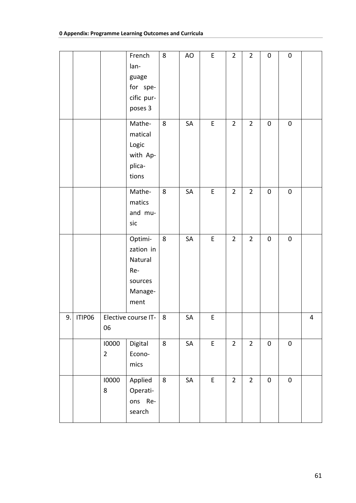|           |                         | French<br>lan-<br>guage<br>for spe-<br>cific pur-<br>poses 3         | 8       | AO | E                                          | $\overline{2}$ | $\overline{2}$ | $\pmb{0}$ | $\pmb{0}$ |                         |
|-----------|-------------------------|----------------------------------------------------------------------|---------|----|--------------------------------------------|----------------|----------------|-----------|-----------|-------------------------|
|           |                         | Mathe-<br>matical<br>Logic<br>with Ap-<br>plica-<br>tions            | $\,8\,$ | SA | E                                          | $\overline{2}$ | $\overline{2}$ | $\pmb{0}$ | $\pmb{0}$ |                         |
|           |                         | Mathe-<br>matics<br>and mu-<br>sic                                   | 8       | SA | $\mathsf E$                                | $\overline{2}$ | $\overline{2}$ | $\pmb{0}$ | $\pmb{0}$ |                         |
|           |                         | Optimi-<br>zation in<br>Natural<br>Re-<br>sources<br>Manage-<br>ment | 8       | SA | E                                          | $\overline{2}$ | $\overline{2}$ | $\pmb{0}$ | $\pmb{0}$ |                         |
| 9. ITIP06 | 06                      | Elective course IT-                                                  | 8       | SA | E                                          |                |                |           |           | $\overline{\mathbf{4}}$ |
|           | 10000<br>$\overline{2}$ | Digital<br>Econo-<br>mics                                            | 8       | SA | $\mathsf{E}% _{0}\left( \mathsf{E}\right)$ | $\overline{2}$ | $\overline{2}$ | $\pmb{0}$ | $\pmb{0}$ |                         |
|           | 10000<br>8              | Applied<br>Operati-<br>ons Re-<br>search                             | 8       | SA | $\mathsf{E}% _{0}\left( \mathsf{E}\right)$ | $\overline{2}$ | $\overline{2}$ | $\pmb{0}$ | $\pmb{0}$ |                         |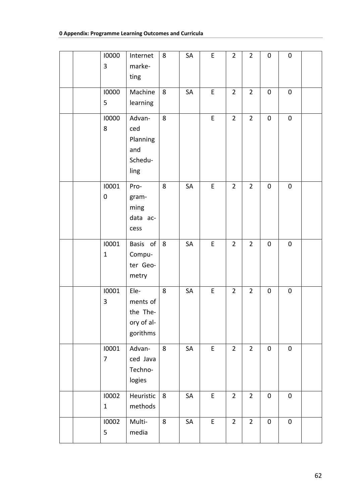|  | 10000<br>3            | Internet<br>marke-<br>ting                             | 8       | SA        | E           | $\overline{2}$ | $\overline{2}$ | $\pmb{0}$   | $\pmb{0}$ |  |
|--|-----------------------|--------------------------------------------------------|---------|-----------|-------------|----------------|----------------|-------------|-----------|--|
|  | 10000<br>5            | Machine<br>learning                                    | 8       | SA        | E           | $\overline{2}$ | $\overline{2}$ | $\pmb{0}$   | $\pmb{0}$ |  |
|  | 10000<br>8            | Advan-<br>ced<br>Planning<br>and<br>Schedu-<br>ling    | 8       |           | $\mathsf E$ | $\overline{2}$ | $\overline{2}$ | $\pmb{0}$   | $\pmb{0}$ |  |
|  | 10001<br>0            | Pro-<br>gram-<br>ming<br>data ac-<br>cess              | 8       | SA        | E           | $\overline{2}$ | $\overline{2}$ | $\mathbf 0$ | $\pmb{0}$ |  |
|  | 10001<br>$\mathbf{1}$ | Basis of<br>Compu-<br>ter Geo-<br>metry                | 8       | <b>SA</b> | E           | $\overline{2}$ | $\overline{2}$ | $\mathbf 0$ | 0         |  |
|  | 10001<br>3            | Ele-<br>ments of<br>the The-<br>ory of al-<br>gorithms | 8       | SA        | E           | $\overline{2}$ | $\overline{2}$ | $\pmb{0}$   | $\pmb{0}$ |  |
|  | 10001<br>7            | Advan-<br>ced Java<br>Techno-<br>logies                | 8       | SA        | $\mathsf E$ | $\overline{2}$ | $\overline{2}$ | $\pmb{0}$   | $\pmb{0}$ |  |
|  | 10002<br>$\mathbf{1}$ | Heuristic<br>methods                                   | 8       | SA        | $\mathsf E$ | $\overline{2}$ | $\overline{2}$ | $\pmb{0}$   | $\pmb{0}$ |  |
|  | 10002<br>5            | Multi-<br>media                                        | $\bf 8$ | SA        | E           | $\overline{2}$ | $\overline{2}$ | $\pmb{0}$   | $\pmb{0}$ |  |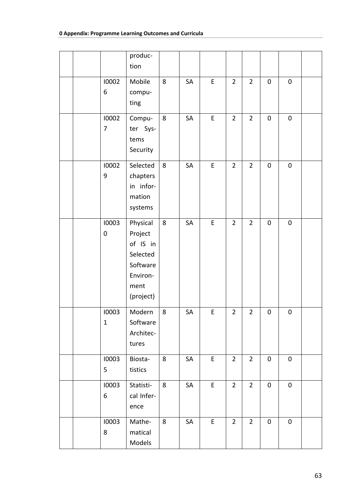|  |                         | produc-<br>tion                                                                          |         |    |             |                |                |           |           |  |
|--|-------------------------|------------------------------------------------------------------------------------------|---------|----|-------------|----------------|----------------|-----------|-----------|--|
|  | 10002<br>6              | Mobile<br>compu-<br>ting                                                                 | 8       | SA | E           | $\overline{2}$ | $\overline{2}$ | $\pmb{0}$ | $\pmb{0}$ |  |
|  | 10002<br>$\overline{7}$ | Compu-<br>ter Sys-<br>tems<br>Security                                                   | $\bf 8$ | SA | $\mathsf E$ | $\overline{2}$ | $\overline{2}$ | $\pmb{0}$ | $\pmb{0}$ |  |
|  | 10002<br>9              | Selected<br>chapters<br>in infor-<br>mation<br>systems                                   | 8       | SA | E           | $\overline{2}$ | $\overline{2}$ | $\pmb{0}$ | $\pmb{0}$ |  |
|  | 10003<br>$\pmb{0}$      | Physical<br>Project<br>of IS in<br>Selected<br>Software<br>Environ-<br>ment<br>(project) | $\bf 8$ | SA | $\mathsf E$ | $\overline{2}$ | $\overline{2}$ | $\pmb{0}$ | $\pmb{0}$ |  |
|  | 10003<br>$\mathbf 1$    | Modern<br>Software<br>Architec-<br>tures                                                 | $\bf 8$ | SA | E           | $\overline{2}$ | $\overline{2}$ | $\pmb{0}$ | $\pmb{0}$ |  |
|  | 10003<br>5              | Biosta-<br>tistics                                                                       | 8       | SA | E           | $\overline{2}$ | $\overline{2}$ | $\pmb{0}$ | $\pmb{0}$ |  |
|  | 10003<br>6              | Statisti-<br>cal Infer-<br>ence                                                          | 8       | SA | E           | $\overline{2}$ | $\overline{2}$ | $\pmb{0}$ | $\pmb{0}$ |  |
|  | 10003<br>8              | Mathe-<br>matical<br>Models                                                              | 8       | SA | E           | $\overline{2}$ | $\overline{2}$ | $\pmb{0}$ | $\pmb{0}$ |  |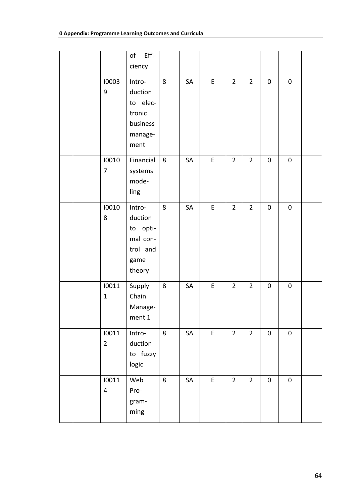|  |                                  | Effi-<br>of<br>ciency                                                   |   |    |             |                |                |           |           |  |
|--|----------------------------------|-------------------------------------------------------------------------|---|----|-------------|----------------|----------------|-----------|-----------|--|
|  | 10003<br>$\boldsymbol{9}$        | Intro-<br>duction<br>to elec-<br>tronic<br>business<br>manage-<br>ment  | 8 | SA | E           | $\overline{2}$ | $\overline{2}$ | $\pmb{0}$ | $\pmb{0}$ |  |
|  | 10010<br>7                       | Financial<br>systems<br>mode-<br>ling                                   | 8 | SA | $\sf E$     | $\overline{2}$ | $\overline{2}$ | $\pmb{0}$ | $\pmb{0}$ |  |
|  | 10010<br>8                       | Intro-<br>duction<br>to opti-<br>mal con-<br>trol and<br>game<br>theory | 8 | SA | $\mathsf E$ | $\overline{2}$ | $\overline{2}$ | $\pmb{0}$ | $\pmb{0}$ |  |
|  | 10011<br>$\mathbf{1}$            | Supply<br>Chain<br>Manage-<br>$\mathop{\mathsf{ment}} 1$                | 8 | SA | E           | $\overline{2}$ | $\overline{2}$ | $\pmb{0}$ | 0         |  |
|  | 10011<br>$\overline{2}$          | Intro-<br>duction<br>to fuzzy<br>logic                                  | 8 | SA | $\mathsf E$ | $\overline{2}$ | $\overline{2}$ | $\pmb{0}$ | $\pmb{0}$ |  |
|  | 10011<br>$\overline{\mathbf{4}}$ | Web<br>Pro-<br>gram-<br>ming                                            | 8 | SA | E           | $\overline{2}$ | $\overline{2}$ | $\pmb{0}$ | $\pmb{0}$ |  |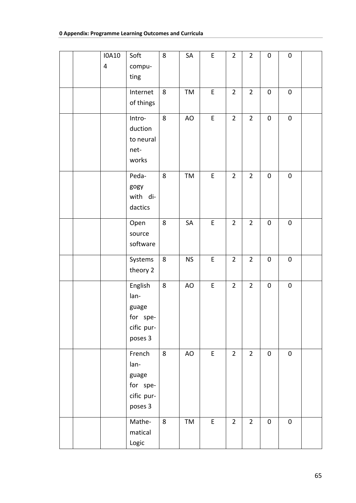|  | <b>IOA10</b> | Soft       | $\bf 8$ | ${\sf SA}$ | E           | $\overline{2}$ | $\overline{2}$ | $\pmb{0}$ | $\pmb{0}$ |  |
|--|--------------|------------|---------|------------|-------------|----------------|----------------|-----------|-----------|--|
|  | 4            | compu-     |         |            |             |                |                |           |           |  |
|  |              | ting       |         |            |             |                |                |           |           |  |
|  |              | Internet   | $\bf 8$ | TM         | E           | $\overline{2}$ | $\overline{2}$ | $\pmb{0}$ | $\pmb{0}$ |  |
|  |              | of things  |         |            |             |                |                |           |           |  |
|  |              |            |         |            |             |                |                |           |           |  |
|  |              | Intro-     | 8       | AO         | $\mathsf E$ | $\overline{2}$ | $\overline{2}$ | $\pmb{0}$ | $\pmb{0}$ |  |
|  |              | duction    |         |            |             |                |                |           |           |  |
|  |              | to neural  |         |            |             |                |                |           |           |  |
|  |              | net-       |         |            |             |                |                |           |           |  |
|  |              | works      |         |            |             |                |                |           |           |  |
|  |              | Peda-      | $\bf 8$ | TM         | ${\sf E}$   | $\overline{2}$ | $\overline{2}$ | $\pmb{0}$ | $\pmb{0}$ |  |
|  |              | gogy       |         |            |             |                |                |           |           |  |
|  |              | with di-   |         |            |             |                |                |           |           |  |
|  |              | dactics    |         |            |             |                |                |           |           |  |
|  |              | Open       | 8       | SA         | $\mathsf E$ | $\overline{2}$ | $\overline{2}$ | $\pmb{0}$ | $\pmb{0}$ |  |
|  |              | source     |         |            |             |                |                |           |           |  |
|  |              | software   |         |            |             |                |                |           |           |  |
|  |              | Systems    | $\bf 8$ | <b>NS</b>  | E           | $\overline{2}$ | $\overline{2}$ | $\pmb{0}$ | $\pmb{0}$ |  |
|  |              | theory 2   |         |            |             |                |                |           |           |  |
|  |              | English    | $\bf 8$ | AO         | $\mathsf E$ | $\overline{2}$ | $\overline{2}$ | $\pmb{0}$ | $\pmb{0}$ |  |
|  |              | lan-       |         |            |             |                |                |           |           |  |
|  |              | guage      |         |            |             |                |                |           |           |  |
|  |              | for spe-   |         |            |             |                |                |           |           |  |
|  |              | cific pur- |         |            |             |                |                |           |           |  |
|  |              | poses 3    |         |            |             |                |                |           |           |  |
|  |              | French     | $\bf 8$ | AO         | E           | $\overline{2}$ | $\overline{2}$ | $\pmb{0}$ | $\pmb{0}$ |  |
|  |              | lan-       |         |            |             |                |                |           |           |  |
|  |              | guage      |         |            |             |                |                |           |           |  |
|  |              | for spe-   |         |            |             |                |                |           |           |  |
|  |              | cific pur- |         |            |             |                |                |           |           |  |
|  |              | poses 3    |         |            |             |                |                |           |           |  |
|  |              | Mathe-     | 8       | TM         | $\mathsf E$ | $\overline{2}$ | $\overline{2}$ | $\pmb{0}$ | $\pmb{0}$ |  |
|  |              | matical    |         |            |             |                |                |           |           |  |
|  |              | Logic      |         |            |             |                |                |           |           |  |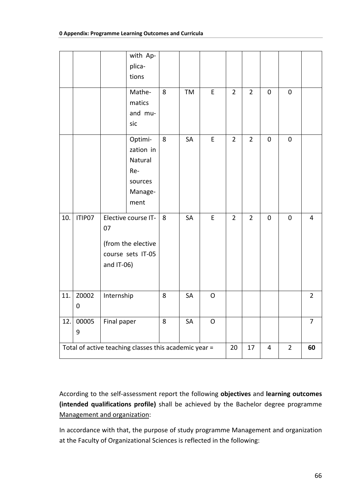|     |        |             | with Ap-                                              |   |    |             |                |                |             |                |                |
|-----|--------|-------------|-------------------------------------------------------|---|----|-------------|----------------|----------------|-------------|----------------|----------------|
|     |        |             | plica-<br>tions                                       |   |    |             |                |                |             |                |                |
|     |        |             |                                                       |   |    |             |                |                |             |                |                |
|     |        |             | Mathe-                                                | 8 | TM | $\mathsf E$ | $\overline{2}$ | $\overline{2}$ | $\pmb{0}$   | $\pmb{0}$      |                |
|     |        |             | matics                                                |   |    |             |                |                |             |                |                |
|     |        |             | and mu-                                               |   |    |             |                |                |             |                |                |
|     |        |             | sic                                                   |   |    |             |                |                |             |                |                |
|     |        |             | Optimi-                                               | 8 | SA | $\mathsf E$ | $\overline{2}$ | $\overline{2}$ | $\pmb{0}$   | $\pmb{0}$      |                |
|     |        |             | zation in                                             |   |    |             |                |                |             |                |                |
|     |        |             | Natural                                               |   |    |             |                |                |             |                |                |
|     |        |             | Re-                                                   |   |    |             |                |                |             |                |                |
|     |        |             | sources                                               |   |    |             |                |                |             |                |                |
|     |        |             | Manage-                                               |   |    |             |                |                |             |                |                |
|     |        |             | ment                                                  |   |    |             |                |                |             |                |                |
| 10. | ITIP07 |             | Elective course IT-                                   | 8 | SA | $\mathsf E$ | $\overline{2}$ | $\overline{2}$ | $\mathbf 0$ | $\pmb{0}$      | $\overline{4}$ |
|     |        | 07          |                                                       |   |    |             |                |                |             |                |                |
|     |        |             | (from the elective                                    |   |    |             |                |                |             |                |                |
|     |        |             | course sets IT-05                                     |   |    |             |                |                |             |                |                |
|     |        | and IT-06)  |                                                       |   |    |             |                |                |             |                |                |
|     |        |             |                                                       |   |    |             |                |                |             |                |                |
|     |        |             |                                                       |   |    |             |                |                |             |                |                |
| 11. | Z0002  | Internship  |                                                       | 8 | SA | $\mathsf O$ |                |                |             |                | $\overline{2}$ |
|     | 0      |             |                                                       |   |    |             |                |                |             |                |                |
| 12. | 00005  | Final paper |                                                       | 8 | SA | $\mathsf O$ |                |                |             |                | $\overline{7}$ |
|     | 9      |             |                                                       |   |    |             |                |                |             |                |                |
|     |        |             | Total of active teaching classes this academic year = |   |    |             | 20             | 17             | 4           | $\overline{2}$ | 60             |
|     |        |             |                                                       |   |    |             |                |                |             |                |                |

According to the self-assessment report the following **objectives** and **learning outcomes (intended qualifications profile)** shall be achieved by the Bachelor degree programme Management and organization:

In accordance with that, the purpose of study programme Management and organization at the Faculty of Organizational Sciences is reflected in the following: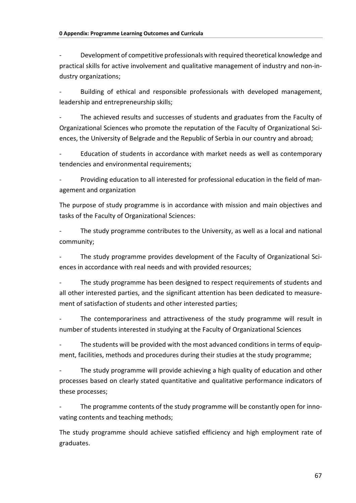Development of competitive professionals with required theoretical knowledge and practical skills for active involvement and qualitative management of industry and non-industry organizations;

Building of ethical and responsible professionals with developed management, leadership and entrepreneurship skills;

The achieved results and successes of students and graduates from the Faculty of Organizational Sciences who promote the reputation of the Faculty of Organizational Sciences, the University of Belgrade and the Republic of Serbia in our country and abroad;

Education of students in accordance with market needs as well as contemporary tendencies and environmental requirements;

Providing education to all interested for professional education in the field of management and organization

The purpose of study programme is in accordance with mission and main objectives and tasks of the Faculty of Organizational Sciences:

The study programme contributes to the University, as well as a local and national community;

The study programme provides development of the Faculty of Organizational Sciences in accordance with real needs and with provided resources;

The study programme has been designed to respect requirements of students and all other interested parties, and the significant attention has been dedicated to measurement of satisfaction of students and other interested parties;

The contemporariness and attractiveness of the study programme will result in number of students interested in studying at the Faculty of Organizational Sciences

The students will be provided with the most advanced conditions in terms of equipment, facilities, methods and procedures during their studies at the study programme;

The study programme will provide achieving a high quality of education and other processes based on clearly stated quantitative and qualitative performance indicators of these processes;

The programme contents of the study programme will be constantly open for innovating contents and teaching methods;

The study programme should achieve satisfied efficiency and high employment rate of graduates.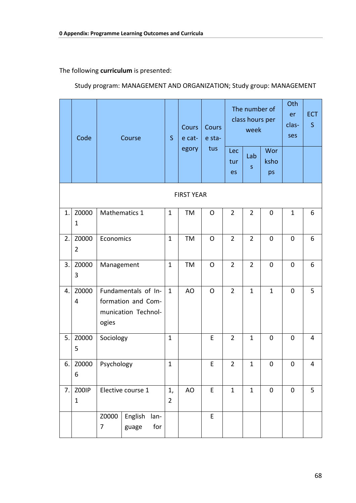The following curriculum is presented:

Study program: MANAGEMENT AND ORGANIZATION; Study group: MANAGEMENT

|    | Code                    | Course                                                                    |                                 | S                    | <b>Cours</b><br>e cat- | Cours<br>e sta- |                  | The number of<br>class hours per<br>week |                   | Oth<br>er<br>clas-<br>ses | <b>ECT</b><br>$\mathsf{S}$ |
|----|-------------------------|---------------------------------------------------------------------------|---------------------------------|----------------------|------------------------|-----------------|------------------|------------------------------------------|-------------------|---------------------------|----------------------------|
|    |                         |                                                                           |                                 |                      | egory                  | tus             | Lec<br>tur<br>es | Lab<br>$\sf S$                           | Wor<br>ksho<br>ps |                           |                            |
|    |                         |                                                                           |                                 |                      | <b>FIRST YEAR</b>      |                 |                  |                                          |                   |                           |                            |
| 1. | Z0000<br>$\mathbf 1$    |                                                                           | Mathematics 1                   | $\mathbf{1}$         | TM                     | O               | $\overline{2}$   | $\overline{2}$                           | $\mathbf 0$       | $\mathbf{1}$              | 6                          |
| 2. | Z0000<br>$\overline{2}$ | Economics                                                                 |                                 | $\mathbf 1$          | TM                     | O               | $\overline{2}$   | $\overline{2}$                           | $\mathbf 0$       | $\mathbf 0$               | 6                          |
| 3. | Z0000<br>3              | Management                                                                |                                 | $\mathbf{1}$         | TM                     | $\mathsf{O}$    | $\overline{2}$   | $\overline{2}$                           | $\mathbf 0$       | $\mathbf 0$               | 6                          |
| 4. | Z0000<br>4              | Fundamentals of In-<br>formation and Com-<br>munication Technol-<br>ogies |                                 | $\mathbf{1}$         | AO                     | $\mathsf{O}$    | $\overline{2}$   | $\mathbf{1}$                             | $\mathbf 1$       | $\mathbf 0$               | 5                          |
| 5. | Z0000<br>5              | Sociology                                                                 |                                 | $\mathbf{1}$         |                        | E               | $\overline{2}$   | $\mathbf 1$                              | $\mathbf 0$       | 0                         | 4                          |
| 6. | Z0000<br>6              | Psychology                                                                |                                 | $\mathbf 1$          |                        | F.              | $\overline{2}$   | $\mathbf{1}$                             | $\Omega$          | $\Omega$                  | 4                          |
| 7. | Z00IP<br>$\mathbf{1}$   |                                                                           | Elective course 1               | 1,<br>$\overline{2}$ | AO                     | E               | $\mathbf{1}$     | $\mathbf{1}$                             | $\mathbf 0$       | $\mathbf 0$               | 5                          |
|    |                         | Z0000<br>7                                                                | English<br>lan-<br>for<br>guage |                      |                        | E               |                  |                                          |                   |                           |                            |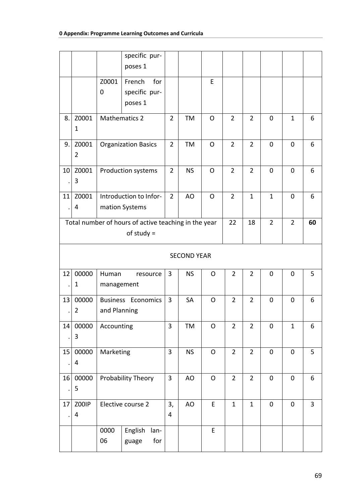|    |                |              | specific pur-                                        |                |           |              |                |                |                |                |    |
|----|----------------|--------------|------------------------------------------------------|----------------|-----------|--------------|----------------|----------------|----------------|----------------|----|
|    |                |              | poses 1                                              |                |           |              |                |                |                |                |    |
|    |                | Z0001        | French<br>for                                        |                |           | E            |                |                |                |                |    |
|    |                | 0            | specific pur-                                        |                |           |              |                |                |                |                |    |
|    |                |              | poses 1                                              |                |           |              |                |                |                |                |    |
| 8. | Z0001          |              | <b>Mathematics 2</b>                                 | $\overline{2}$ | TM        | $\mathsf{O}$ | $\overline{2}$ | $\overline{2}$ | $\mathbf 0$    | $\mathbf{1}$   | 6  |
|    | $\mathbf{1}$   |              |                                                      |                |           |              |                |                |                |                |    |
| 9. | Z0001          |              | <b>Organization Basics</b>                           | $\overline{2}$ | <b>TM</b> | $\mathsf{O}$ | $\overline{2}$ | $\overline{2}$ | 0              | $\mathbf 0$    | 6  |
|    | $\overline{2}$ |              |                                                      |                |           |              |                |                |                |                |    |
| 10 | Z0001          |              | Production systems                                   | $\overline{2}$ | <b>NS</b> | $\mathsf{O}$ | $\overline{2}$ | $\overline{2}$ | $\mathbf 0$    | $\mathbf 0$    | 6  |
|    | 3              |              |                                                      |                |           |              |                |                |                |                |    |
| 11 | Z0001          |              | Introduction to Infor-                               | $\overline{2}$ | AO        | $\mathsf{O}$ | $\overline{2}$ | $\mathbf{1}$   | $\mathbf{1}$   | $\mathbf 0$    | 6  |
|    | 4              |              | mation Systems                                       |                |           |              |                |                |                |                |    |
|    |                |              | Total number of hours of active teaching in the year |                |           |              | 22             | 18             | $\overline{2}$ | $\overline{2}$ | 60 |
|    |                |              | of study $=$                                         |                |           |              |                |                |                |                |    |
|    |                |              |                                                      |                |           |              |                |                |                |                |    |
|    |                |              | <b>SECOND YEAR</b>                                   |                |           |              |                |                |                |                |    |
| 12 | 00000          | Human        | resource                                             | 3              | <b>NS</b> | $\mathsf{O}$ | $\overline{2}$ | $\overline{2}$ | 0              | 0              | 5  |
|    | 1              | management   |                                                      |                |           |              |                |                |                |                |    |
| 13 | 00000          |              | <b>Business Economics</b>                            | 3              | SA        | $\mathsf{O}$ | $\overline{2}$ | $\overline{2}$ | $\mathbf 0$    | $\mathbf 0$    | 6  |
|    | $\overline{2}$ | and Planning |                                                      |                |           |              |                |                |                |                |    |
| 14 | 00000          | Accounting   |                                                      | 3              | TM        | $\mathsf O$  | $\overline{2}$ | $\overline{2}$ | $\mathbf 0$    | $\mathbf{1}$   | 6  |
|    | $\mathbf{3}$   |              |                                                      |                |           |              |                |                |                |                |    |
| 15 | 00000          | Marketing    |                                                      | 3              | <b>NS</b> | O            | $\overline{2}$ | $\overline{2}$ | $\mathbf 0$    | $\mathbf 0$    | 5  |
|    | 4              |              |                                                      |                |           |              |                |                |                |                |    |
| 16 | 00000          |              | Probability Theory                                   | $\overline{3}$ | AO        | $\mathsf{O}$ | $\overline{2}$ | $\overline{2}$ | $\mathbf 0$    | $\mathbf 0$    | 6  |
|    | 5              |              |                                                      |                |           |              |                |                |                |                |    |
| 17 | Z00IP          |              | Elective course 2                                    | 3,             | AO        | E            | $\mathbf{1}$   | $\mathbf{1}$   | $\pmb{0}$      | $\mathbf 0$    | 3  |
|    | 4              |              |                                                      | $\overline{4}$ |           |              |                |                |                |                |    |
|    |                | 0000         | English<br>lan-                                      |                |           | E            |                |                |                |                |    |
|    |                | 06           | for<br>guage                                         |                |           |              |                |                |                |                |    |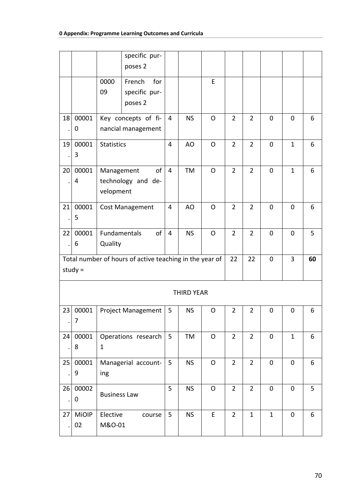|    |            |                     | specific pur-<br>poses 2                                |                |                   |              |                |                |              |              |    |
|----|------------|---------------------|---------------------------------------------------------|----------------|-------------------|--------------|----------------|----------------|--------------|--------------|----|
|    |            |                     |                                                         |                |                   |              |                |                |              |              |    |
|    |            | 0000                | for<br>French                                           |                |                   | E            |                |                |              |              |    |
|    |            | 09                  | specific pur-<br>poses 2                                |                |                   |              |                |                |              |              |    |
|    |            |                     |                                                         |                |                   |              |                |                |              |              |    |
| 18 | 00001      |                     | Key concepts of fi-                                     | $\overline{4}$ | <b>NS</b>         | $\Omega$     | $\overline{2}$ | $\overline{2}$ | $\mathbf 0$  | $\mathbf 0$  | 6  |
|    | 0          |                     | nancial management                                      |                |                   |              |                |                |              |              |    |
| 19 | 00001      | <b>Statistics</b>   |                                                         | 4              | AO                | O            | $\overline{2}$ | $\overline{2}$ | 0            | $\mathbf{1}$ | 6  |
|    | 3          |                     |                                                         |                |                   |              |                |                |              |              |    |
| 20 | 00001      | Management          | of                                                      | $\overline{4}$ | TM                | O            | $\overline{2}$ | $\overline{2}$ | $\mathbf 0$  | $\mathbf{1}$ | 6  |
|    | 4          |                     | technology and de-                                      |                |                   |              |                |                |              |              |    |
|    |            | velopment           |                                                         |                |                   |              |                |                |              |              |    |
|    |            |                     |                                                         |                |                   |              |                |                |              |              |    |
| 21 | 00001<br>5 |                     | <b>Cost Management</b>                                  | 4              | AO                | O            | $\overline{2}$ | $\overline{2}$ | 0            | 0            | 6  |
|    |            |                     |                                                         |                |                   |              |                |                |              |              |    |
| 22 | 00001      | Fundamentals        | of                                                      | $\overline{4}$ | <b>NS</b>         | $\mathsf{O}$ | $\overline{2}$ | $\overline{2}$ | 0            | $\mathbf 0$  | 5  |
|    | 6          | Quality             |                                                         |                |                   |              |                |                |              |              |    |
|    |            |                     | Total number of hours of active teaching in the year of |                |                   |              | 22             | 22             | 0            | 3            | 60 |
|    | study $=$  |                     |                                                         |                |                   |              |                |                |              |              |    |
|    |            |                     |                                                         |                | <b>THIRD YEAR</b> |              |                |                |              |              |    |
| 23 | 00001      |                     | <b>Project Management</b>                               | 5              | <b>NS</b>         | O            | $\overline{2}$ | $\overline{2}$ | 0            | $\mathbf 0$  | 6  |
|    | 7          |                     |                                                         |                |                   |              |                |                |              |              |    |
| 24 | 00001      |                     | Operations research                                     | $5\phantom{.}$ | TM                | $\mathsf{O}$ | $\overline{2}$ | $\overline{2}$ | $\mathbf 0$  | $\mathbf{1}$ | 6  |
|    | 8          | $\mathbf{1}$        |                                                         |                |                   |              |                |                |              |              |    |
| 25 | 00001      |                     | Managerial account-                                     | 5              | <b>NS</b>         | $\mathsf{O}$ | $\overline{2}$ | $\overline{2}$ | $\mathbf 0$  | $\mathbf 0$  | 6  |
|    | 9          | ing                 |                                                         |                |                   |              |                |                |              |              |    |
| 26 | 00002      |                     |                                                         | 5              | <b>NS</b>         | O            | $\overline{2}$ | $\overline{2}$ | $\mathbf 0$  | $\mathbf 0$  | 5  |
|    | $\pmb{0}$  | <b>Business Law</b> |                                                         |                |                   |              |                |                |              |              |    |
| 27 | MiOIP      | Elective            | course                                                  | 5              | <b>NS</b>         | E            | $\overline{2}$ | $\mathbf{1}$   | $\mathbf{1}$ | $\mathbf 0$  | 6  |
|    | 02         | M&O-01              |                                                         |                |                   |              |                |                |              |              |    |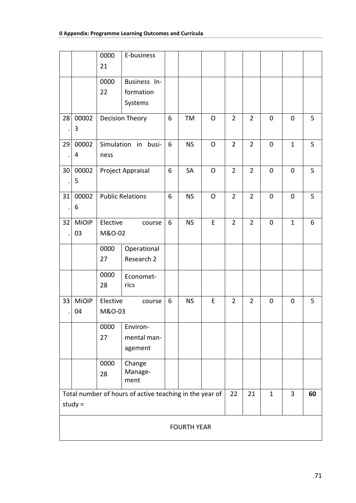|                                                                                                       |                    | 0000<br>21         | E-business                           |   |           |              |                |                |             |              |   |  |
|-------------------------------------------------------------------------------------------------------|--------------------|--------------------|--------------------------------------|---|-----------|--------------|----------------|----------------|-------------|--------------|---|--|
|                                                                                                       |                    | 0000<br>22         | Business In-<br>formation<br>Systems |   |           |              |                |                |             |              |   |  |
| 28                                                                                                    | 00002<br>3         |                    | Decision Theory                      | 6 | TM        | O            | $\overline{2}$ | $\overline{2}$ | $\mathbf 0$ | $\mathbf 0$  | 5 |  |
| 29                                                                                                    | 00002<br>4         | ness               | Simulation in<br>busi-               | 6 | <b>NS</b> | $\mathsf{O}$ | $\overline{2}$ | $\overline{2}$ | $\mathbf 0$ | $\mathbf{1}$ | 5 |  |
| 30                                                                                                    | 00002<br>5         |                    | Project Appraisal                    | 6 | SA        | O            | $\overline{2}$ | $\overline{2}$ | $\pmb{0}$   | $\mathbf 0$  | 5 |  |
| 31                                                                                                    | 00002<br>6         |                    | <b>Public Relations</b>              | 6 | <b>NS</b> | O            | $\overline{2}$ | $\overline{2}$ | 0           | $\mathbf 0$  | 5 |  |
| 32                                                                                                    | <b>MiOIP</b><br>03 | Elective<br>M&O-02 | course                               | 6 | <b>NS</b> | E            | $\overline{2}$ | $\overline{2}$ | 0           | $\mathbf{1}$ | 6 |  |
|                                                                                                       |                    | 0000<br>27         | Operational<br>Research 2            |   |           |              |                |                |             |              |   |  |
|                                                                                                       |                    | 0000<br>28         | Economet-<br>rics                    |   |           |              |                |                |             |              |   |  |
| 33                                                                                                    | <b>MiOIP</b><br>04 | Elective<br>M&O-03 | course                               | 6 | <b>NS</b> | E            | $\overline{2}$ | $\overline{2}$ | 0           | 0            | 5 |  |
|                                                                                                       |                    | 0000<br>27         | Environ-<br>mental man-<br>agement   |   |           |              |                |                |             |              |   |  |
|                                                                                                       |                    | 0000<br>28         | Change<br>Manage-<br>ment            |   |           |              |                |                |             |              |   |  |
| Total number of hours of active teaching in the year of<br>22<br>3<br>21<br>$\mathbf{1}$<br>study $=$ |                    |                    |                                      |   |           |              |                |                | 60          |              |   |  |
|                                                                                                       | <b>FOURTH YEAR</b> |                    |                                      |   |           |              |                |                |             |              |   |  |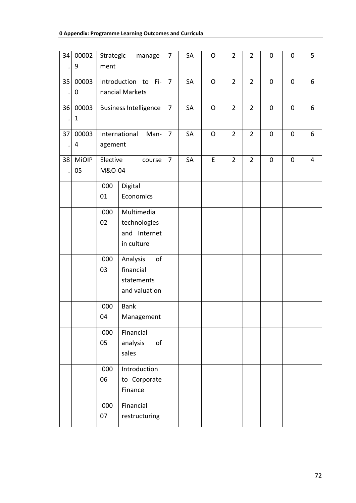| 34 | 00002<br>9            | Strategic<br>ment  | manage-                                                    | $\overline{7}$ | SA | O            | $\overline{2}$ | $\overline{2}$ | $\mathbf 0$ | $\mathbf 0$ | 5 |
|----|-----------------------|--------------------|------------------------------------------------------------|----------------|----|--------------|----------------|----------------|-------------|-------------|---|
| 35 | 00003<br>0            |                    | Introduction to<br>Fi-<br>nancial Markets                  | $\overline{7}$ | SA | $\mathsf{O}$ | $\overline{2}$ | $\overline{2}$ | $\mathbf 0$ | $\mathbf 0$ | 6 |
| 36 | 00003<br>$\mathbf{1}$ |                    | <b>Business Intelligence</b>                               | $\overline{7}$ | SA | O            | $\overline{2}$ | $\overline{2}$ | $\mathbf 0$ | $\mathbf 0$ | 6 |
| 37 | 00003<br>4            | agement            | International<br>Man-                                      | $\overline{7}$ | SA | O            | $\overline{2}$ | $\overline{2}$ | $\mathbf 0$ | $\mathbf 0$ | 6 |
| 38 | <b>MiOIP</b><br>05    | Elective<br>M&O-04 | course                                                     | $\overline{7}$ | SA | E            | $\overline{2}$ | $\overline{2}$ | $\mathbf 0$ | $\pmb{0}$   | 4 |
|    |                       | 1000<br>01         | Digital<br>Economics                                       |                |    |              |                |                |             |             |   |
|    |                       | 1000<br>02         | Multimedia<br>technologies<br>and Internet<br>in culture   |                |    |              |                |                |             |             |   |
|    |                       | 1000<br>03         | Analysis<br>of<br>financial<br>statements<br>and valuation |                |    |              |                |                |             |             |   |
|    |                       | 1000<br>04         | <b>Bank</b><br>Management                                  |                |    |              |                |                |             |             |   |
|    |                       | 1000<br>05         | Financial<br>of<br>analysis<br>sales                       |                |    |              |                |                |             |             |   |
|    |                       | 1000<br>06         | Introduction<br>to Corporate<br>Finance                    |                |    |              |                |                |             |             |   |
|    |                       | 1000<br>07         | Financial<br>restructuring                                 |                |    |              |                |                |             |             |   |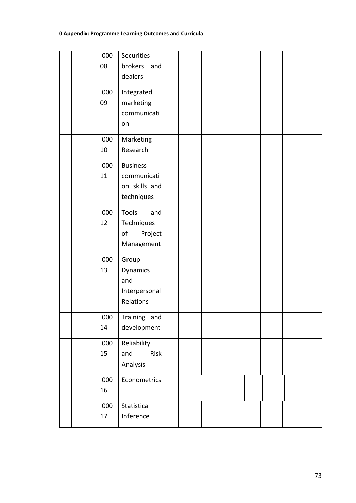| 1000 | <b>Securities</b> |  |  |  |  |
|------|-------------------|--|--|--|--|
| 08   | brokers and       |  |  |  |  |
|      | dealers           |  |  |  |  |
|      |                   |  |  |  |  |
| 1000 | Integrated        |  |  |  |  |
| 09   | marketing         |  |  |  |  |
|      | communicati       |  |  |  |  |
|      | on                |  |  |  |  |
| 1000 | Marketing         |  |  |  |  |
| 10   | Research          |  |  |  |  |
| 1000 | <b>Business</b>   |  |  |  |  |
| 11   | communicati       |  |  |  |  |
|      | on skills and     |  |  |  |  |
|      | techniques        |  |  |  |  |
|      |                   |  |  |  |  |
| 1000 | Tools<br>and      |  |  |  |  |
| 12   | Techniques        |  |  |  |  |
|      | Project<br>of     |  |  |  |  |
|      | Management        |  |  |  |  |
| 1000 | Group             |  |  |  |  |
| 13   | Dynamics          |  |  |  |  |
|      | and               |  |  |  |  |
|      | Interpersonal     |  |  |  |  |
|      | Relations         |  |  |  |  |
|      |                   |  |  |  |  |
|      | 1000 Training and |  |  |  |  |
| 14   | development       |  |  |  |  |
| 1000 | Reliability       |  |  |  |  |
| 15   | Risk<br>and       |  |  |  |  |
|      | Analysis          |  |  |  |  |
| 1000 | Econometrics      |  |  |  |  |
| 16   |                   |  |  |  |  |
|      |                   |  |  |  |  |
| 1000 | Statistical       |  |  |  |  |
| 17   | Inference         |  |  |  |  |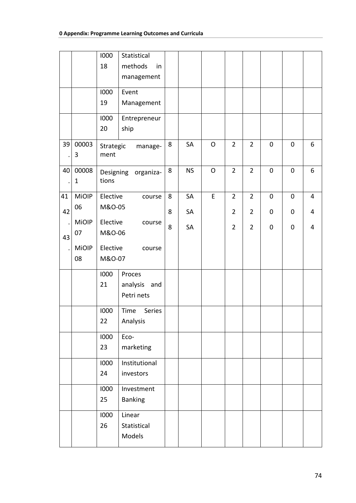|    |              | 1000      | Statistical                                                            |   |           |              |                |                |             |             |                |
|----|--------------|-----------|------------------------------------------------------------------------|---|-----------|--------------|----------------|----------------|-------------|-------------|----------------|
|    |              | 18        | methods<br>in                                                          |   |           |              |                |                |             |             |                |
|    |              |           | management                                                             |   |           |              |                |                |             |             |                |
|    |              | 1000      | Event                                                                  |   |           |              |                |                |             |             |                |
|    |              | 19        | Management                                                             |   |           |              |                |                |             |             |                |
|    |              | 1000      | Entrepreneur                                                           |   |           |              |                |                |             |             |                |
|    |              | 20        | ship                                                                   |   |           |              |                |                |             |             |                |
| 39 | 00003        | Strategic | manage-                                                                | 8 | SA        | $\circ$      | $\overline{2}$ | $\overline{2}$ | $\mathbf 0$ | $\mathbf 0$ | 6              |
|    | 3            | ment      |                                                                        |   |           |              |                |                |             |             |                |
| 40 | 00008        |           | Designing organiza-                                                    | 8 | <b>NS</b> | $\mathsf{O}$ | $\overline{2}$ | $\overline{2}$ | $\mathbf 0$ | $\mathbf 0$ | 6              |
|    | $\mathbf{1}$ | tions     |                                                                        |   |           |              |                |                |             |             |                |
| 41 | <b>MiOIP</b> | Elective  | course                                                                 | 8 | SA        | E            | $\overline{2}$ | $\overline{2}$ | $\mathbf 0$ | $\mathbf 0$ | 4              |
| 42 | 06           | M&O-05    |                                                                        | 8 | SA        |              | $\overline{2}$ | $\overline{2}$ | 0           | 0           | 4              |
|    | <b>MiOIP</b> |           | Elective<br>course<br>M&O-06<br>Elective<br>course<br>M&O-07<br>Proces |   | SA        |              | $\overline{2}$ | $\overline{2}$ | $\pmb{0}$   | $\pmb{0}$   | $\overline{4}$ |
| 43 | 07           |           |                                                                        |   |           |              |                |                |             |             |                |
|    | <b>MiOIP</b> |           |                                                                        |   |           |              |                |                |             |             |                |
|    | 08           |           |                                                                        |   |           |              |                |                |             |             |                |
|    |              | 1000      |                                                                        |   |           |              |                |                |             |             |                |
|    |              | 21        | analysis and                                                           |   |           |              |                |                |             |             |                |
|    |              |           | Petri nets                                                             |   |           |              |                |                |             |             |                |
|    |              | 1000      | Series<br>Time                                                         |   |           |              |                |                |             |             |                |
|    |              | 22        | Analysis                                                               |   |           |              |                |                |             |             |                |
|    |              | 1000      | Eco-                                                                   |   |           |              |                |                |             |             |                |
|    |              | 23        | marketing                                                              |   |           |              |                |                |             |             |                |
|    |              | 1000      | Institutional                                                          |   |           |              |                |                |             |             |                |
|    |              | 24        | investors                                                              |   |           |              |                |                |             |             |                |
|    |              | 1000      | Investment                                                             |   |           |              |                |                |             |             |                |
|    |              | 25        | <b>Banking</b>                                                         |   |           |              |                |                |             |             |                |
|    |              | 1000      | Linear                                                                 |   |           |              |                |                |             |             |                |
|    |              | 26        | Statistical                                                            |   |           |              |                |                |             |             |                |
|    |              |           | Models                                                                 |   |           |              |                |                |             |             |                |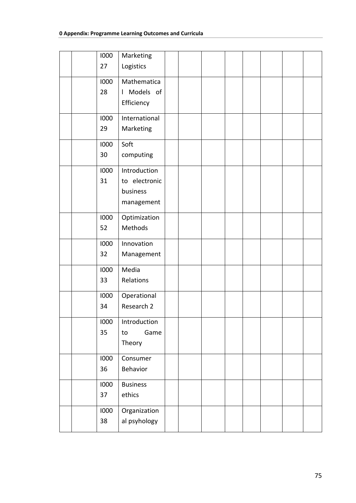|  | 1000 | Marketing       |  |  |  |  |
|--|------|-----------------|--|--|--|--|
|  | 27   | Logistics       |  |  |  |  |
|  |      |                 |  |  |  |  |
|  | 1000 | Mathematica     |  |  |  |  |
|  | 28   | I Models of     |  |  |  |  |
|  |      | Efficiency      |  |  |  |  |
|  |      |                 |  |  |  |  |
|  | 1000 | International   |  |  |  |  |
|  | 29   | Marketing       |  |  |  |  |
|  | 1000 | Soft            |  |  |  |  |
|  | 30   |                 |  |  |  |  |
|  |      | computing       |  |  |  |  |
|  | 1000 | Introduction    |  |  |  |  |
|  | 31   | to electronic   |  |  |  |  |
|  |      | business        |  |  |  |  |
|  |      | management      |  |  |  |  |
|  |      |                 |  |  |  |  |
|  | 1000 | Optimization    |  |  |  |  |
|  | 52   | Methods         |  |  |  |  |
|  | 1000 | Innovation      |  |  |  |  |
|  |      |                 |  |  |  |  |
|  | 32   | Management      |  |  |  |  |
|  | 1000 | Media           |  |  |  |  |
|  | 33   | Relations       |  |  |  |  |
|  |      |                 |  |  |  |  |
|  | 1000 | Operational     |  |  |  |  |
|  | 34   | Research 2      |  |  |  |  |
|  | 1000 | Introduction    |  |  |  |  |
|  | 35   | Game<br>to      |  |  |  |  |
|  |      | Theory          |  |  |  |  |
|  |      |                 |  |  |  |  |
|  | 1000 | Consumer        |  |  |  |  |
|  | 36   | Behavior        |  |  |  |  |
|  |      |                 |  |  |  |  |
|  | 1000 | <b>Business</b> |  |  |  |  |
|  | 37   | ethics          |  |  |  |  |
|  | 1000 | Organization    |  |  |  |  |
|  | 38   | al psyhology    |  |  |  |  |
|  |      |                 |  |  |  |  |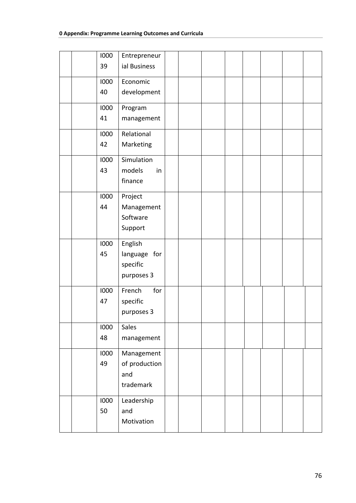|  | 1000 | Entrepreneur  |  |  |  |  |
|--|------|---------------|--|--|--|--|
|  |      |               |  |  |  |  |
|  | 39   | ial Business  |  |  |  |  |
|  | 1000 | Economic      |  |  |  |  |
|  | 40   | development   |  |  |  |  |
|  |      |               |  |  |  |  |
|  | 1000 | Program       |  |  |  |  |
|  | 41   | management    |  |  |  |  |
|  |      |               |  |  |  |  |
|  | 1000 | Relational    |  |  |  |  |
|  | 42   | Marketing     |  |  |  |  |
|  | 1000 | Simulation    |  |  |  |  |
|  | 43   | models<br>in  |  |  |  |  |
|  |      | finance       |  |  |  |  |
|  |      |               |  |  |  |  |
|  | 1000 | Project       |  |  |  |  |
|  | 44   | Management    |  |  |  |  |
|  |      | Software      |  |  |  |  |
|  |      | Support       |  |  |  |  |
|  |      |               |  |  |  |  |
|  | 1000 | English       |  |  |  |  |
|  | 45   | language for  |  |  |  |  |
|  |      | specific      |  |  |  |  |
|  |      | purposes 3    |  |  |  |  |
|  |      |               |  |  |  |  |
|  | 1000 | French<br>for |  |  |  |  |
|  | 47   | specific      |  |  |  |  |
|  |      | purposes 3    |  |  |  |  |
|  |      |               |  |  |  |  |
|  | 1000 | Sales         |  |  |  |  |
|  | 48   | management    |  |  |  |  |
|  | 1000 | Management    |  |  |  |  |
|  | 49   | of production |  |  |  |  |
|  |      | and           |  |  |  |  |
|  |      | trademark     |  |  |  |  |
|  |      |               |  |  |  |  |
|  | 1000 | Leadership    |  |  |  |  |
|  | 50   | and           |  |  |  |  |
|  |      | Motivation    |  |  |  |  |
|  |      |               |  |  |  |  |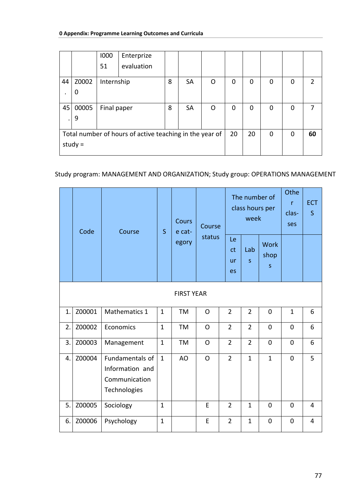|    |           | 1000        | Enterprize                                              |   |           |    |   |          |    |   |               |
|----|-----------|-------------|---------------------------------------------------------|---|-----------|----|---|----------|----|---|---------------|
|    |           | 51          | evaluation                                              |   |           |    |   |          |    |   |               |
| 44 | Z0002     | Internship  |                                                         | 8 | <b>SA</b> | O  | 0 | $\Omega$ | 0  | 0 | $\mathcal{P}$ |
| ٠  | 0         |             |                                                         |   |           |    |   |          |    |   |               |
| 45 | 00005     | Final paper |                                                         | 8 | <b>SA</b> | O  | 0 | 0        | 0  | 0 |               |
|    | 9         |             |                                                         |   |           |    |   |          |    |   |               |
|    |           |             | Total number of hours of active teaching in the year of |   | 20        | 20 | 0 | 0        | 60 |   |               |
|    | study $=$ |             |                                                         |   |           |    |   |          |    |   |               |

## Study program: MANAGEMENT AND ORGANIZATION; Study group: ОPERATIONS MANAGEMENT

|              | Code   | Course                                                              | $\mathsf{S}$ | <b>Cours</b><br>e cat- | Course         |                | week           | The number of<br>class hours per | Othe<br>r<br>clas-<br>ses | <b>ECT</b><br>S |
|--------------|--------|---------------------------------------------------------------------|--------------|------------------------|----------------|----------------|----------------|----------------------------------|---------------------------|-----------------|
|              |        |                                                                     |              | egory                  | status         |                | Lab<br>$\sf S$ | <b>Work</b><br>shop<br>S         |                           |                 |
|              |        |                                                                     |              | <b>FIRST YEAR</b>      |                |                |                |                                  |                           |                 |
| $\mathbf{1}$ | Z00001 | Mathematics 1                                                       | $\mathbf{1}$ | TM                     | O              | $\overline{2}$ | $\overline{2}$ | $\mathbf 0$                      | $\mathbf{1}$              | 6               |
| 2.           | Z00002 | Economics                                                           | $\mathbf{1}$ | <b>TM</b>              | $\Omega$       | $\overline{2}$ | $\overline{2}$ | $\mathbf 0$                      | $\overline{0}$            | 6               |
| 3.           | Z00003 | Management                                                          | $\mathbf{1}$ | <b>TM</b>              | O              | $\overline{2}$ | $\overline{2}$ | 0                                | $\mathbf 0$               | 6               |
| 4.           | Z00004 | Fundamentals of<br>Information and<br>Communication<br>Technologies | $\mathbf{1}$ | AO                     | $\overline{O}$ | $\overline{2}$ | $\mathbf{1}$   | $\mathbf{1}$                     | $\mathbf 0$               | 5               |
| 5.           | Z00005 | Sociology                                                           | $\mathbf{1}$ |                        | E              | $\overline{2}$ | $\mathbf{1}$   | $\overline{0}$                   | $\mathbf 0$               | 4               |
| 6.           | Z00006 | Psychology                                                          | $\mathbf{1}$ |                        | E              | $\overline{2}$ | $\mathbf{1}$   | $\mathbf 0$                      | $\mathbf 0$               | 4               |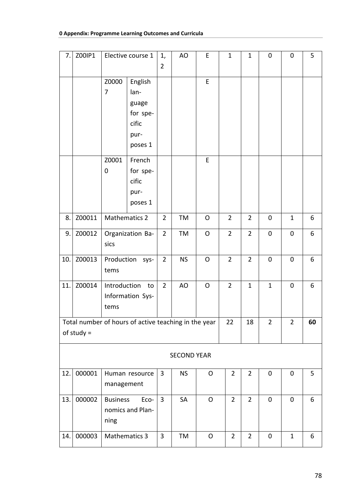| 7.  | Z00IP1       |                         |                                                                                                                                                                                     | 1,<br>$\overline{2}$ | AO                 | E            | $\mathbf{1}$   | $\mathbf{1}$   | $\pmb{0}$      | $\mathbf 0$    | 5  |
|-----|--------------|-------------------------|-------------------------------------------------------------------------------------------------------------------------------------------------------------------------------------|----------------------|--------------------|--------------|----------------|----------------|----------------|----------------|----|
|     |              | Z0000<br>$\overline{7}$ | Elective course 1<br>English<br>lan-<br>guage<br>for spe-<br>cific<br>pur-<br>poses 1<br>French<br>cific<br>pur-<br>poses 1<br>Organization Ba-<br>Introduction<br>Information Sys- |                      |                    | E            |                |                |                |                |    |
|     |              | Z0001<br>$\mathbf 0$    | for spe-                                                                                                                                                                            |                      |                    | E            |                |                |                |                |    |
| 8.  | Z00011       |                         | <b>Mathematics 2</b>                                                                                                                                                                |                      | TM                 | O            | $\overline{2}$ | $\overline{2}$ | $\pmb{0}$      | $\mathbf{1}$   | 6  |
| 9.  | Z00012       | sics                    |                                                                                                                                                                                     | $\overline{2}$       | TM                 | O            | $\overline{2}$ | $\overline{2}$ | $\mathbf 0$    | $\pmb{0}$      | 6  |
| 10. | Z00013       | tems                    | Production sys-                                                                                                                                                                     |                      | <b>NS</b>          | O            | $\overline{2}$ | $\overline{2}$ | $\mathbf 0$    | $\mathbf 0$    | 6  |
| 11. | Z00014       | tems                    | to                                                                                                                                                                                  | $\overline{2}$       | AO                 | $\mathsf{O}$ | $\overline{2}$ | $\mathbf{1}$   | $\mathbf{1}$   | $\mathbf 0$    | 6  |
|     | of study $=$ |                         | Total number of hours of active teaching in the year                                                                                                                                |                      |                    |              | 22             | 18             | $\overline{2}$ | $\overline{2}$ | 60 |
|     |              |                         |                                                                                                                                                                                     |                      |                    |              |                |                |                |                |    |
|     |              |                         |                                                                                                                                                                                     |                      | <b>SECOND YEAR</b> |              |                |                |                |                |    |
| 12. | 000001       |                         | Human resource<br>management                                                                                                                                                        |                      | <b>NS</b>          | O            | $\overline{2}$ | $\overline{2}$ | $\mathbf 0$    | $\pmb{0}$      | 5  |
| 13. | 000002       | <b>Business</b><br>ning | Eco-<br>nomics and Plan-                                                                                                                                                            | $\overline{3}$       | SA                 | $\mathsf{O}$ | $\overline{2}$ | $\overline{2}$ | $\mathbf 0$    | $\mathbf 0$    | 6  |
| 14. | 000003       | <b>Mathematics 3</b>    |                                                                                                                                                                                     | 3                    | TM                 | $\mathsf O$  | $\overline{2}$ | $\overline{2}$ | $\mathbf 0$    | $\mathbf{1}$   | 6  |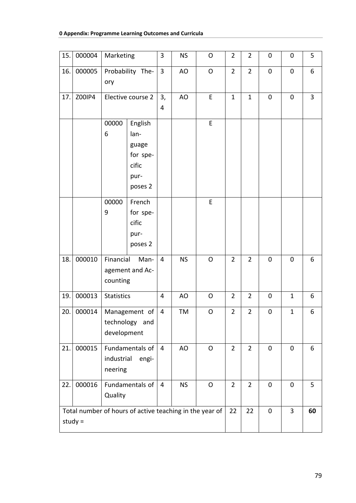## **0 Appendix: Programme Learning Outcomes and Curricula**

| 15. | 000004                                                               | Marketing             |                                                                  | 3              | <b>NS</b> | $\mathsf O$  | $\overline{2}$ | $\overline{2}$ | $\boldsymbol{0}$ | 0              | 5  |
|-----|----------------------------------------------------------------------|-----------------------|------------------------------------------------------------------|----------------|-----------|--------------|----------------|----------------|------------------|----------------|----|
| 16. | 000005                                                               | ory                   | Probability The-                                                 | 3              | AO        | $\mathsf{O}$ | $\overline{2}$ | $\overline{2}$ | 0                | 0              | 6  |
| 17. | Z00IP4                                                               |                       | Elective course 2                                                | 3,<br>4        | AO        | E            | $\mathbf{1}$   | $\mathbf{1}$   | $\pmb{0}$        | $\pmb{0}$      | 3  |
|     |                                                                      | 00000<br>6            | English<br>lan-<br>guage<br>for spe-<br>cific<br>pur-<br>poses 2 |                |           | E            |                |                |                  |                |    |
|     |                                                                      | 00000<br>9            | French<br>for spe-<br>cific<br>pur-<br>poses 2                   |                |           | E            |                |                |                  |                |    |
| 18. | 000010                                                               | Financial<br>counting | Man-<br>agement and Ac-                                          | $\overline{4}$ | <b>NS</b> | $\mathsf{O}$ | $\overline{2}$ | $\overline{2}$ | 0                | 0              | 6  |
| 19. | 000013                                                               | <b>Statistics</b>     |                                                                  | 4              | AO        | $\mathsf{O}$ | $\overline{2}$ | $\overline{2}$ | $\boldsymbol{0}$ | $\mathbf{1}$   | 6  |
| 20. | 000014                                                               | development           | Management of<br>technology and                                  | 4              | TM        | O            | $\overline{2}$ | $\overline{2}$ | $\pmb{0}$        | $\mathbf 1$    | 6  |
| 21. | 000015                                                               | industrial<br>neering | Fundamentals of<br>engi-                                         | $\overline{4}$ | AO        | $\mathsf{O}$ | $\overline{2}$ | $\overline{2}$ | $\mathbf 0$      | $\mathbf 0$    | 6  |
| 22. | 000016<br>Fundamentals of<br>Quality                                 |                       |                                                                  | $\overline{4}$ | <b>NS</b> | $\mathsf{O}$ | $\overline{2}$ | $\overline{2}$ | 0                | $\mathbf 0$    | 5  |
|     | Total number of hours of active teaching in the year of<br>$study =$ |                       |                                                                  |                |           |              | 22             | 22             | $\mathbf 0$      | $\overline{3}$ | 60 |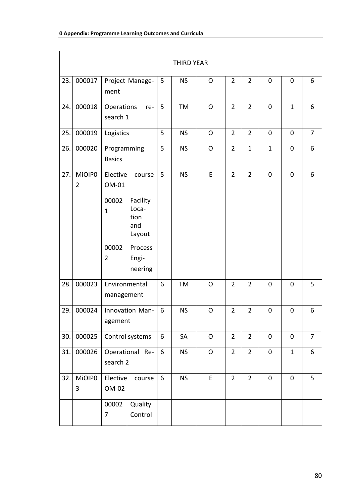|     |                          |                              |                                            |                | THIRD YEAR |                |                |                |              |              |                |
|-----|--------------------------|------------------------------|--------------------------------------------|----------------|------------|----------------|----------------|----------------|--------------|--------------|----------------|
| 23. | 000017                   | ment                         | Project Manage-                            | 5              | <b>NS</b>  | O              | $\overline{2}$ | $\overline{2}$ | $\mathbf 0$  | $\mathbf 0$  | 6              |
| 24. | 000018                   | Operations<br>search 1       | re-                                        | 5              | <b>TM</b>  | O              | $\overline{2}$ | $\overline{2}$ | $\mathbf 0$  | $\mathbf{1}$ | 6              |
| 25. | 000019                   | Logistics                    |                                            | 5              | <b>NS</b>  | $\overline{O}$ | $\overline{2}$ | $\overline{2}$ | $\mathbf 0$  | $\mathbf 0$  | $\overline{7}$ |
| 26. | 000020                   | Programming<br><b>Basics</b> |                                            | 5              | <b>NS</b>  | $\circ$        | $\overline{2}$ | $\mathbf{1}$   | $\mathbf{1}$ | $\mathbf 0$  | 6              |
| 27. | MiOIP0<br>$\overline{2}$ | Elective<br>OM-01            | course                                     | 5              | <b>NS</b>  | E              | $\overline{2}$ | $\overline{2}$ | $\mathbf 0$  | $\mathbf 0$  | 6              |
|     |                          | 00002<br>$\mathbf{1}$        | Facility<br>Loca-<br>tion<br>and<br>Layout |                |            |                |                |                |              |              |                |
|     |                          | 00002<br>$\overline{2}$      | Process<br>Engi-<br>neering                |                |            |                |                |                |              |              |                |
| 28. | 000023                   | Environmental<br>management  |                                            | 6              | <b>TM</b>  | O              | $\overline{2}$ | $\overline{2}$ | $\mathbf 0$  | 0            | 5              |
| 29. | 000024                   | agement                      | Innovation Man-                            | 6              | <b>NS</b>  | $\mathsf{O}$   | $\overline{2}$ | $\overline{2}$ | $\mathbf 0$  | $\mathbf 0$  | 6              |
| 30. | 000025                   |                              | Control systems                            | 6              | SA         | $\mathsf O$    | $\overline{2}$ | $\overline{2}$ | $\pmb{0}$    | $\pmb{0}$    | $\overline{7}$ |
| 31. | 000026                   | Operational Re-<br>search 2  |                                            | $6\phantom{a}$ | <b>NS</b>  | $\mathsf O$    | $\overline{2}$ | $\overline{2}$ | $\pmb{0}$    | $\mathbf{1}$ | $6\phantom{a}$ |
| 32. | MiOIP0<br>3              | Elective<br>OM-02            | course                                     | 6              | <b>NS</b>  | E              | $\overline{2}$ | $\overline{2}$ | $\pmb{0}$    | $\pmb{0}$    | 5              |
|     |                          | 00002<br>7                   | Quality<br>Control                         |                |            |                |                |                |              |              |                |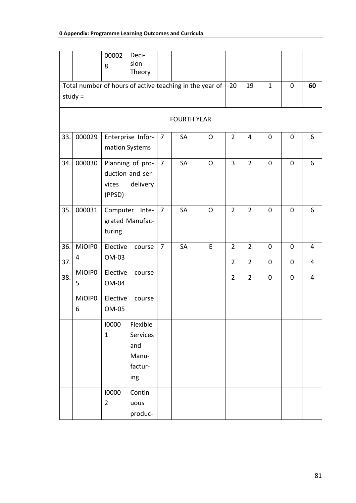|     |             | 00002<br>8                                                                      | Deci-<br>sion<br>Theory                                 |                |                    |              |                |                |                  |             |                |
|-----|-------------|---------------------------------------------------------------------------------|---------------------------------------------------------|----------------|--------------------|--------------|----------------|----------------|------------------|-------------|----------------|
|     | study $=$   |                                                                                 | Total number of hours of active teaching in the year of |                |                    |              | 20             | 19             | $\mathbf{1}$     | 0           | 60             |
|     |             |                                                                                 |                                                         |                | <b>FOURTH YEAR</b> |              |                |                |                  |             |                |
| 33. | 000029      |                                                                                 | Enterprise Infor-<br>mation Systems                     | $\overline{7}$ | SA                 | $\mathsf{O}$ | $\overline{2}$ | 4              | $\boldsymbol{0}$ | $\mathbf 0$ | 6              |
| 34. | 000030      | vices<br>(PPSD)                                                                 | Planning of pro-<br>duction and ser-<br>delivery        | $\overline{7}$ | <b>SA</b>          | $\mathsf{O}$ | 3              | $\overline{2}$ | 0                | 0           | 6              |
| 35. | 000031      | turing                                                                          | Computer Inte-<br>grated Manufac-                       | $\overline{7}$ | SA                 | $\mathsf{O}$ | $\overline{2}$ | $\overline{2}$ | $\mathbf 0$      | 0           | 6              |
| 36. | MiOIP0      | Elective                                                                        | course                                                  | $\overline{7}$ | SA                 | E            | $\overline{2}$ | $\overline{2}$ | 0                | 0           | $\overline{4}$ |
| 37. | 4           | OM-03                                                                           |                                                         |                |                    |              | $\overline{2}$ | $\overline{2}$ | 0                | 0           | 4              |
| 38. | MiOIP0<br>5 | Elective<br>OM-04                                                               | course                                                  |                |                    |              | $\overline{2}$ | $\overline{2}$ | 0                | 0           | $\overline{4}$ |
|     | MiOIP0<br>6 | Elective<br>OM-05                                                               | course                                                  |                |                    |              |                |                |                  |             |                |
|     |             | Flexible<br>10000<br>$\mathbf{1}$<br>Services<br>and<br>Manu-<br>factur-<br>ing |                                                         |                |                    |              |                |                |                  |             |                |
|     |             | 10000<br>$\overline{2}$                                                         | Contin-<br>uous<br>produc-                              |                |                    |              |                |                |                  |             |                |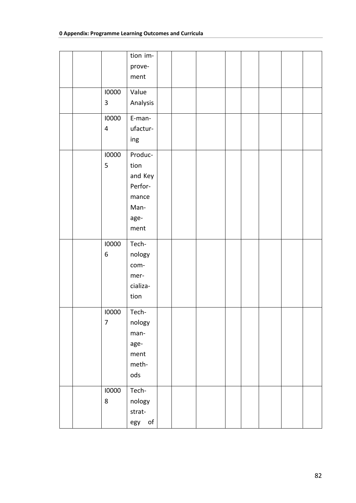|  |                         | tion im-  |  |  |  |  |
|--|-------------------------|-----------|--|--|--|--|
|  |                         | prove-    |  |  |  |  |
|  |                         | ment      |  |  |  |  |
|  | 10000                   | Value     |  |  |  |  |
|  | 3                       | Analysis  |  |  |  |  |
|  |                         |           |  |  |  |  |
|  | 10000                   | E-man-    |  |  |  |  |
|  | $\overline{\mathbf{4}}$ | ufactur-  |  |  |  |  |
|  |                         | ing       |  |  |  |  |
|  | 10000                   | Produc-   |  |  |  |  |
|  | 5                       | tion      |  |  |  |  |
|  |                         | and Key   |  |  |  |  |
|  |                         | Perfor-   |  |  |  |  |
|  |                         | mance     |  |  |  |  |
|  |                         | Man-      |  |  |  |  |
|  |                         | age-      |  |  |  |  |
|  |                         | ment      |  |  |  |  |
|  |                         |           |  |  |  |  |
|  | 10000                   | Tech-     |  |  |  |  |
|  | 6                       | nology    |  |  |  |  |
|  |                         | com-      |  |  |  |  |
|  |                         | mer-      |  |  |  |  |
|  |                         | cializa-  |  |  |  |  |
|  |                         | tion      |  |  |  |  |
|  |                         |           |  |  |  |  |
|  | 10000                   | Tech-     |  |  |  |  |
|  | $\overline{7}$          | nology    |  |  |  |  |
|  |                         | man-      |  |  |  |  |
|  |                         | age-      |  |  |  |  |
|  |                         | ment      |  |  |  |  |
|  |                         | meth-     |  |  |  |  |
|  |                         | ods       |  |  |  |  |
|  |                         |           |  |  |  |  |
|  | 10000                   | Tech-     |  |  |  |  |
|  | 8                       | nology    |  |  |  |  |
|  |                         | strat-    |  |  |  |  |
|  |                         | of<br>egy |  |  |  |  |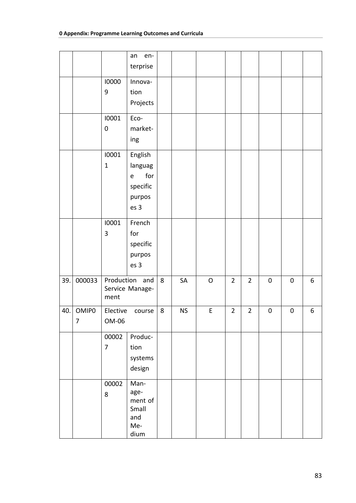|     |            |                           | en-<br>an<br>terprise                                                  |   |           |              |                |                |           |           |   |
|-----|------------|---------------------------|------------------------------------------------------------------------|---|-----------|--------------|----------------|----------------|-----------|-----------|---|
|     |            | 10000<br>$\boldsymbol{9}$ | Innova-<br>tion<br>Projects                                            |   |           |              |                |                |           |           |   |
|     |            | 10001<br>$\pmb{0}$        | Eco-<br>market-<br>ing                                                 |   |           |              |                |                |           |           |   |
|     |            | 10001<br>$\mathbf{1}$     | English<br>languag<br>for<br>$\mathsf e$<br>specific<br>purpos<br>es 3 |   |           |              |                |                |           |           |   |
|     |            | 10001<br>3                | French<br>for<br>specific<br>purpos<br>es 3                            |   |           |              |                |                |           |           |   |
| 39. | 000033     | ment                      | Production and<br>Service Manage-                                      | 8 | SA        | $\mathsf{O}$ | $\overline{2}$ | $\overline{2}$ | $\pmb{0}$ | $\pmb{0}$ | 6 |
| 40. | OMIP0<br>7 | Elective<br>OM-06         | course                                                                 | 8 | <b>NS</b> | E            | $\overline{2}$ | $\overline{2}$ | $\pmb{0}$ | $\pmb{0}$ | 6 |
|     |            | 00002<br>$\overline{7}$   | Produc-<br>tion<br>systems<br>design                                   |   |           |              |                |                |           |           |   |
|     |            | 00002<br>8                | Man-<br>age-<br>ment of<br>Small<br>and<br>Me-<br>dium                 |   |           |              |                |                |           |           |   |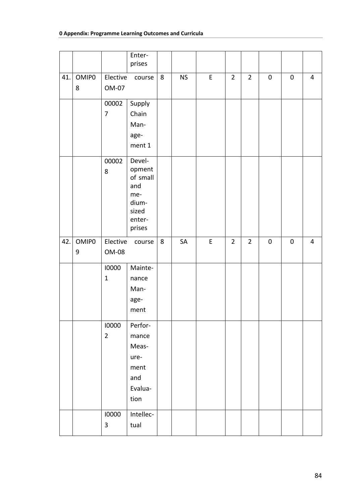|     |                        |                         | Enter-<br>prises                                                                 |   |           |   |                |                |           |           |                |
|-----|------------------------|-------------------------|----------------------------------------------------------------------------------|---|-----------|---|----------------|----------------|-----------|-----------|----------------|
| 41. | OMIP <sub>0</sub><br>8 | Elective<br>OM-07       | course                                                                           | 8 | <b>NS</b> | E | $\overline{2}$ | $\overline{2}$ | $\pmb{0}$ | $\pmb{0}$ | $\overline{4}$ |
|     |                        | 00002<br>$\overline{7}$ | Supply<br>Chain<br>Man-<br>age-<br>ment 1                                        |   |           |   |                |                |           |           |                |
|     |                        | 00002<br>8              | Devel-<br>opment<br>of small<br>and<br>me-<br>dium-<br>sized<br>enter-<br>prises |   |           |   |                |                |           |           |                |
| 42. | OMIP <sub>0</sub><br>9 | Elective<br>OM-08       | course                                                                           | 8 | SA        | E | $\overline{2}$ | $\overline{2}$ | $\pmb{0}$ | $\pmb{0}$ | $\overline{4}$ |
|     |                        | 10000<br>$\mathbf{1}$   | Mainte-<br>nance<br>Man-<br>age-<br>ment                                         |   |           |   |                |                |           |           |                |
|     |                        | 10000<br>$\overline{2}$ | Perfor-<br>mance<br>Meas-<br>ure-<br>ment<br>and<br>Evalua-<br>tion              |   |           |   |                |                |           |           |                |
|     |                        | 10000<br>$\mathbf{3}$   | Intellec-<br>tual                                                                |   |           |   |                |                |           |           |                |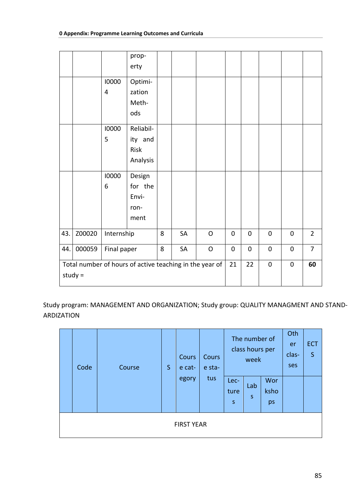|     |           |                         | prop-<br>erty                                           |   |    |              |             |           |                  |           |                |
|-----|-----------|-------------------------|---------------------------------------------------------|---|----|--------------|-------------|-----------|------------------|-----------|----------------|
|     |           | 10000<br>$\overline{4}$ | Optimi-<br>zation<br>Meth-<br>ods                       |   |    |              |             |           |                  |           |                |
|     |           | 10000<br>5              | Reliabil-<br>ity and<br>Risk<br>Analysis                |   |    |              |             |           |                  |           |                |
|     |           | 10000<br>6              | Design<br>for the<br>Envi-<br>ron-<br>ment              |   |    |              |             |           |                  |           |                |
| 43. | Z00020    | Internship              |                                                         | 8 | SA | $\mathsf O$  | $\mathbf 0$ | $\pmb{0}$ | $\boldsymbol{0}$ | $\pmb{0}$ | $\overline{2}$ |
| 44. | 000059    | Final paper             |                                                         | 8 | SA | $\mathsf{O}$ | $\mathbf 0$ | 0         | $\pmb{0}$        | $\pmb{0}$ | $\overline{7}$ |
|     | study $=$ |                         | Total number of hours of active teaching in the year of |   |    |              | 21          | 22        | $\pmb{0}$        | $\pmb{0}$ | 60             |

Study program: MANAGEMENT AND ORGANIZATION; Study group: QUALITY MANAGMENT AND STAND-**ARDIZATION** 

| Code | Course | <sub>S</sub> | Cours<br>e cat-<br>egory | Cours<br>e sta-<br>tus | Lec-<br>ture<br>$\sf S$ | The number of<br>class hours per<br>week<br>Lab<br>S | Wor<br>ksho<br>ps | Oth<br>er<br>clas-<br>ses | <b>ECT</b><br>$\mathsf{S}$ |
|------|--------|--------------|--------------------------|------------------------|-------------------------|------------------------------------------------------|-------------------|---------------------------|----------------------------|
|      |        |              | <b>FIRST YEAR</b>        |                        |                         |                                                      |                   |                           |                            |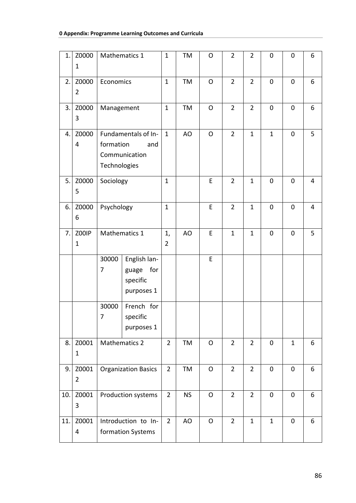| 1.  | Z0000<br>$\mathbf{1}$   | Mathematics 1                            |                                                        | $\mathbf{1}$         | TM        | $\mathsf{O}$   | $\overline{2}$ | $\overline{2}$ | $\mathbf 0$  | $\mathbf 0$  | 6              |
|-----|-------------------------|------------------------------------------|--------------------------------------------------------|----------------------|-----------|----------------|----------------|----------------|--------------|--------------|----------------|
| 2.  | Z0000<br>$\overline{2}$ | Economics                                |                                                        | $\mathbf{1}$         | TM        | $\mathsf{O}$   | $\overline{2}$ | $\overline{2}$ | $\mathbf 0$  | $\mathbf 0$  | 6              |
| 3.  | Z0000<br>3              | Management                               |                                                        | $\mathbf{1}$         | TM        | $\mathsf{O}$   | $\overline{2}$ | $\overline{2}$ | $\mathbf 0$  | $\mathbf 0$  | 6              |
| 4.  | Z0000<br>4              | formation<br>Technologies                | Fundamentals of In-<br>and<br>Communication            | $\mathbf{1}$         | AO        | $\mathsf{O}$   | $\overline{2}$ | $\mathbf{1}$   | $\mathbf{1}$ | $\mathbf 0$  | 5              |
| 5.  | Z0000<br>5              | Sociology                                |                                                        | $\mathbf{1}$         |           | E              | $\overline{2}$ | $\mathbf{1}$   | $\mathbf 0$  | $\mathbf 0$  | $\overline{4}$ |
| 6.  | Z0000<br>6              | Psychology                               |                                                        | $\mathbf{1}$         |           | E              | $\overline{2}$ | $\mathbf{1}$   | $\pmb{0}$    | $\mathbf 0$  | 4              |
| 7.  | Z00IP<br>$\mathbf{1}$   | Mathematics 1                            |                                                        | 1,<br>$\overline{2}$ | AO        | E              | $\mathbf{1}$   | $\mathbf{1}$   | 0            | 0            | 5              |
|     |                         | 30000<br>7                               | English lan-<br>for<br>guage<br>specific<br>purposes 1 |                      |           | E              |                |                |              |              |                |
|     |                         | 30000<br>$\overline{7}$                  | French for<br>specific<br>purposes 1                   |                      |           |                |                |                |              |              |                |
| 8.  | Z0001<br>$\mathbf 1$    |                                          | <b>Mathematics 2</b>                                   | $\overline{2}$       | TM        | $\mathsf{O}$   | $\overline{2}$ | $\overline{2}$ | $\mathbf 0$  | $\mathbf{1}$ | 6              |
| 9.  | Z0001<br>$\overline{2}$ | <b>Organization Basics</b>               |                                                        | $\overline{2}$       | TM        | $\overline{O}$ | $\overline{2}$ | $\overline{2}$ | $\mathbf 0$  | $\mathbf 0$  | 6              |
| 10. | Z0001<br>3              | Production systems                       |                                                        | $\overline{2}$       | <b>NS</b> | $\mathsf{O}$   | $\overline{2}$ | $\overline{2}$ | $\pmb{0}$    | $\mathbf 0$  | 6              |
| 11. | Z0001<br>4              | Introduction to In-<br>formation Systems |                                                        | $\overline{2}$       | AO        | $\mathsf{O}$   | $\overline{2}$ | $\mathbf{1}$   | $\mathbf{1}$ | $\mathbf 0$  | 6              |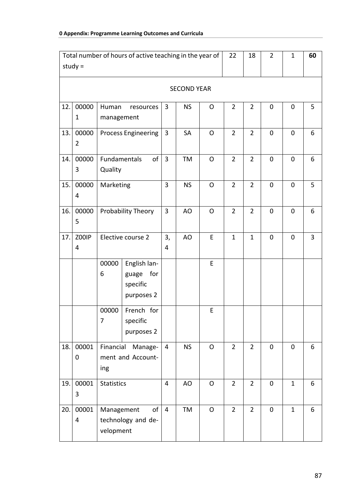|     | Total number of hours of active teaching in the year of |                                                     |                                                        | 22                   | 18        | $\overline{2}$ | $\mathbf 1$    | 60             |             |                |   |
|-----|---------------------------------------------------------|-----------------------------------------------------|--------------------------------------------------------|----------------------|-----------|----------------|----------------|----------------|-------------|----------------|---|
|     | study $=$                                               |                                                     |                                                        |                      |           |                |                |                |             |                |   |
|     |                                                         |                                                     |                                                        |                      |           |                |                |                |             |                |   |
| 12. | 00000<br>$\mathbf 1$                                    | Human<br>management                                 | resources                                              | 3                    | <b>NS</b> | O              | $\overline{2}$ | $\overline{2}$ | 0           | $\mathbf 0$    | 5 |
| 13. | 00000<br>$\overline{2}$                                 | <b>Process Engineering</b>                          |                                                        | 3                    | SA        | $\mathsf{O}$   | $\overline{2}$ | $\overline{2}$ | $\mathbf 0$ | $\overline{0}$ | 6 |
| 14. | 00000<br>3                                              | Fundamentals<br>Quality                             | of                                                     | $\overline{3}$       | <b>TM</b> | $\mathsf{O}$   | $\overline{2}$ | $\overline{2}$ | 0           | $\mathbf 0$    | 6 |
| 15. | 00000<br>4                                              | Marketing                                           |                                                        | 3                    | <b>NS</b> | $\mathsf{O}$   | $\overline{2}$ | $\overline{2}$ | $\mathbf 0$ | $\mathbf 0$    | 5 |
| 16. | 00000<br>5                                              |                                                     | Probability Theory                                     | 3                    | AO        | $\Omega$       | $\overline{2}$ | $\overline{2}$ | 0           | $\overline{0}$ | 6 |
| 17. | Z00IP<br>4                                              |                                                     | Elective course 2                                      | 3,<br>$\overline{4}$ | AO        | E              | $\mathbf{1}$   | $\mathbf{1}$   | 0           | $\mathbf 0$    | 3 |
|     |                                                         | 00000<br>6                                          | English lan-<br>for<br>guage<br>specific<br>purposes 2 |                      |           | E              |                |                |             |                |   |
|     |                                                         | 00000<br>$\overline{7}$                             | French for<br>specific<br>purposes 2                   |                      |           | E              |                |                |             |                |   |
| 18. | 00001<br>$\mathbf 0$                                    | Financial<br>ing                                    | Manage-<br>ment and Account-                           | $\overline{4}$       | <b>NS</b> | $\mathsf{O}$   | $\overline{2}$ | $\overline{2}$ | $\mathbf 0$ | $\mathbf 0$    | 6 |
| 19. | 00001<br>3                                              | <b>Statistics</b>                                   |                                                        | 4                    | AO        | O              | $\overline{2}$ | $\overline{2}$ | $\pmb{0}$   | $\mathbf{1}$   | 6 |
| 20. | 00001<br>$\overline{4}$                                 | Management<br>of<br>technology and de-<br>velopment |                                                        | $\overline{4}$       | TM        | $\mathsf O$    | $\overline{2}$ | $\overline{2}$ | 0           | $\mathbf{1}$   | 6 |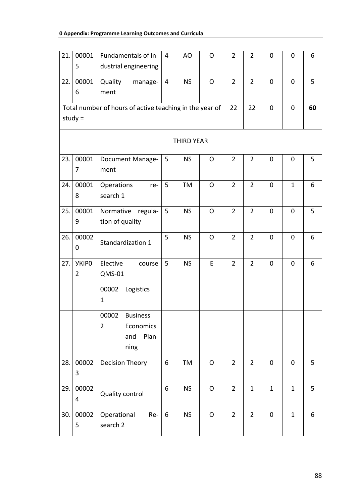| 21. | 00001<br>5                     |                              | Fundamentals of in-<br>dustrial engineering             | 4              | AO                | O            | $\overline{2}$ | $\overline{2}$ | $\mathbf 0$  | $\mathbf 0$  | 6  |
|-----|--------------------------------|------------------------------|---------------------------------------------------------|----------------|-------------------|--------------|----------------|----------------|--------------|--------------|----|
| 22. | 00001<br>6                     | Quality<br>ment              | manage-                                                 | $\overline{4}$ | <b>NS</b>         | $\mathsf{O}$ | $\overline{2}$ | $\overline{2}$ | $\mathbf 0$  | $\mathbf 0$  | 5  |
|     | study $=$                      |                              | Total number of hours of active teaching in the year of |                |                   |              | 22             | 22             | $\mathbf 0$  | $\mathbf 0$  | 60 |
|     |                                |                              |                                                         |                | <b>THIRD YEAR</b> |              |                |                |              |              |    |
| 23. | 00001<br>7                     | ment                         | <b>Document Manage-</b>                                 | 5              | <b>NS</b>         | $\mathsf{O}$ | $\overline{2}$ | $\overline{2}$ | $\mathbf 0$  | $\mathbf 0$  | 5  |
| 24. | 00001<br>8                     | Operations<br>search 1       | re-                                                     | 5              | TM                | $\mathsf{O}$ | $\overline{2}$ | $\overline{2}$ | $\mathbf 0$  | $\mathbf{1}$ | 6  |
| 25. | 00001<br>9                     | Normative<br>tion of quality | regula-                                                 | 5              | <b>NS</b>         | $\mathsf O$  | $\overline{2}$ | $\overline{2}$ | $\mathbf 0$  | $\mathbf 0$  | 5  |
| 26. | 00002<br>0                     |                              | Standardization 1                                       | 5              | <b>NS</b>         | $\mathsf{O}$ | $\overline{2}$ | $\overline{2}$ | $\mathbf 0$  | $\mathbf 0$  | 6  |
| 27. | <b>YKIPO</b><br>$\overline{2}$ | Elective<br><b>QMS-01</b>    | course                                                  | 5              | <b>NS</b>         | E            | $\overline{2}$ | $\overline{2}$ | $\mathbf 0$  | $\mathbf 0$  | 6  |
|     |                                | 00002<br>$\mathbf 1$         | Logistics                                               |                |                   |              |                |                |              |              |    |
|     |                                | 00002<br>$\overline{2}$      | <b>Business</b><br>Economics<br>Plan-<br>and<br>ning    |                |                   |              |                |                |              |              |    |
| 28. | 00002<br>3                     |                              | Decision Theory                                         | 6              | TM                | $\mathsf{O}$ | $\overline{2}$ | $\overline{2}$ | $\mathbf 0$  | $\mathbf 0$  | 5  |
| 29. | 00002<br>4                     |                              | <b>Quality control</b>                                  | 6              | <b>NS</b>         | $\mathsf{O}$ | $\overline{2}$ | $\mathbf{1}$   | $\mathbf{1}$ | $\mathbf{1}$ | 5  |
| 30. | 00002<br>5                     | Operational<br>search 2      | Re-                                                     | 6              | <b>NS</b>         | O            | $\overline{2}$ | $\overline{2}$ | $\mathbf 0$  | $\mathbf 1$  | 6  |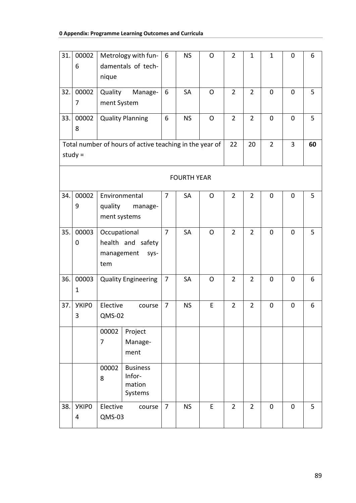| 31. | 00002        |               | Metrology with fun-                                     | 6              | <b>NS</b>          | O            | $\overline{2}$ | 1              | 1              | $\mathbf 0$ | 6  |
|-----|--------------|---------------|---------------------------------------------------------|----------------|--------------------|--------------|----------------|----------------|----------------|-------------|----|
|     | 6            |               | damentals of tech-                                      |                |                    |              |                |                |                |             |    |
|     |              | nique         |                                                         |                |                    |              |                |                |                |             |    |
| 32. | 00002        | Quality       | Manage-                                                 | 6              | SA                 | $\mathsf{O}$ | $\overline{2}$ | $\overline{2}$ | $\mathbf 0$    | $\mathbf 0$ | 5  |
|     | 7            | ment System   |                                                         |                |                    |              |                |                |                |             |    |
|     |              |               |                                                         |                |                    |              |                |                |                |             |    |
| 33. | 00002        |               | <b>Quality Planning</b>                                 | 6              | <b>NS</b>          | $\mathsf{O}$ | $\overline{2}$ | $\overline{2}$ | $\mathbf 0$    | $\mathbf 0$ | 5  |
|     | 8            |               |                                                         |                |                    |              |                |                |                |             |    |
|     |              |               | Total number of hours of active teaching in the year of |                |                    |              | 22             | 20             | $\overline{2}$ | 3           | 60 |
|     | study $=$    |               |                                                         |                |                    |              |                |                |                |             |    |
|     |              |               |                                                         |                |                    |              |                |                |                |             |    |
|     |              |               |                                                         |                | <b>FOURTH YEAR</b> |              |                |                |                |             |    |
| 34. | 00002        | Environmental |                                                         | $\overline{7}$ | SA                 | $\Omega$     | $\overline{2}$ | $\overline{2}$ | $\mathbf 0$    | $\mathbf 0$ | 5  |
|     | 9            | quality       | manage-                                                 |                |                    |              |                |                |                |             |    |
|     |              | ment systems  |                                                         |                |                    |              |                |                |                |             |    |
| 35. | 00003        | Occupational  |                                                         | 7              | SA                 | O            | $\overline{2}$ | $\overline{2}$ | $\mathbf 0$    | 0           | 5  |
|     | 0            |               | health and safety                                       |                |                    |              |                |                |                |             |    |
|     |              | management    | sys-                                                    |                |                    |              |                |                |                |             |    |
|     |              | tem           |                                                         |                |                    |              |                |                |                |             |    |
|     |              |               |                                                         |                |                    |              |                |                |                |             |    |
| 36. | 00003<br>1   |               | <b>Quality Engineering</b>                              | $\overline{7}$ | SA                 | O            | $\overline{2}$ | $\overline{2}$ | $\mathbf 0$    | 0           | 6  |
|     |              |               |                                                         |                |                    |              |                |                |                |             |    |
| 37. | <b>YKIPO</b> | Elective      | course                                                  | $\overline{7}$ | <b>NS</b>          | E            | $\overline{2}$ | $\overline{2}$ | $\mathbf 0$    | $\mathbf 0$ | 6  |
|     | 3            | QMS-02        |                                                         |                |                    |              |                |                |                |             |    |
|     |              | 00002         | Project                                                 |                |                    |              |                |                |                |             |    |
|     |              | 7             | Manage-                                                 |                |                    |              |                |                |                |             |    |
|     |              |               | ment                                                    |                |                    |              |                |                |                |             |    |
|     |              | 00002         | <b>Business</b>                                         |                |                    |              |                |                |                |             |    |
|     |              | 8             | Infor-                                                  |                |                    |              |                |                |                |             |    |
|     |              |               | mation                                                  |                |                    |              |                |                |                |             |    |
|     |              |               | Systems                                                 |                |                    |              |                |                |                |             |    |
| 38. | <b>YKIPO</b> | Elective      | course                                                  | $\overline{7}$ | <b>NS</b>          | E            | $\overline{2}$ | $\overline{2}$ | $\mathbf 0$    | $\mathbf 0$ | 5  |
|     | 4            | QMS-03        |                                                         |                |                    |              |                |                |                |             |    |
|     |              |               |                                                         |                |                    |              |                |                |                |             |    |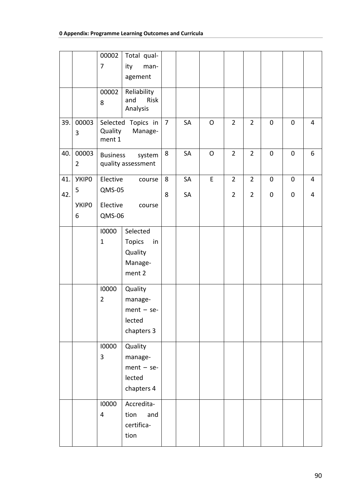|     |                | 00002                   | Total qual-                   |                |    |              |                |                |             |             |                |
|-----|----------------|-------------------------|-------------------------------|----------------|----|--------------|----------------|----------------|-------------|-------------|----------------|
|     |                | 7                       | ity<br>man-                   |                |    |              |                |                |             |             |                |
|     |                |                         | agement                       |                |    |              |                |                |             |             |                |
|     |                | 00002                   | Reliability                   |                |    |              |                |                |             |             |                |
|     |                | 8                       | Risk<br>and<br>Analysis       |                |    |              |                |                |             |             |                |
|     |                |                         |                               |                |    |              |                |                |             |             |                |
| 39. | 00003          | Quality                 | Selected Topics in<br>Manage- | $\overline{7}$ | SA | $\mathsf{O}$ | $\overline{2}$ | $\overline{2}$ | $\mathbf 0$ | $\mathbf 0$ | 4              |
|     | 3              | ment 1                  |                               |                |    |              |                |                |             |             |                |
| 40. | 00003          | <b>Business</b>         | system                        | 8              | SA | O            | $\overline{2}$ | $\overline{2}$ | $\pmb{0}$   | $\pmb{0}$   | 6              |
|     | $\overline{2}$ |                         | quality assessment            |                |    |              |                |                |             |             |                |
|     |                |                         |                               |                |    |              |                |                |             |             |                |
| 41. | <b>YKIPO</b>   | Elective                | course                        | 8              | SA | E            | $\overline{2}$ | $\overline{2}$ | 0           | 0           | $\overline{4}$ |
| 42. | 5              | QMS-05                  |                               | 8              | SA |              | $\overline{2}$ | $\overline{2}$ | $\pmb{0}$   | $\pmb{0}$   | 4              |
|     | <b>YKIPO</b>   | Elective                | course                        |                |    |              |                |                |             |             |                |
|     | 6              | QMS-06                  |                               |                |    |              |                |                |             |             |                |
|     |                | 10000                   | Selected                      |                |    |              |                |                |             |             |                |
|     |                | $\mathbf{1}$            | Topics<br>in                  |                |    |              |                |                |             |             |                |
|     |                |                         | Quality                       |                |    |              |                |                |             |             |                |
|     |                |                         | Manage-                       |                |    |              |                |                |             |             |                |
|     |                |                         | ment 2                        |                |    |              |                |                |             |             |                |
|     |                | 10000                   | Quality                       |                |    |              |                |                |             |             |                |
|     |                | $\overline{2}$          | manage-                       |                |    |              |                |                |             |             |                |
|     |                |                         | $ment - se-$                  |                |    |              |                |                |             |             |                |
|     |                |                         | lected                        |                |    |              |                |                |             |             |                |
|     |                |                         | chapters 3                    |                |    |              |                |                |             |             |                |
|     |                | 10000                   | Quality                       |                |    |              |                |                |             |             |                |
|     |                | 3                       | manage-                       |                |    |              |                |                |             |             |                |
|     |                |                         | $ment - se-$                  |                |    |              |                |                |             |             |                |
|     |                |                         | lected                        |                |    |              |                |                |             |             |                |
|     |                |                         | chapters 4                    |                |    |              |                |                |             |             |                |
|     |                | 10000                   | Accredita-                    |                |    |              |                |                |             |             |                |
|     |                | $\overline{\mathbf{4}}$ | tion<br>and                   |                |    |              |                |                |             |             |                |
|     |                |                         | certifica-                    |                |    |              |                |                |             |             |                |
|     |                |                         | tion                          |                |    |              |                |                |             |             |                |
|     |                |                         |                               |                |    |              |                |                |             |             |                |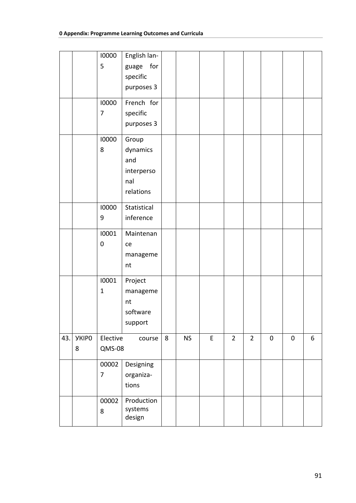|     |              | 10000          | English lan- |   |           |   |                |                |           |           |   |
|-----|--------------|----------------|--------------|---|-----------|---|----------------|----------------|-----------|-----------|---|
|     |              | 5              | for<br>guage |   |           |   |                |                |           |           |   |
|     |              |                | specific     |   |           |   |                |                |           |           |   |
|     |              |                | purposes 3   |   |           |   |                |                |           |           |   |
|     |              | 10000          | French for   |   |           |   |                |                |           |           |   |
|     |              | $\overline{7}$ | specific     |   |           |   |                |                |           |           |   |
|     |              |                | purposes 3   |   |           |   |                |                |           |           |   |
|     |              | 10000          | Group        |   |           |   |                |                |           |           |   |
|     |              | 8              | dynamics     |   |           |   |                |                |           |           |   |
|     |              |                | and          |   |           |   |                |                |           |           |   |
|     |              |                | interperso   |   |           |   |                |                |           |           |   |
|     |              |                | nal          |   |           |   |                |                |           |           |   |
|     |              |                | relations    |   |           |   |                |                |           |           |   |
|     |              | 10000          | Statistical  |   |           |   |                |                |           |           |   |
|     |              | 9              | inference    |   |           |   |                |                |           |           |   |
|     |              | 10001          | Maintenan    |   |           |   |                |                |           |           |   |
|     |              | $\pmb{0}$      | ce           |   |           |   |                |                |           |           |   |
|     |              |                | manageme     |   |           |   |                |                |           |           |   |
|     |              |                | nt           |   |           |   |                |                |           |           |   |
|     |              | 10001          | Project      |   |           |   |                |                |           |           |   |
|     |              | $\mathbf{1}$   | manageme     |   |           |   |                |                |           |           |   |
|     |              |                | nt           |   |           |   |                |                |           |           |   |
|     |              |                | software     |   |           |   |                |                |           |           |   |
|     |              |                | support      |   |           |   |                |                |           |           |   |
| 43. | <b>YKIPO</b> | Elective       | course       | 8 | <b>NS</b> | E | $\overline{2}$ | $\overline{2}$ | $\pmb{0}$ | $\pmb{0}$ | 6 |
|     | 8            | QMS-08         |              |   |           |   |                |                |           |           |   |
|     |              | 00002          | Designing    |   |           |   |                |                |           |           |   |
|     |              | $\overline{7}$ | organiza-    |   |           |   |                |                |           |           |   |
|     |              |                | tions        |   |           |   |                |                |           |           |   |
|     |              | 00002          | Production   |   |           |   |                |                |           |           |   |
|     |              | 8              | systems      |   |           |   |                |                |           |           |   |
|     |              |                | design       |   |           |   |                |                |           |           |   |